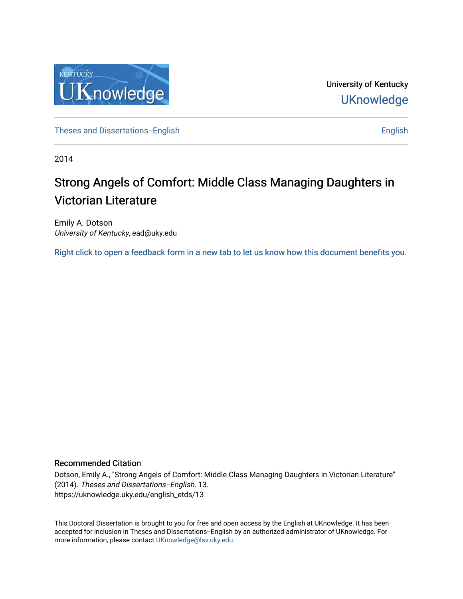

University of Kentucky **UKnowledge** 

[Theses and Dissertations--English](https://uknowledge.uky.edu/english_etds) [English](https://uknowledge.uky.edu/english) English English English

2014

# Strong Angels of Comfort: Middle Class Managing Daughters in Victorian Literature

Emily A. Dotson University of Kentucky, ead@uky.edu

[Right click to open a feedback form in a new tab to let us know how this document benefits you.](https://uky.az1.qualtrics.com/jfe/form/SV_9mq8fx2GnONRfz7)

#### Recommended Citation

Dotson, Emily A., "Strong Angels of Comfort: Middle Class Managing Daughters in Victorian Literature" (2014). Theses and Dissertations--English. 13. https://uknowledge.uky.edu/english\_etds/13

This Doctoral Dissertation is brought to you for free and open access by the English at UKnowledge. It has been accepted for inclusion in Theses and Dissertations--English by an authorized administrator of UKnowledge. For more information, please contact [UKnowledge@lsv.uky.edu](mailto:UKnowledge@lsv.uky.edu).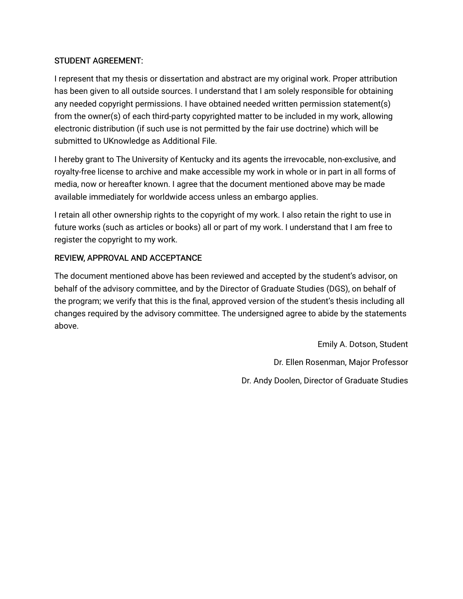# STUDENT AGREEMENT:

I represent that my thesis or dissertation and abstract are my original work. Proper attribution has been given to all outside sources. I understand that I am solely responsible for obtaining any needed copyright permissions. I have obtained needed written permission statement(s) from the owner(s) of each third-party copyrighted matter to be included in my work, allowing electronic distribution (if such use is not permitted by the fair use doctrine) which will be submitted to UKnowledge as Additional File.

I hereby grant to The University of Kentucky and its agents the irrevocable, non-exclusive, and royalty-free license to archive and make accessible my work in whole or in part in all forms of media, now or hereafter known. I agree that the document mentioned above may be made available immediately for worldwide access unless an embargo applies.

I retain all other ownership rights to the copyright of my work. I also retain the right to use in future works (such as articles or books) all or part of my work. I understand that I am free to register the copyright to my work.

# REVIEW, APPROVAL AND ACCEPTANCE

The document mentioned above has been reviewed and accepted by the student's advisor, on behalf of the advisory committee, and by the Director of Graduate Studies (DGS), on behalf of the program; we verify that this is the final, approved version of the student's thesis including all changes required by the advisory committee. The undersigned agree to abide by the statements above.

> Emily A. Dotson, Student Dr. Ellen Rosenman, Major Professor Dr. Andy Doolen, Director of Graduate Studies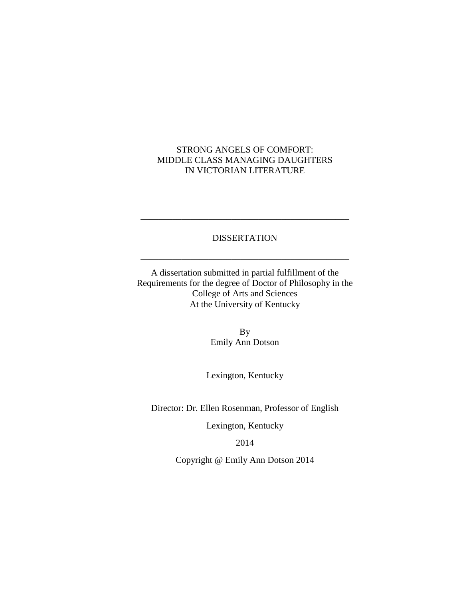# STRONG ANGELS OF COMFORT: MIDDLE CLASS MANAGING DAUGHTERS IN VICTORIAN LITERATURE

## DISSERTATION

\_\_\_\_\_\_\_\_\_\_\_\_\_\_\_\_\_\_\_\_\_\_\_\_\_\_\_\_\_\_\_\_\_\_\_\_\_\_\_\_\_\_\_\_\_\_

\_\_\_\_\_\_\_\_\_\_\_\_\_\_\_\_\_\_\_\_\_\_\_\_\_\_\_\_\_\_\_\_\_\_\_\_\_\_\_\_\_\_\_\_\_\_

A dissertation submitted in partial fulfillment of the Requirements for the degree of Doctor of Philosophy in the College of Arts and Sciences At the University of Kentucky

> By Emily Ann Dotson

Lexington, Kentucky

Director: Dr. Ellen Rosenman, Professor of English

Lexington, Kentucky

2014

Copyright @ Emily Ann Dotson 2014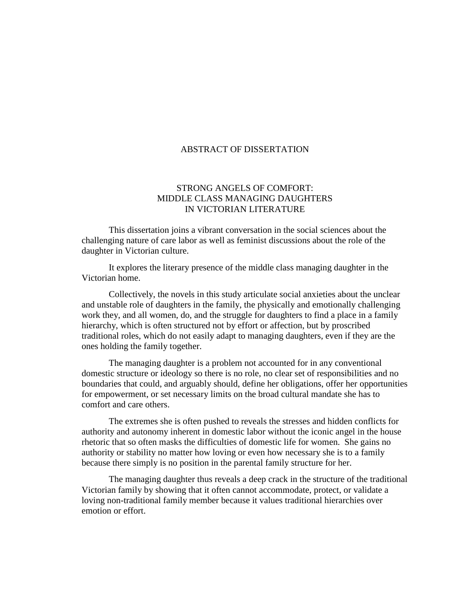#### ABSTRACT OF DISSERTATION

#### STRONG ANGELS OF COMFORT: MIDDLE CLASS MANAGING DAUGHTERS IN VICTORIAN LITERATURE

This dissertation joins a vibrant conversation in the social sciences about the challenging nature of care labor as well as feminist discussions about the role of the daughter in Victorian culture.

It explores the literary presence of the middle class managing daughter in the Victorian home.

Collectively, the novels in this study articulate social anxieties about the unclear and unstable role of daughters in the family, the physically and emotionally challenging work they, and all women, do, and the struggle for daughters to find a place in a family hierarchy, which is often structured not by effort or affection, but by proscribed traditional roles, which do not easily adapt to managing daughters, even if they are the ones holding the family together.

The managing daughter is a problem not accounted for in any conventional domestic structure or ideology so there is no role, no clear set of responsibilities and no boundaries that could, and arguably should, define her obligations, offer her opportunities for empowerment, or set necessary limits on the broad cultural mandate she has to comfort and care others.

The extremes she is often pushed to reveals the stresses and hidden conflicts for authority and autonomy inherent in domestic labor without the iconic angel in the house rhetoric that so often masks the difficulties of domestic life for women. She gains no authority or stability no matter how loving or even how necessary she is to a family because there simply is no position in the parental family structure for her.

The managing daughter thus reveals a deep crack in the structure of the traditional Victorian family by showing that it often cannot accommodate, protect, or validate a loving non-traditional family member because it values traditional hierarchies over emotion or effort.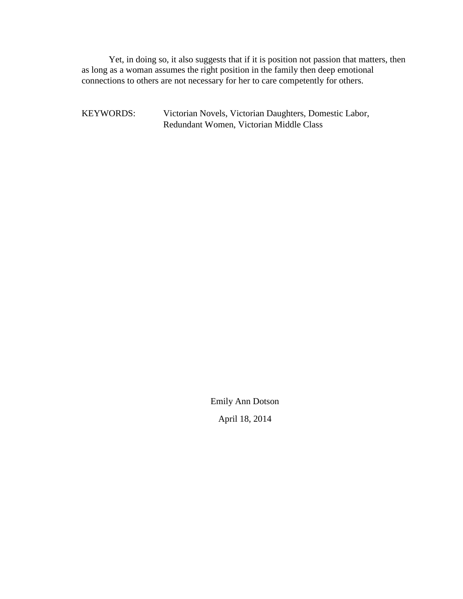Yet, in doing so, it also suggests that if it is position not passion that matters, then as long as a woman assumes the right position in the family then deep emotional connections to others are not necessary for her to care competently for others.

KEYWORDS: Victorian Novels, Victorian Daughters, Domestic Labor, Redundant Women, Victorian Middle Class

> Emily Ann Dotson April 18, 2014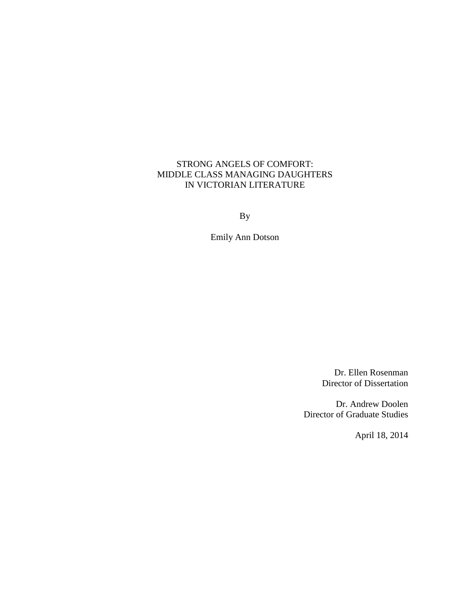# STRONG ANGELS OF COMFORT: MIDDLE CLASS MANAGING DAUGHTERS IN VICTORIAN LITERATURE

By

Emily Ann Dotson

Dr. Ellen Rosenman Director of Dissertation

Dr. Andrew Doolen Director of Graduate Studies

April 18, 2014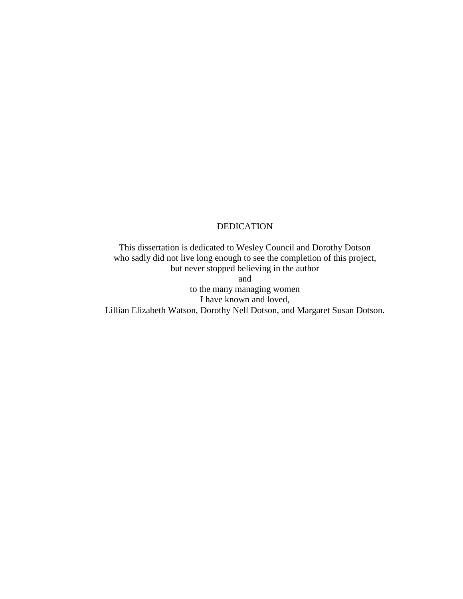#### DEDICATION

This dissertation is dedicated to Wesley Council and Dorothy Dotson who sadly did not live long enough to see the completion of this project, but never stopped believing in the author and to the many managing women I have known and loved,

Lillian Elizabeth Watson, Dorothy Nell Dotson, and Margaret Susan Dotson.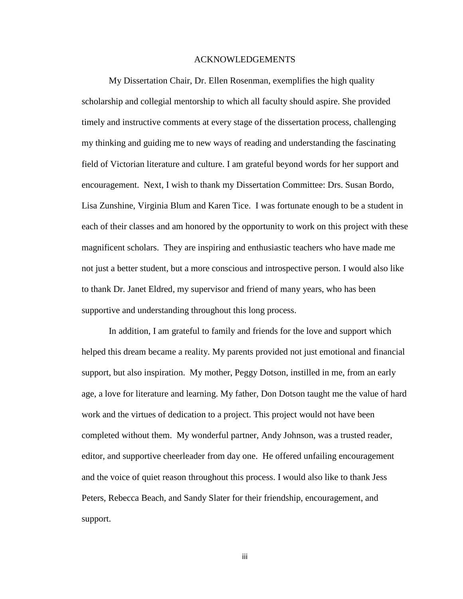#### ACKNOWLEDGEMENTS

My Dissertation Chair, Dr. Ellen Rosenman, exemplifies the high quality scholarship and collegial mentorship to which all faculty should aspire. She provided timely and instructive comments at every stage of the dissertation process, challenging my thinking and guiding me to new ways of reading and understanding the fascinating field of Victorian literature and culture. I am grateful beyond words for her support and encouragement. Next, I wish to thank my Dissertation Committee: Drs. Susan Bordo, Lisa Zunshine, Virginia Blum and Karen Tice. I was fortunate enough to be a student in each of their classes and am honored by the opportunity to work on this project with these magnificent scholars. They are inspiring and enthusiastic teachers who have made me not just a better student, but a more conscious and introspective person. I would also like to thank Dr. Janet Eldred, my supervisor and friend of many years, who has been supportive and understanding throughout this long process.

In addition, I am grateful to family and friends for the love and support which helped this dream became a reality. My parents provided not just emotional and financial support, but also inspiration. My mother, Peggy Dotson, instilled in me, from an early age, a love for literature and learning. My father, Don Dotson taught me the value of hard work and the virtues of dedication to a project. This project would not have been completed without them. My wonderful partner, Andy Johnson, was a trusted reader, editor, and supportive cheerleader from day one. He offered unfailing encouragement and the voice of quiet reason throughout this process. I would also like to thank Jess Peters, Rebecca Beach, and Sandy Slater for their friendship, encouragement, and support.

iii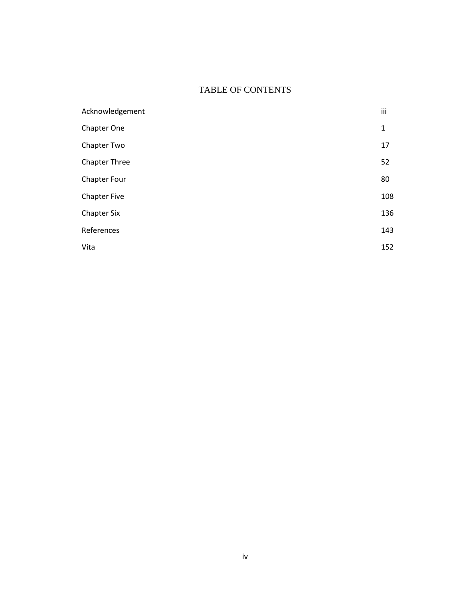# TABLE OF CONTENTS

| Acknowledgement     | iii |
|---------------------|-----|
| Chapter One         | 1   |
| Chapter Two         | 17  |
| Chapter Three       | 52  |
| Chapter Four        | 80  |
| <b>Chapter Five</b> | 108 |
| <b>Chapter Six</b>  | 136 |
| References          | 143 |
| Vita                | 152 |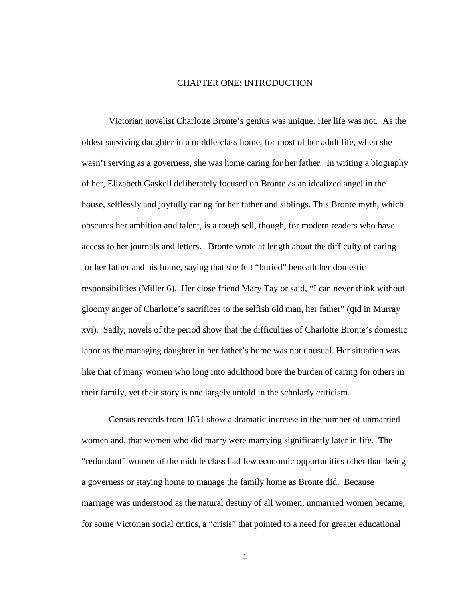#### CHAPTER ONE: INTRODUCTION

Victorian novelist Charlotte Bronte's genius was unique. Her life was not. As the oldest surviving daughter in a middle-class home, for most of her adult life, when she wasn't serving as a governess, she was home caring for her father. In writing a biography of her, Elizabeth Gaskell deliberately focused on Bronte as an idealized angel in the house, selflessly and joyfully caring for her father and siblings. This Bronte myth, which obscures her ambition and talent, is a tough sell, though, for modern readers who have access to her journals and letters. Bronte wrote at length about the difficulty of caring for her father and his home, saying that she felt "buried" beneath her domestic responsibilities (Miller 6). Her close friend Mary Taylor said, "I can never think without gloomy anger of Charlotte's sacrifices to the selfish old man, her father" (qtd in Murray xvi). Sadly, novels of the period show that the difficulties of Charlotte Bronte's domestic labor as the managing daughter in her father's home was not unusual. Her situation was like that of many women who long into adulthood bore the burden of caring for others in their family, yet their story is one largely untold in the scholarly criticism.

Census records from 1851 show a dramatic increase in the number of unmarried women and, that women who did marry were marrying significantly later in life. The "redundant" women of the middle class had few economic opportunities other than being a governess or staying home to manage the family home as Bronte did. Because marriage was understood as the natural destiny of all women, unmarried women became, for some Victorian social critics, a "crisis" that pointed to a need for greater educational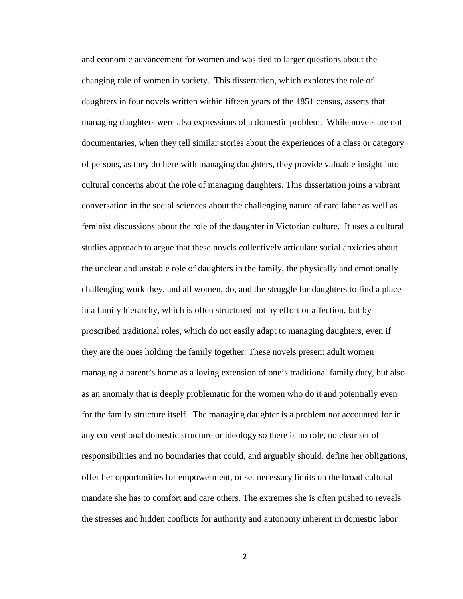and economic advancement for women and was tied to larger questions about the changing role of women in society. This dissertation, which explores the role of daughters in four novels written within fifteen years of the 1851 census, asserts that managing daughters were also expressions of a domestic problem. While novels are not documentaries, when they tell similar stories about the experiences of a class or category of persons, as they do here with managing daughters, they provide valuable insight into cultural concerns about the role of managing daughters. This dissertation joins a vibrant conversation in the social sciences about the challenging nature of care labor as well as feminist discussions about the role of the daughter in Victorian culture. It uses a cultural studies approach to argue that these novels collectively articulate social anxieties about the unclear and unstable role of daughters in the family, the physically and emotionally challenging work they, and all women, do, and the struggle for daughters to find a place in a family hierarchy, which is often structured not by effort or affection, but by proscribed traditional roles, which do not easily adapt to managing daughters, even if they are the ones holding the family together. These novels present adult women managing a parent's home as a loving extension of one's traditional family duty, but also as an anomaly that is deeply problematic for the women who do it and potentially even for the family structure itself. The managing daughter is a problem not accounted for in any conventional domestic structure or ideology so there is no role, no clear set of responsibilities and no boundaries that could, and arguably should, define her obligations, offer her opportunities for empowerment, or set necessary limits on the broad cultural mandate she has to comfort and care others. The extremes she is often pushed to reveals the stresses and hidden conflicts for authority and autonomy inherent in domestic labor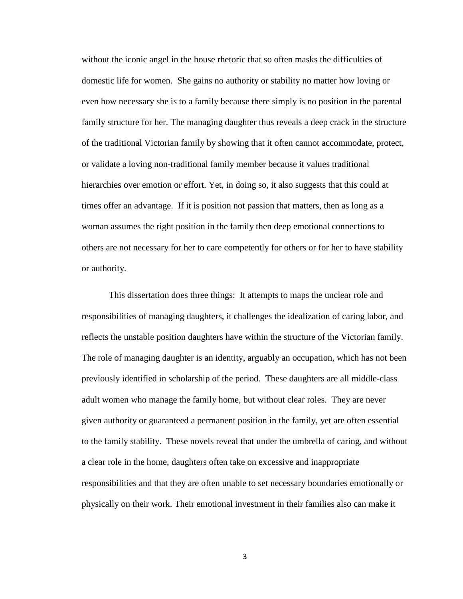without the iconic angel in the house rhetoric that so often masks the difficulties of domestic life for women. She gains no authority or stability no matter how loving or even how necessary she is to a family because there simply is no position in the parental family structure for her. The managing daughter thus reveals a deep crack in the structure of the traditional Victorian family by showing that it often cannot accommodate, protect, or validate a loving non-traditional family member because it values traditional hierarchies over emotion or effort. Yet, in doing so, it also suggests that this could at times offer an advantage. If it is position not passion that matters, then as long as a woman assumes the right position in the family then deep emotional connections to others are not necessary for her to care competently for others or for her to have stability or authority.

This dissertation does three things: It attempts to maps the unclear role and responsibilities of managing daughters, it challenges the idealization of caring labor, and reflects the unstable position daughters have within the structure of the Victorian family. The role of managing daughter is an identity, arguably an occupation, which has not been previously identified in scholarship of the period. These daughters are all middle-class adult women who manage the family home, but without clear roles. They are never given authority or guaranteed a permanent position in the family, yet are often essential to the family stability. These novels reveal that under the umbrella of caring, and without a clear role in the home, daughters often take on excessive and inappropriate responsibilities and that they are often unable to set necessary boundaries emotionally or physically on their work. Their emotional investment in their families also can make it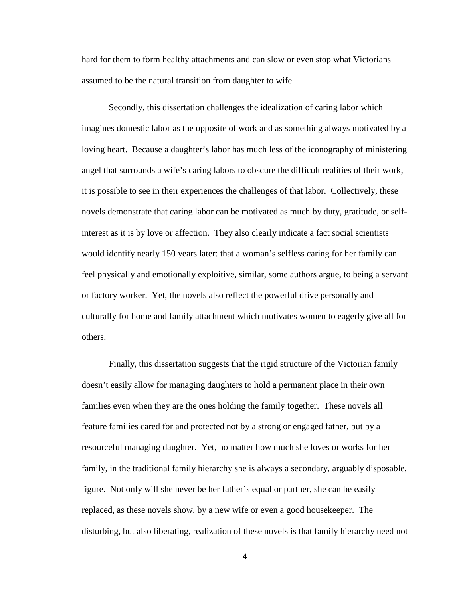hard for them to form healthy attachments and can slow or even stop what Victorians assumed to be the natural transition from daughter to wife.

Secondly, this dissertation challenges the idealization of caring labor which imagines domestic labor as the opposite of work and as something always motivated by a loving heart. Because a daughter's labor has much less of the iconography of ministering angel that surrounds a wife's caring labors to obscure the difficult realities of their work, it is possible to see in their experiences the challenges of that labor. Collectively, these novels demonstrate that caring labor can be motivated as much by duty, gratitude, or selfinterest as it is by love or affection. They also clearly indicate a fact social scientists would identify nearly 150 years later: that a woman's selfless caring for her family can feel physically and emotionally exploitive, similar, some authors argue, to being a servant or factory worker. Yet, the novels also reflect the powerful drive personally and culturally for home and family attachment which motivates women to eagerly give all for others.

Finally, this dissertation suggests that the rigid structure of the Victorian family doesn't easily allow for managing daughters to hold a permanent place in their own families even when they are the ones holding the family together. These novels all feature families cared for and protected not by a strong or engaged father, but by a resourceful managing daughter. Yet, no matter how much she loves or works for her family, in the traditional family hierarchy she is always a secondary, arguably disposable, figure. Not only will she never be her father's equal or partner, she can be easily replaced, as these novels show, by a new wife or even a good housekeeper. The disturbing, but also liberating, realization of these novels is that family hierarchy need not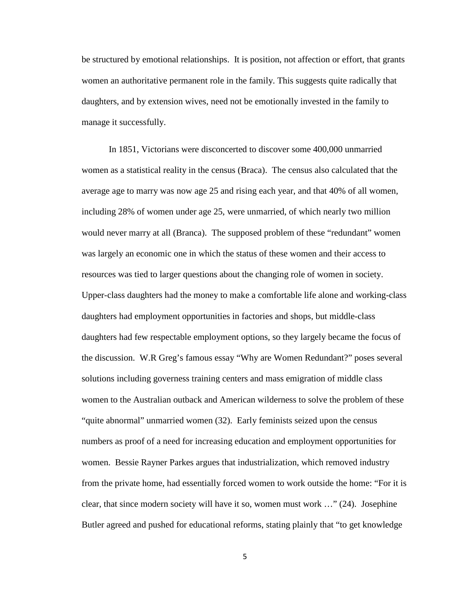be structured by emotional relationships. It is position, not affection or effort, that grants women an authoritative permanent role in the family. This suggests quite radically that daughters, and by extension wives, need not be emotionally invested in the family to manage it successfully.

In 1851, Victorians were disconcerted to discover some 400,000 unmarried women as a statistical reality in the census (Braca). The census also calculated that the average age to marry was now age 25 and rising each year, and that 40% of all women, including 28% of women under age 25, were unmarried, of which nearly two million would never marry at all (Branca). The supposed problem of these "redundant" women was largely an economic one in which the status of these women and their access to resources was tied to larger questions about the changing role of women in society. Upper-class daughters had the money to make a comfortable life alone and working-class daughters had employment opportunities in factories and shops, but middle-class daughters had few respectable employment options, so they largely became the focus of the discussion. W.R Greg's famous essay "Why are Women Redundant?" poses several solutions including governess training centers and mass emigration of middle class women to the Australian outback and American wilderness to solve the problem of these "quite abnormal" unmarried women (32). Early feminists seized upon the census numbers as proof of a need for increasing education and employment opportunities for women. Bessie Rayner Parkes argues that industrialization, which removed industry from the private home, had essentially forced women to work outside the home: "For it is clear, that since modern society will have it so, women must work …" (24). Josephine Butler agreed and pushed for educational reforms, stating plainly that "to get knowledge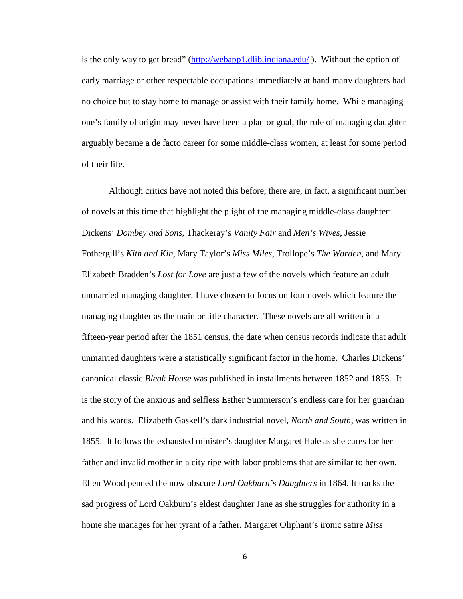is the only way to get bread" [\(http://webapp1.dlib.indiana.edu/](http://webapp1.dlib.indiana.edu/vwwp/view?docId=VAB7056.xml&doc.view=print)). Without the option of early marriage or other respectable occupations immediately at hand many daughters had no choice but to stay home to manage or assist with their family home. While managing one's family of origin may never have been a plan or goal, the role of managing daughter arguably became a de facto career for some middle-class women, at least for some period of their life.

Although critics have not noted this before, there are, in fact, a significant number of novels at this time that highlight the plight of the managing middle-class daughter: Dickens' *Dombey and Sons*, Thackeray's *Vanity Fair* and *Men's Wives*, Jessie Fothergill's *Kith and Kin*, Mary Taylor's *Miss Miles*, Trollope's *The Warden*, and Mary Elizabeth Bradden's *Lost for Love* are just a few of the novels which feature an adult unmarried managing daughter. I have chosen to focus on four novels which feature the managing daughter as the main or title character. These novels are all written in a fifteen-year period after the 1851 census, the date when census records indicate that adult unmarried daughters were a statistically significant factor in the home. Charles Dickens' canonical classic *Bleak House* was published in installments between 1852 and 1853. It is the story of the anxious and selfless Esther Summerson's endless care for her guardian and his wards. Elizabeth Gaskell's dark industrial novel, *North and South*, was written in 1855. It follows the exhausted minister's daughter Margaret Hale as she cares for her father and invalid mother in a city ripe with labor problems that are similar to her own. Ellen Wood penned the now obscure *Lord Oakburn's Daughters* in 1864. It tracks the sad progress of Lord Oakburn's eldest daughter Jane as she struggles for authority in a home she manages for her tyrant of a father. Margaret Oliphant's ironic satire *Miss*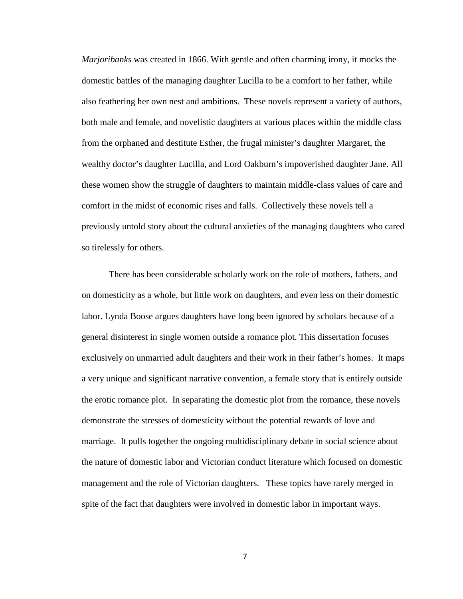*Marjoribanks* was created in 1866. With gentle and often charming irony, it mocks the domestic battles of the managing daughter Lucilla to be a comfort to her father, while also feathering her own nest and ambitions. These novels represent a variety of authors, both male and female, and novelistic daughters at various places within the middle class from the orphaned and destitute Esther, the frugal minister's daughter Margaret, the wealthy doctor's daughter Lucilla, and Lord Oakburn's impoverished daughter Jane. All these women show the struggle of daughters to maintain middle-class values of care and comfort in the midst of economic rises and falls. Collectively these novels tell a previously untold story about the cultural anxieties of the managing daughters who cared so tirelessly for others.

There has been considerable scholarly work on the role of mothers, fathers, and on domesticity as a whole, but little work on daughters, and even less on their domestic labor. Lynda Boose argues daughters have long been ignored by scholars because of a general disinterest in single women outside a romance plot. This dissertation focuses exclusively on unmarried adult daughters and their work in their father's homes. It maps a very unique and significant narrative convention, a female story that is entirely outside the erotic romance plot. In separating the domestic plot from the romance, these novels demonstrate the stresses of domesticity without the potential rewards of love and marriage. It pulls together the ongoing multidisciplinary debate in social science about the nature of domestic labor and Victorian conduct literature which focused on domestic management and the role of Victorian daughters. These topics have rarely merged in spite of the fact that daughters were involved in domestic labor in important ways.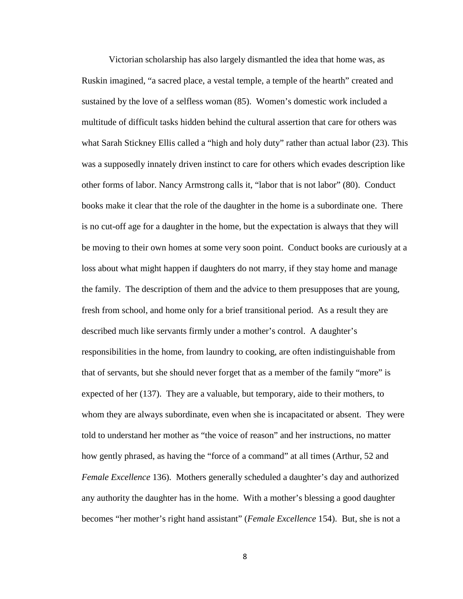Victorian scholarship has also largely dismantled the idea that home was, as Ruskin imagined, "a sacred place, a vestal temple, a temple of the hearth" created and sustained by the love of a selfless woman (85). Women's domestic work included a multitude of difficult tasks hidden behind the cultural assertion that care for others was what Sarah Stickney Ellis called a "high and holy duty" rather than actual labor (23). This was a supposedly innately driven instinct to care for others which evades description like other forms of labor. Nancy Armstrong calls it, "labor that is not labor" (80). Conduct books make it clear that the role of the daughter in the home is a subordinate one. There is no cut-off age for a daughter in the home, but the expectation is always that they will be moving to their own homes at some very soon point. Conduct books are curiously at a loss about what might happen if daughters do not marry, if they stay home and manage the family. The description of them and the advice to them presupposes that are young, fresh from school, and home only for a brief transitional period. As a result they are described much like servants firmly under a mother's control. A daughter's responsibilities in the home, from laundry to cooking, are often indistinguishable from that of servants, but she should never forget that as a member of the family "more" is expected of her (137). They are a valuable, but temporary, aide to their mothers, to whom they are always subordinate, even when she is incapacitated or absent. They were told to understand her mother as "the voice of reason" and her instructions, no matter how gently phrased, as having the "force of a command" at all times (Arthur, 52 and *Female Excellence* 136). Mothers generally scheduled a daughter's day and authorized any authority the daughter has in the home. With a mother's blessing a good daughter becomes "her mother's right hand assistant" (*Female Excellence* 154). But, she is not a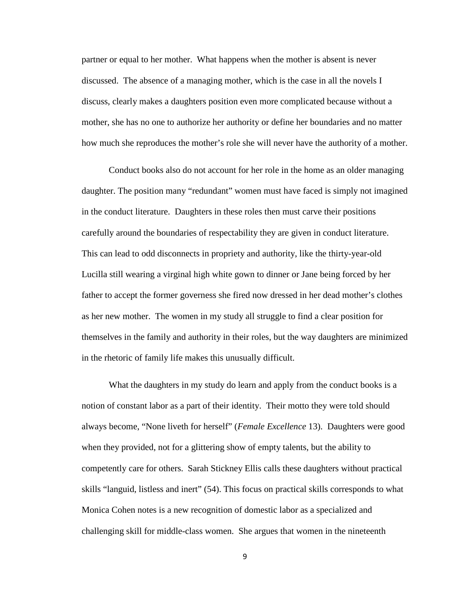partner or equal to her mother. What happens when the mother is absent is never discussed. The absence of a managing mother, which is the case in all the novels I discuss, clearly makes a daughters position even more complicated because without a mother, she has no one to authorize her authority or define her boundaries and no matter how much she reproduces the mother's role she will never have the authority of a mother.

Conduct books also do not account for her role in the home as an older managing daughter. The position many "redundant" women must have faced is simply not imagined in the conduct literature. Daughters in these roles then must carve their positions carefully around the boundaries of respectability they are given in conduct literature. This can lead to odd disconnects in propriety and authority, like the thirty-year-old Lucilla still wearing a virginal high white gown to dinner or Jane being forced by her father to accept the former governess she fired now dressed in her dead mother's clothes as her new mother. The women in my study all struggle to find a clear position for themselves in the family and authority in their roles, but the way daughters are minimized in the rhetoric of family life makes this unusually difficult.

What the daughters in my study do learn and apply from the conduct books is a notion of constant labor as a part of their identity. Their motto they were told should always become, "None liveth for herself" (*Female Excellence* 13). Daughters were good when they provided, not for a glittering show of empty talents, but the ability to competently care for others. Sarah Stickney Ellis calls these daughters without practical skills "languid, listless and inert" (54). This focus on practical skills corresponds to what Monica Cohen notes is a new recognition of domestic labor as a specialized and challenging skill for middle-class women. She argues that women in the nineteenth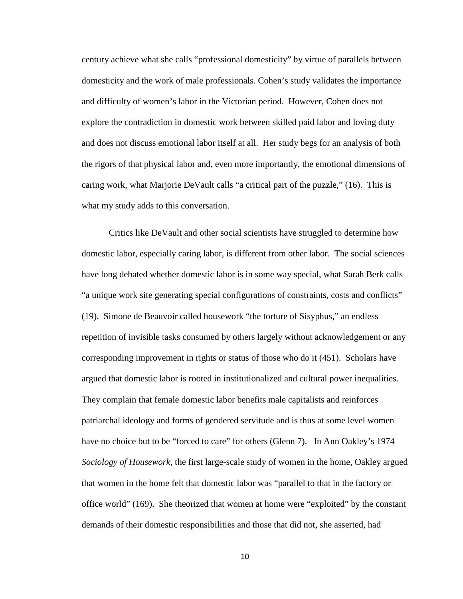century achieve what she calls "professional domesticity" by virtue of parallels between domesticity and the work of male professionals. Cohen's study validates the importance and difficulty of women's labor in the Victorian period. However, Cohen does not explore the contradiction in domestic work between skilled paid labor and loving duty and does not discuss emotional labor itself at all. Her study begs for an analysis of both the rigors of that physical labor and, even more importantly, the emotional dimensions of caring work, what Marjorie DeVault calls "a critical part of the puzzle," (16). This is what my study adds to this conversation.

Critics like DeVault and other social scientists have struggled to determine how domestic labor, especially caring labor, is different from other labor. The social sciences have long debated whether domestic labor is in some way special, what Sarah Berk calls "a unique work site generating special configurations of constraints, costs and conflicts" (19). Simone de Beauvoir called housework "the torture of Sisyphus," an endless repetition of invisible tasks consumed by others largely without acknowledgement or any corresponding improvement in rights or status of those who do it (451). Scholars have argued that domestic labor is rooted in institutionalized and cultural power inequalities. They complain that female domestic labor benefits male capitalists and reinforces patriarchal ideology and forms of gendered servitude and is thus at some level women have no choice but to be "forced to care" for others (Glenn 7). In Ann Oakley's 1974 *Sociology of Housework,* the first large-scale study of women in the home, Oakley argued that women in the home felt that domestic labor was "parallel to that in the factory or office world" (169). She theorized that women at home were "exploited" by the constant demands of their domestic responsibilities and those that did not, she asserted, had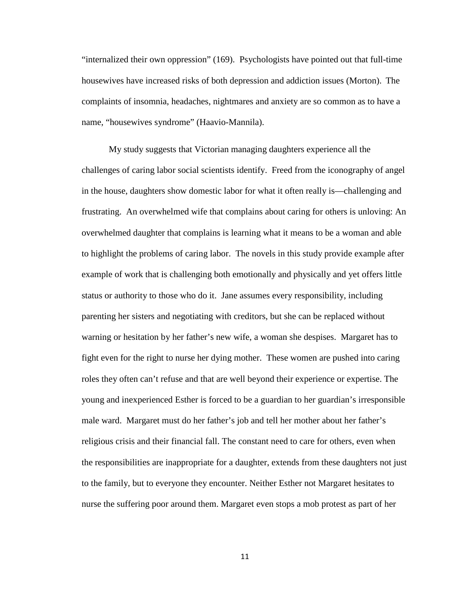"internalized their own oppression" (169). Psychologists have pointed out that full-time housewives have increased risks of both depression and addiction issues (Morton). The complaints of insomnia, headaches, nightmares and anxiety are so common as to have a name, "housewives syndrome" (Haavio-Mannila).

My study suggests that Victorian managing daughters experience all the challenges of caring labor social scientists identify. Freed from the iconography of angel in the house, daughters show domestic labor for what it often really is—challenging and frustrating. An overwhelmed wife that complains about caring for others is unloving: An overwhelmed daughter that complains is learning what it means to be a woman and able to highlight the problems of caring labor. The novels in this study provide example after example of work that is challenging both emotionally and physically and yet offers little status or authority to those who do it. Jane assumes every responsibility, including parenting her sisters and negotiating with creditors, but she can be replaced without warning or hesitation by her father's new wife, a woman she despises. Margaret has to fight even for the right to nurse her dying mother. These women are pushed into caring roles they often can't refuse and that are well beyond their experience or expertise. The young and inexperienced Esther is forced to be a guardian to her guardian's irresponsible male ward. Margaret must do her father's job and tell her mother about her father's religious crisis and their financial fall. The constant need to care for others, even when the responsibilities are inappropriate for a daughter, extends from these daughters not just to the family, but to everyone they encounter. Neither Esther not Margaret hesitates to nurse the suffering poor around them. Margaret even stops a mob protest as part of her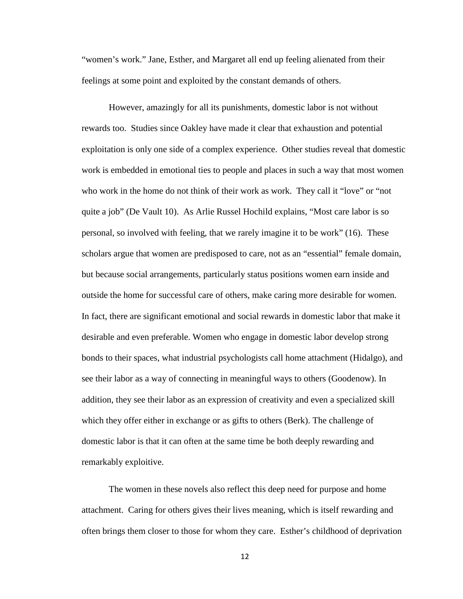"women's work." Jane, Esther, and Margaret all end up feeling alienated from their feelings at some point and exploited by the constant demands of others.

However, amazingly for all its punishments, domestic labor is not without rewards too. Studies since Oakley have made it clear that exhaustion and potential exploitation is only one side of a complex experience. Other studies reveal that domestic work is embedded in emotional ties to people and places in such a way that most women who work in the home do not think of their work as work. They call it "love" or "not quite a job" (De Vault 10). As Arlie Russel Hochild explains, "Most care labor is so personal, so involved with feeling, that we rarely imagine it to be work" (16). These scholars argue that women are predisposed to care, not as an "essential" female domain, but because social arrangements, particularly status positions women earn inside and outside the home for successful care of others, make caring more desirable for women. In fact, there are significant emotional and social rewards in domestic labor that make it desirable and even preferable. Women who engage in domestic labor develop strong bonds to their spaces, what industrial psychologists call home attachment (Hidalgo), and see their labor as a way of connecting in meaningful ways to others (Goodenow). In addition, they see their labor as an expression of creativity and even a specialized skill which they offer either in exchange or as gifts to others (Berk). The challenge of domestic labor is that it can often at the same time be both deeply rewarding and remarkably exploitive.

The women in these novels also reflect this deep need for purpose and home attachment. Caring for others gives their lives meaning, which is itself rewarding and often brings them closer to those for whom they care. Esther's childhood of deprivation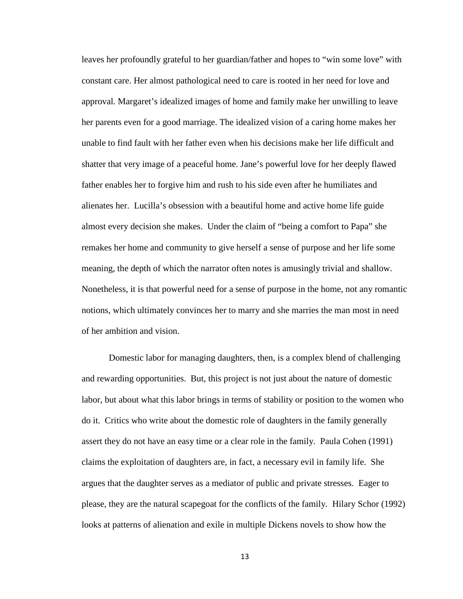leaves her profoundly grateful to her guardian/father and hopes to "win some love" with constant care. Her almost pathological need to care is rooted in her need for love and approval. Margaret's idealized images of home and family make her unwilling to leave her parents even for a good marriage. The idealized vision of a caring home makes her unable to find fault with her father even when his decisions make her life difficult and shatter that very image of a peaceful home. Jane's powerful love for her deeply flawed father enables her to forgive him and rush to his side even after he humiliates and alienates her. Lucilla's obsession with a beautiful home and active home life guide almost every decision she makes. Under the claim of "being a comfort to Papa" she remakes her home and community to give herself a sense of purpose and her life some meaning, the depth of which the narrator often notes is amusingly trivial and shallow. Nonetheless, it is that powerful need for a sense of purpose in the home, not any romantic notions, which ultimately convinces her to marry and she marries the man most in need of her ambition and vision.

Domestic labor for managing daughters, then, is a complex blend of challenging and rewarding opportunities. But, this project is not just about the nature of domestic labor, but about what this labor brings in terms of stability or position to the women who do it. Critics who write about the domestic role of daughters in the family generally assert they do not have an easy time or a clear role in the family. Paula Cohen (1991) claims the exploitation of daughters are, in fact, a necessary evil in family life. She argues that the daughter serves as a mediator of public and private stresses. Eager to please, they are the natural scapegoat for the conflicts of the family. Hilary Schor (1992) looks at patterns of alienation and exile in multiple Dickens novels to show how the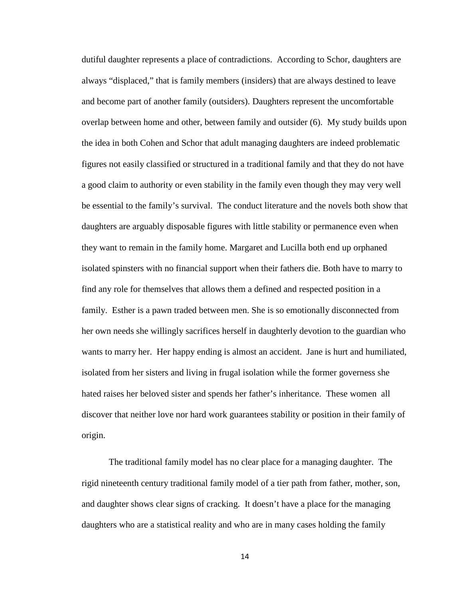dutiful daughter represents a place of contradictions. According to Schor, daughters are always "displaced," that is family members (insiders) that are always destined to leave and become part of another family (outsiders). Daughters represent the uncomfortable overlap between home and other, between family and outsider (6). My study builds upon the idea in both Cohen and Schor that adult managing daughters are indeed problematic figures not easily classified or structured in a traditional family and that they do not have a good claim to authority or even stability in the family even though they may very well be essential to the family's survival. The conduct literature and the novels both show that daughters are arguably disposable figures with little stability or permanence even when they want to remain in the family home. Margaret and Lucilla both end up orphaned isolated spinsters with no financial support when their fathers die. Both have to marry to find any role for themselves that allows them a defined and respected position in a family. Esther is a pawn traded between men. She is so emotionally disconnected from her own needs she willingly sacrifices herself in daughterly devotion to the guardian who wants to marry her. Her happy ending is almost an accident. Jane is hurt and humiliated, isolated from her sisters and living in frugal isolation while the former governess she hated raises her beloved sister and spends her father's inheritance. These women all discover that neither love nor hard work guarantees stability or position in their family of origin.

The traditional family model has no clear place for a managing daughter. The rigid nineteenth century traditional family model of a tier path from father, mother, son, and daughter shows clear signs of cracking. It doesn't have a place for the managing daughters who are a statistical reality and who are in many cases holding the family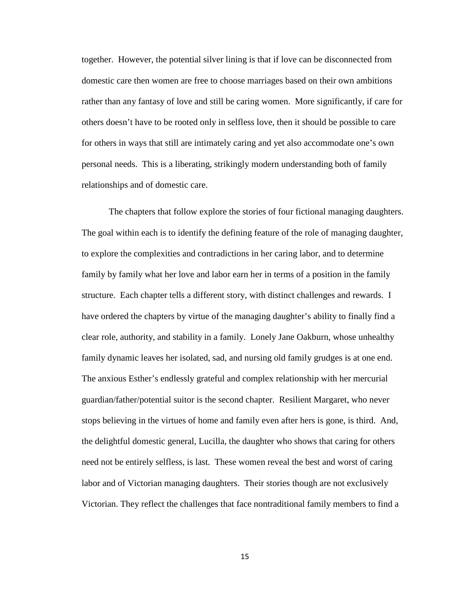together. However, the potential silver lining is that if love can be disconnected from domestic care then women are free to choose marriages based on their own ambitions rather than any fantasy of love and still be caring women. More significantly, if care for others doesn't have to be rooted only in selfless love, then it should be possible to care for others in ways that still are intimately caring and yet also accommodate one's own personal needs. This is a liberating, strikingly modern understanding both of family relationships and of domestic care.

The chapters that follow explore the stories of four fictional managing daughters. The goal within each is to identify the defining feature of the role of managing daughter, to explore the complexities and contradictions in her caring labor, and to determine family by family what her love and labor earn her in terms of a position in the family structure. Each chapter tells a different story, with distinct challenges and rewards. I have ordered the chapters by virtue of the managing daughter's ability to finally find a clear role, authority, and stability in a family. Lonely Jane Oakburn, whose unhealthy family dynamic leaves her isolated, sad, and nursing old family grudges is at one end. The anxious Esther's endlessly grateful and complex relationship with her mercurial guardian/father/potential suitor is the second chapter. Resilient Margaret, who never stops believing in the virtues of home and family even after hers is gone, is third. And, the delightful domestic general, Lucilla, the daughter who shows that caring for others need not be entirely selfless, is last. These women reveal the best and worst of caring labor and of Victorian managing daughters. Their stories though are not exclusively Victorian. They reflect the challenges that face nontraditional family members to find a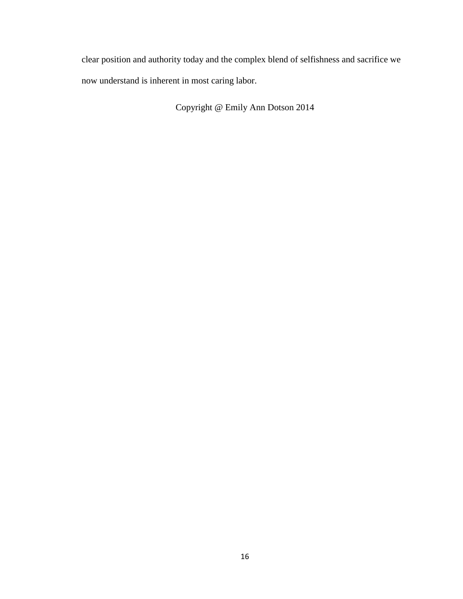clear position and authority today and the complex blend of selfishness and sacrifice we now understand is inherent in most caring labor.

Copyright @ Emily Ann Dotson 2014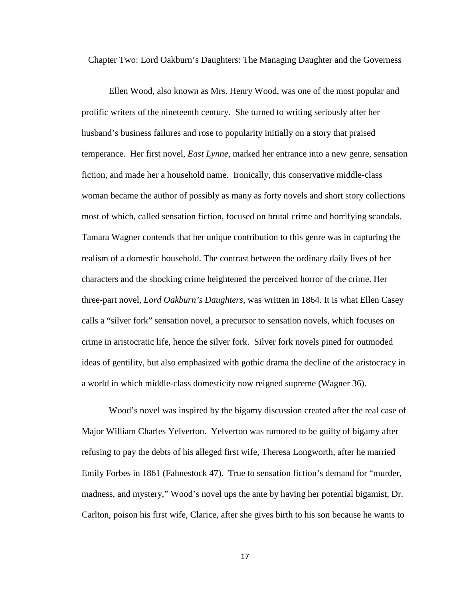Chapter Two: Lord Oakburn's Daughters: The Managing Daughter and the Governess

Ellen Wood, also known as Mrs. Henry Wood, was one of the most popular and prolific writers of the nineteenth century. She turned to writing seriously after her husband's business failures and rose to popularity initially on a story that praised temperance. Her first novel, *East Lynne*, marked her entrance into a new genre, sensation fiction, and made her a household name. Ironically, this conservative middle-class woman became the author of possibly as many as forty novels and short story collections most of which, called sensation fiction, focused on brutal crime and horrifying scandals. Tamara Wagner contends that her unique contribution to this genre was in capturing the realism of a domestic household. The contrast between the ordinary daily lives of her characters and the shocking crime heightened the perceived horror of the crime. Her three-part novel, *Lord Oakburn's Daughters*, was written in 1864. It is what Ellen Casey calls a "silver fork" sensation novel, a precursor to sensation novels, which focuses on crime in aristocratic life, hence the silver fork. Silver fork novels pined for outmoded ideas of gentility, but also emphasized with gothic drama the decline of the aristocracy in a world in which middle-class domesticity now reigned supreme (Wagner 36).

Wood's novel was inspired by the bigamy discussion created after the real case of Major William Charles Yelverton. Yelverton was rumored to be guilty of bigamy after refusing to pay the debts of his alleged first wife, Theresa Longworth, after he married Emily Forbes in 1861 (Fahnestock 47). True to sensation fiction's demand for "murder, madness, and mystery," Wood's novel ups the ante by having her potential bigamist, Dr. Carlton, poison his first wife, Clarice, after she gives birth to his son because he wants to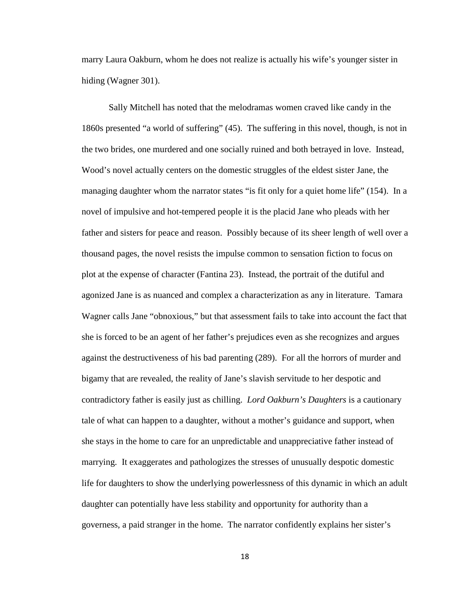marry Laura Oakburn, whom he does not realize is actually his wife's younger sister in hiding (Wagner 301).

Sally Mitchell has noted that the melodramas women craved like candy in the 1860s presented "a world of suffering" (45). The suffering in this novel, though, is not in the two brides, one murdered and one socially ruined and both betrayed in love. Instead, Wood's novel actually centers on the domestic struggles of the eldest sister Jane, the managing daughter whom the narrator states "is fit only for a quiet home life" (154). In a novel of impulsive and hot-tempered people it is the placid Jane who pleads with her father and sisters for peace and reason. Possibly because of its sheer length of well over a thousand pages, the novel resists the impulse common to sensation fiction to focus on plot at the expense of character (Fantina 23). Instead, the portrait of the dutiful and agonized Jane is as nuanced and complex a characterization as any in literature. Tamara Wagner calls Jane "obnoxious," but that assessment fails to take into account the fact that she is forced to be an agent of her father's prejudices even as she recognizes and argues against the destructiveness of his bad parenting (289). For all the horrors of murder and bigamy that are revealed, the reality of Jane's slavish servitude to her despotic and contradictory father is easily just as chilling. *Lord Oakburn's Daughters* is a cautionary tale of what can happen to a daughter, without a mother's guidance and support, when she stays in the home to care for an unpredictable and unappreciative father instead of marrying. It exaggerates and pathologizes the stresses of unusually despotic domestic life for daughters to show the underlying powerlessness of this dynamic in which an adult daughter can potentially have less stability and opportunity for authority than a governess, a paid stranger in the home. The narrator confidently explains her sister's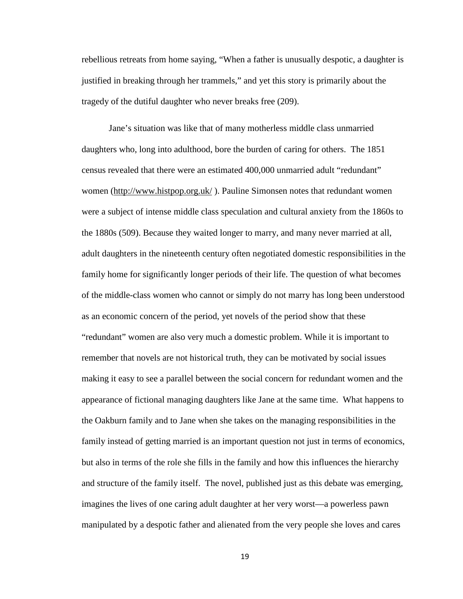rebellious retreats from home saying, "When a father is unusually despotic, a daughter is justified in breaking through her trammels," and yet this story is primarily about the tragedy of the dutiful daughter who never breaks free (209).

Jane's situation was like that of many motherless middle class unmarried daughters who, long into adulthood, bore the burden of caring for others. The 1851 census revealed that there were an estimated 400,000 unmarried adult "redundant" women [\(http://www.histpop.org.uk/](http://www.histpop.org.uk/)). Pauline Simonsen notes that redundant women were a subject of intense middle class speculation and cultural anxiety from the 1860s to the 1880s (509). Because they waited longer to marry, and many never married at all, adult daughters in the nineteenth century often negotiated domestic responsibilities in the family home for significantly longer periods of their life. The question of what becomes of the middle-class women who cannot or simply do not marry has long been understood as an economic concern of the period, yet novels of the period show that these "redundant" women are also very much a domestic problem. While it is important to remember that novels are not historical truth, they can be motivated by social issues making it easy to see a parallel between the social concern for redundant women and the appearance of fictional managing daughters like Jane at the same time. What happens to the Oakburn family and to Jane when she takes on the managing responsibilities in the family instead of getting married is an important question not just in terms of economics, but also in terms of the role she fills in the family and how this influences the hierarchy and structure of the family itself. The novel, published just as this debate was emerging, imagines the lives of one caring adult daughter at her very worst—a powerless pawn manipulated by a despotic father and alienated from the very people she loves and cares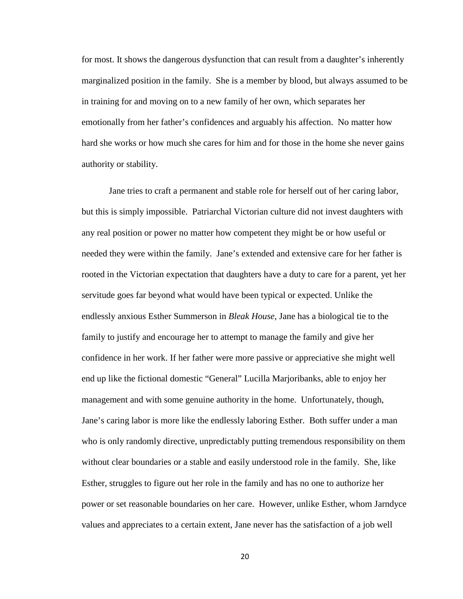for most. It shows the dangerous dysfunction that can result from a daughter's inherently marginalized position in the family. She is a member by blood, but always assumed to be in training for and moving on to a new family of her own, which separates her emotionally from her father's confidences and arguably his affection. No matter how hard she works or how much she cares for him and for those in the home she never gains authority or stability.

Jane tries to craft a permanent and stable role for herself out of her caring labor, but this is simply impossible. Patriarchal Victorian culture did not invest daughters with any real position or power no matter how competent they might be or how useful or needed they were within the family. Jane's extended and extensive care for her father is rooted in the Victorian expectation that daughters have a duty to care for a parent, yet her servitude goes far beyond what would have been typical or expected. Unlike the endlessly anxious Esther Summerson in *Bleak House*, Jane has a biological tie to the family to justify and encourage her to attempt to manage the family and give her confidence in her work. If her father were more passive or appreciative she might well end up like the fictional domestic "General" Lucilla Marjoribanks, able to enjoy her management and with some genuine authority in the home. Unfortunately, though, Jane's caring labor is more like the endlessly laboring Esther. Both suffer under a man who is only randomly directive, unpredictably putting tremendous responsibility on them without clear boundaries or a stable and easily understood role in the family. She, like Esther, struggles to figure out her role in the family and has no one to authorize her power or set reasonable boundaries on her care. However, unlike Esther, whom Jarndyce values and appreciates to a certain extent, Jane never has the satisfaction of a job well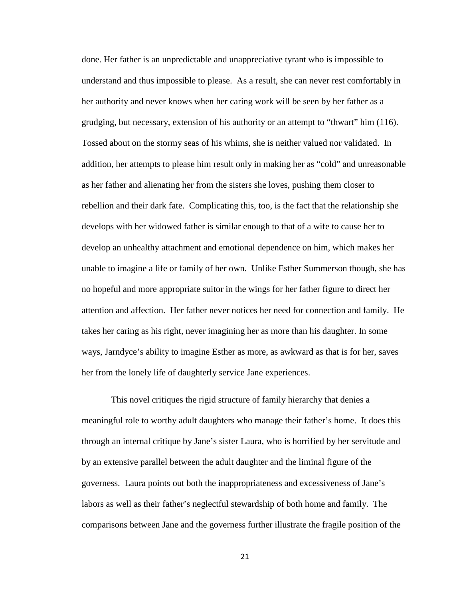done. Her father is an unpredictable and unappreciative tyrant who is impossible to understand and thus impossible to please. As a result, she can never rest comfortably in her authority and never knows when her caring work will be seen by her father as a grudging, but necessary, extension of his authority or an attempt to "thwart" him (116). Tossed about on the stormy seas of his whims, she is neither valued nor validated. In addition, her attempts to please him result only in making her as "cold" and unreasonable as her father and alienating her from the sisters she loves, pushing them closer to rebellion and their dark fate. Complicating this, too, is the fact that the relationship she develops with her widowed father is similar enough to that of a wife to cause her to develop an unhealthy attachment and emotional dependence on him, which makes her unable to imagine a life or family of her own. Unlike Esther Summerson though, she has no hopeful and more appropriate suitor in the wings for her father figure to direct her attention and affection. Her father never notices her need for connection and family. He takes her caring as his right, never imagining her as more than his daughter. In some ways, Jarndyce's ability to imagine Esther as more, as awkward as that is for her, saves her from the lonely life of daughterly service Jane experiences.

This novel critiques the rigid structure of family hierarchy that denies a meaningful role to worthy adult daughters who manage their father's home. It does this through an internal critique by Jane's sister Laura, who is horrified by her servitude and by an extensive parallel between the adult daughter and the liminal figure of the governess. Laura points out both the inappropriateness and excessiveness of Jane's labors as well as their father's neglectful stewardship of both home and family. The comparisons between Jane and the governess further illustrate the fragile position of the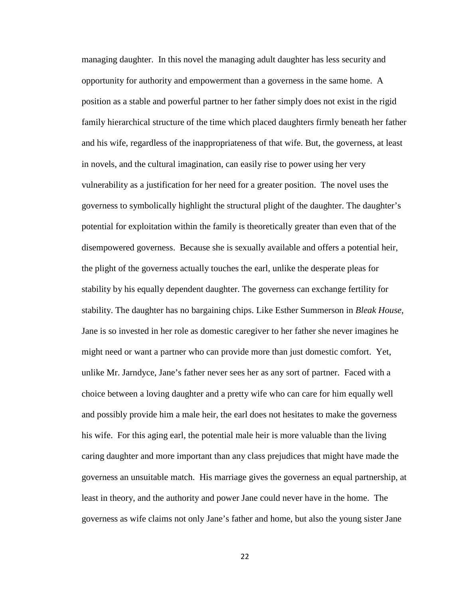managing daughter. In this novel the managing adult daughter has less security and opportunity for authority and empowerment than a governess in the same home. A position as a stable and powerful partner to her father simply does not exist in the rigid family hierarchical structure of the time which placed daughters firmly beneath her father and his wife, regardless of the inappropriateness of that wife. But, the governess, at least in novels, and the cultural imagination, can easily rise to power using her very vulnerability as a justification for her need for a greater position. The novel uses the governess to symbolically highlight the structural plight of the daughter. The daughter's potential for exploitation within the family is theoretically greater than even that of the disempowered governess. Because she is sexually available and offers a potential heir, the plight of the governess actually touches the earl, unlike the desperate pleas for stability by his equally dependent daughter. The governess can exchange fertility for stability. The daughter has no bargaining chips. Like Esther Summerson in *Bleak House*, Jane is so invested in her role as domestic caregiver to her father she never imagines he might need or want a partner who can provide more than just domestic comfort. Yet, unlike Mr. Jarndyce, Jane's father never sees her as any sort of partner. Faced with a choice between a loving daughter and a pretty wife who can care for him equally well and possibly provide him a male heir, the earl does not hesitates to make the governess his wife. For this aging earl, the potential male heir is more valuable than the living caring daughter and more important than any class prejudices that might have made the governess an unsuitable match. His marriage gives the governess an equal partnership, at least in theory, and the authority and power Jane could never have in the home. The governess as wife claims not only Jane's father and home, but also the young sister Jane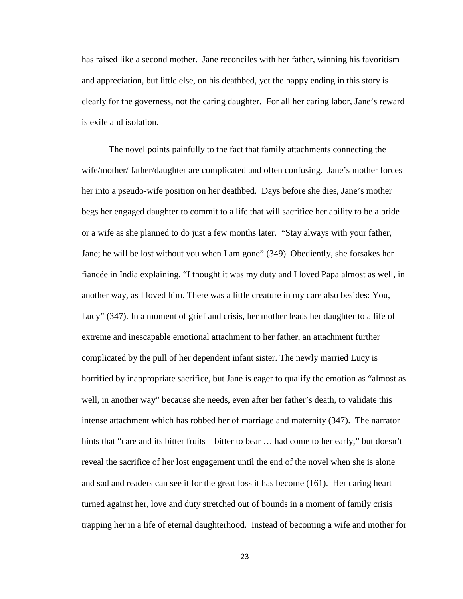has raised like a second mother. Jane reconciles with her father, winning his favoritism and appreciation, but little else, on his deathbed, yet the happy ending in this story is clearly for the governess, not the caring daughter. For all her caring labor, Jane's reward is exile and isolation.

The novel points painfully to the fact that family attachments connecting the wife/mother/ father/daughter are complicated and often confusing. Jane's mother forces her into a pseudo-wife position on her deathbed. Days before she dies, Jane's mother begs her engaged daughter to commit to a life that will sacrifice her ability to be a bride or a wife as she planned to do just a few months later. "Stay always with your father, Jane; he will be lost without you when I am gone" (349). Obediently, she forsakes her fiancée in India explaining, "I thought it was my duty and I loved Papa almost as well, in another way, as I loved him. There was a little creature in my care also besides: You, Lucy" (347). In a moment of grief and crisis, her mother leads her daughter to a life of extreme and inescapable emotional attachment to her father, an attachment further complicated by the pull of her dependent infant sister. The newly married Lucy is horrified by inappropriate sacrifice, but Jane is eager to qualify the emotion as "almost as well, in another way" because she needs, even after her father's death, to validate this intense attachment which has robbed her of marriage and maternity (347). The narrator hints that "care and its bitter fruits—bitter to bear ... had come to her early," but doesn't reveal the sacrifice of her lost engagement until the end of the novel when she is alone and sad and readers can see it for the great loss it has become (161). Her caring heart turned against her, love and duty stretched out of bounds in a moment of family crisis trapping her in a life of eternal daughterhood. Instead of becoming a wife and mother for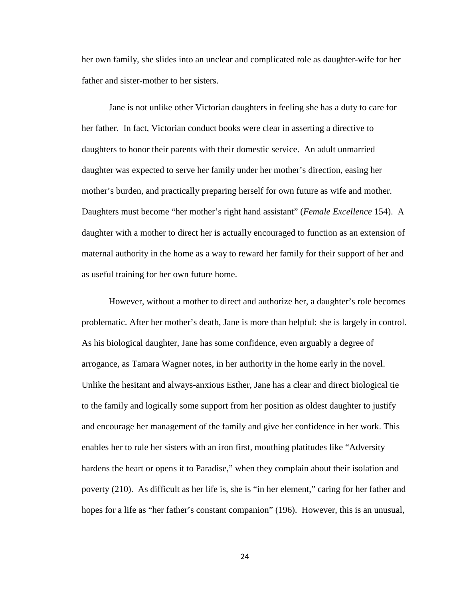her own family, she slides into an unclear and complicated role as daughter-wife for her father and sister-mother to her sisters.

Jane is not unlike other Victorian daughters in feeling she has a duty to care for her father. In fact, Victorian conduct books were clear in asserting a directive to daughters to honor their parents with their domestic service. An adult unmarried daughter was expected to serve her family under her mother's direction, easing her mother's burden, and practically preparing herself for own future as wife and mother. Daughters must become "her mother's right hand assistant" (*Female Excellence* 154). A daughter with a mother to direct her is actually encouraged to function as an extension of maternal authority in the home as a way to reward her family for their support of her and as useful training for her own future home.

However, without a mother to direct and authorize her, a daughter's role becomes problematic. After her mother's death, Jane is more than helpful: she is largely in control. As his biological daughter, Jane has some confidence, even arguably a degree of arrogance, as Tamara Wagner notes, in her authority in the home early in the novel. Unlike the hesitant and always-anxious Esther, Jane has a clear and direct biological tie to the family and logically some support from her position as oldest daughter to justify and encourage her management of the family and give her confidence in her work. This enables her to rule her sisters with an iron first, mouthing platitudes like "Adversity hardens the heart or opens it to Paradise," when they complain about their isolation and poverty (210). As difficult as her life is, she is "in her element," caring for her father and hopes for a life as "her father's constant companion" (196). However, this is an unusual,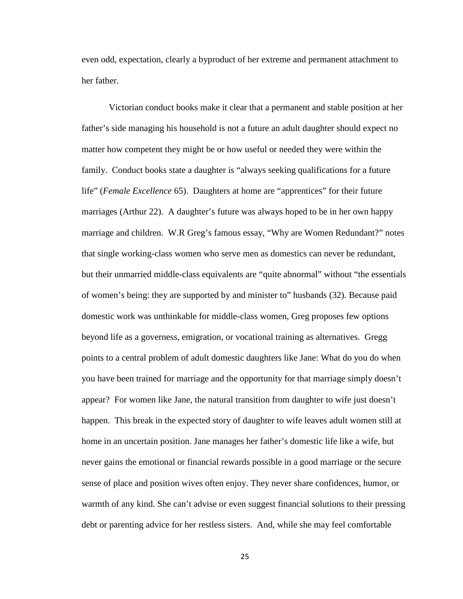even odd, expectation, clearly a byproduct of her extreme and permanent attachment to her father.

Victorian conduct books make it clear that a permanent and stable position at her father's side managing his household is not a future an adult daughter should expect no matter how competent they might be or how useful or needed they were within the family. Conduct books state a daughter is "always seeking qualifications for a future life" (*Female Excellence* 65). Daughters at home are "apprentices" for their future marriages (Arthur 22). A daughter's future was always hoped to be in her own happy marriage and children. W.R Greg's famous essay, "Why are Women Redundant?" notes that single working-class women who serve men as domestics can never be redundant, but their unmarried middle-class equivalents are "quite abnormal" without "the essentials of women's being: they are supported by and minister to" husbands (32). Because paid domestic work was unthinkable for middle-class women, Greg proposes few options beyond life as a governess, emigration, or vocational training as alternatives. Gregg points to a central problem of adult domestic daughters like Jane: What do you do when you have been trained for marriage and the opportunity for that marriage simply doesn't appear? For women like Jane, the natural transition from daughter to wife just doesn't happen. This break in the expected story of daughter to wife leaves adult women still at home in an uncertain position. Jane manages her father's domestic life like a wife, but never gains the emotional or financial rewards possible in a good marriage or the secure sense of place and position wives often enjoy. They never share confidences, humor, or warmth of any kind. She can't advise or even suggest financial solutions to their pressing debt or parenting advice for her restless sisters. And, while she may feel comfortable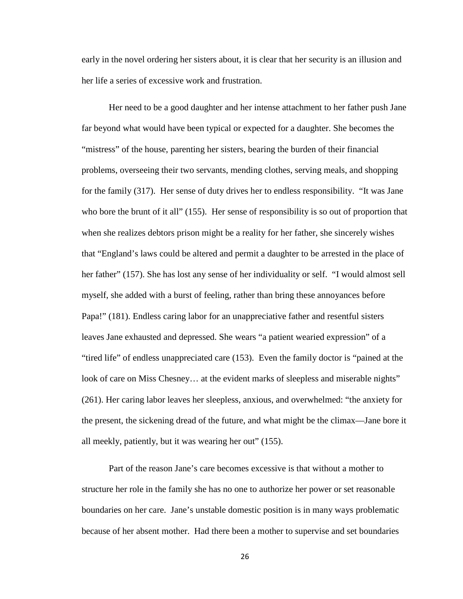early in the novel ordering her sisters about, it is clear that her security is an illusion and her life a series of excessive work and frustration.

Her need to be a good daughter and her intense attachment to her father push Jane far beyond what would have been typical or expected for a daughter. She becomes the "mistress" of the house, parenting her sisters, bearing the burden of their financial problems, overseeing their two servants, mending clothes, serving meals, and shopping for the family (317). Her sense of duty drives her to endless responsibility. "It was Jane who bore the brunt of it all" (155). Her sense of responsibility is so out of proportion that when she realizes debtors prison might be a reality for her father, she sincerely wishes that "England's laws could be altered and permit a daughter to be arrested in the place of her father" (157). She has lost any sense of her individuality or self. "I would almost sell myself, she added with a burst of feeling, rather than bring these annoyances before Papa!" (181). Endless caring labor for an unappreciative father and resentful sisters leaves Jane exhausted and depressed. She wears "a patient wearied expression" of a "tired life" of endless unappreciated care (153). Even the family doctor is "pained at the look of care on Miss Chesney... at the evident marks of sleepless and miserable nights" (261). Her caring labor leaves her sleepless, anxious, and overwhelmed: "the anxiety for the present, the sickening dread of the future, and what might be the climax—Jane bore it all meekly, patiently, but it was wearing her out" (155).

Part of the reason Jane's care becomes excessive is that without a mother to structure her role in the family she has no one to authorize her power or set reasonable boundaries on her care. Jane's unstable domestic position is in many ways problematic because of her absent mother. Had there been a mother to supervise and set boundaries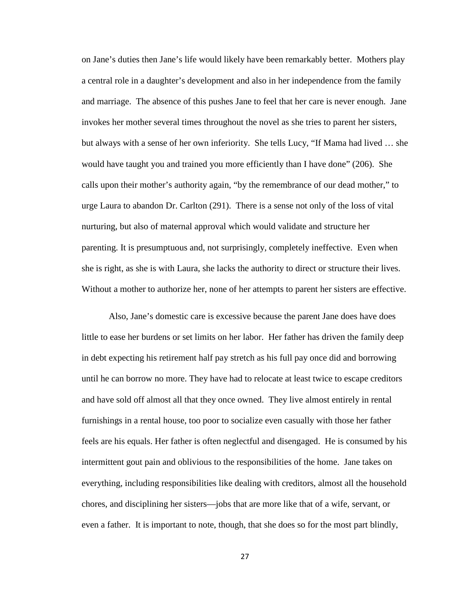on Jane's duties then Jane's life would likely have been remarkably better. Mothers play a central role in a daughter's development and also in her independence from the family and marriage. The absence of this pushes Jane to feel that her care is never enough. Jane invokes her mother several times throughout the novel as she tries to parent her sisters, but always with a sense of her own inferiority. She tells Lucy, "If Mama had lived … she would have taught you and trained you more efficiently than I have done" (206). She calls upon their mother's authority again, "by the remembrance of our dead mother," to urge Laura to abandon Dr. Carlton (291). There is a sense not only of the loss of vital nurturing, but also of maternal approval which would validate and structure her parenting. It is presumptuous and, not surprisingly, completely ineffective. Even when she is right, as she is with Laura, she lacks the authority to direct or structure their lives. Without a mother to authorize her, none of her attempts to parent her sisters are effective.

Also, Jane's domestic care is excessive because the parent Jane does have does little to ease her burdens or set limits on her labor. Her father has driven the family deep in debt expecting his retirement half pay stretch as his full pay once did and borrowing until he can borrow no more. They have had to relocate at least twice to escape creditors and have sold off almost all that they once owned. They live almost entirely in rental furnishings in a rental house, too poor to socialize even casually with those her father feels are his equals. Her father is often neglectful and disengaged. He is consumed by his intermittent gout pain and oblivious to the responsibilities of the home. Jane takes on everything, including responsibilities like dealing with creditors, almost all the household chores, and disciplining her sisters—jobs that are more like that of a wife, servant, or even a father. It is important to note, though, that she does so for the most part blindly,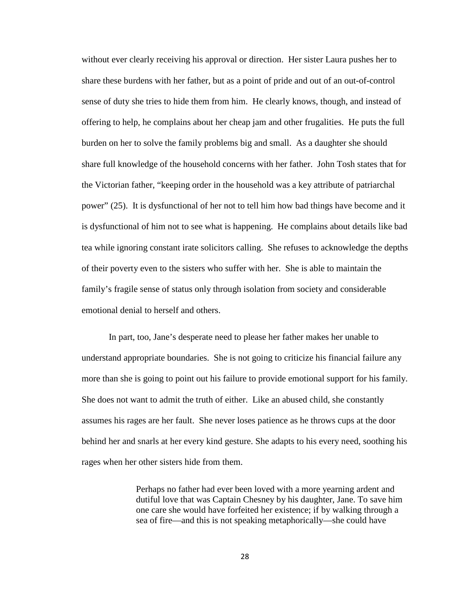without ever clearly receiving his approval or direction. Her sister Laura pushes her to share these burdens with her father, but as a point of pride and out of an out-of-control sense of duty she tries to hide them from him. He clearly knows, though, and instead of offering to help, he complains about her cheap jam and other frugalities. He puts the full burden on her to solve the family problems big and small. As a daughter she should share full knowledge of the household concerns with her father. John Tosh states that for the Victorian father, "keeping order in the household was a key attribute of patriarchal power" (25). It is dysfunctional of her not to tell him how bad things have become and it is dysfunctional of him not to see what is happening. He complains about details like bad tea while ignoring constant irate solicitors calling. She refuses to acknowledge the depths of their poverty even to the sisters who suffer with her. She is able to maintain the family's fragile sense of status only through isolation from society and considerable emotional denial to herself and others.

In part, too, Jane's desperate need to please her father makes her unable to understand appropriate boundaries. She is not going to criticize his financial failure any more than she is going to point out his failure to provide emotional support for his family. She does not want to admit the truth of either. Like an abused child, she constantly assumes his rages are her fault. She never loses patience as he throws cups at the door behind her and snarls at her every kind gesture. She adapts to his every need, soothing his rages when her other sisters hide from them.

> Perhaps no father had ever been loved with a more yearning ardent and dutiful love that was Captain Chesney by his daughter, Jane. To save him one care she would have forfeited her existence; if by walking through a sea of fire—and this is not speaking metaphorically—she could have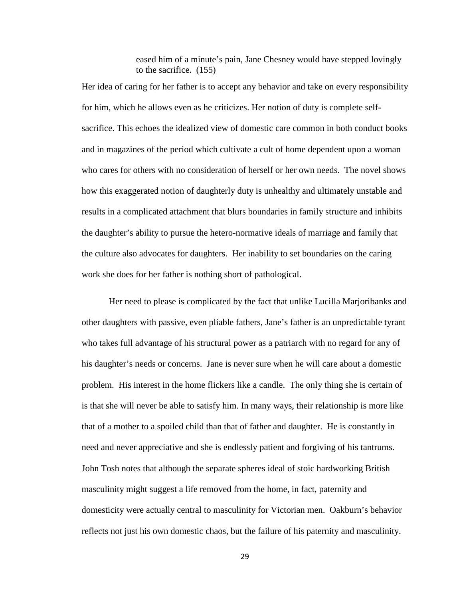eased him of a minute's pain, Jane Chesney would have stepped lovingly to the sacrifice. (155)

Her idea of caring for her father is to accept any behavior and take on every responsibility for him, which he allows even as he criticizes. Her notion of duty is complete selfsacrifice. This echoes the idealized view of domestic care common in both conduct books and in magazines of the period which cultivate a cult of home dependent upon a woman who cares for others with no consideration of herself or her own needs. The novel shows how this exaggerated notion of daughterly duty is unhealthy and ultimately unstable and results in a complicated attachment that blurs boundaries in family structure and inhibits the daughter's ability to pursue the hetero-normative ideals of marriage and family that the culture also advocates for daughters. Her inability to set boundaries on the caring work she does for her father is nothing short of pathological.

Her need to please is complicated by the fact that unlike Lucilla Marjoribanks and other daughters with passive, even pliable fathers, Jane's father is an unpredictable tyrant who takes full advantage of his structural power as a patriarch with no regard for any of his daughter's needs or concerns. Jane is never sure when he will care about a domestic problem. His interest in the home flickers like a candle. The only thing she is certain of is that she will never be able to satisfy him. In many ways, their relationship is more like that of a mother to a spoiled child than that of father and daughter. He is constantly in need and never appreciative and she is endlessly patient and forgiving of his tantrums. John Tosh notes that although the separate spheres ideal of stoic hardworking British masculinity might suggest a life removed from the home, in fact, paternity and domesticity were actually central to masculinity for Victorian men. Oakburn's behavior reflects not just his own domestic chaos, but the failure of his paternity and masculinity.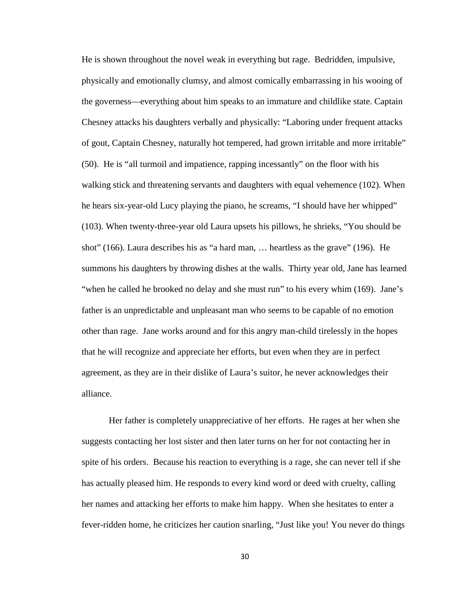He is shown throughout the novel weak in everything but rage. Bedridden, impulsive, physically and emotionally clumsy, and almost comically embarrassing in his wooing of the governess—everything about him speaks to an immature and childlike state. Captain Chesney attacks his daughters verbally and physically: "Laboring under frequent attacks of gout, Captain Chesney, naturally hot tempered, had grown irritable and more irritable" (50). He is "all turmoil and impatience, rapping incessantly" on the floor with his walking stick and threatening servants and daughters with equal vehemence (102). When he hears six-year-old Lucy playing the piano, he screams, "I should have her whipped" (103). When twenty-three-year old Laura upsets his pillows, he shrieks, "You should be shot" (166). Laura describes his as "a hard man, … heartless as the grave" (196). He summons his daughters by throwing dishes at the walls. Thirty year old, Jane has learned "when he called he brooked no delay and she must run" to his every whim (169). Jane's father is an unpredictable and unpleasant man who seems to be capable of no emotion other than rage. Jane works around and for this angry man-child tirelessly in the hopes that he will recognize and appreciate her efforts, but even when they are in perfect agreement, as they are in their dislike of Laura's suitor, he never acknowledges their alliance.

Her father is completely unappreciative of her efforts. He rages at her when she suggests contacting her lost sister and then later turns on her for not contacting her in spite of his orders. Because his reaction to everything is a rage, she can never tell if she has actually pleased him. He responds to every kind word or deed with cruelty, calling her names and attacking her efforts to make him happy. When she hesitates to enter a fever-ridden home, he criticizes her caution snarling, "Just like you! You never do things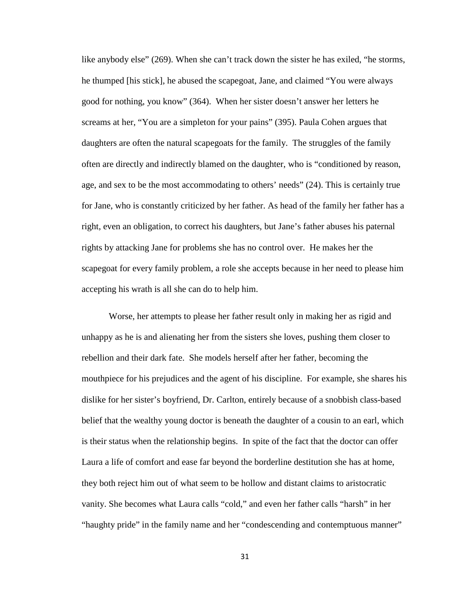like anybody else" (269). When she can't track down the sister he has exiled, "he storms, he thumped [his stick], he abused the scapegoat, Jane, and claimed "You were always good for nothing, you know" (364). When her sister doesn't answer her letters he screams at her, "You are a simpleton for your pains" (395). Paula Cohen argues that daughters are often the natural scapegoats for the family. The struggles of the family often are directly and indirectly blamed on the daughter, who is "conditioned by reason, age, and sex to be the most accommodating to others' needs" (24). This is certainly true for Jane, who is constantly criticized by her father. As head of the family her father has a right, even an obligation, to correct his daughters, but Jane's father abuses his paternal rights by attacking Jane for problems she has no control over. He makes her the scapegoat for every family problem, a role she accepts because in her need to please him accepting his wrath is all she can do to help him.

Worse, her attempts to please her father result only in making her as rigid and unhappy as he is and alienating her from the sisters she loves, pushing them closer to rebellion and their dark fate. She models herself after her father, becoming the mouthpiece for his prejudices and the agent of his discipline. For example, she shares his dislike for her sister's boyfriend, Dr. Carlton, entirely because of a snobbish class-based belief that the wealthy young doctor is beneath the daughter of a cousin to an earl, which is their status when the relationship begins. In spite of the fact that the doctor can offer Laura a life of comfort and ease far beyond the borderline destitution she has at home, they both reject him out of what seem to be hollow and distant claims to aristocratic vanity. She becomes what Laura calls "cold," and even her father calls "harsh" in her "haughty pride" in the family name and her "condescending and contemptuous manner"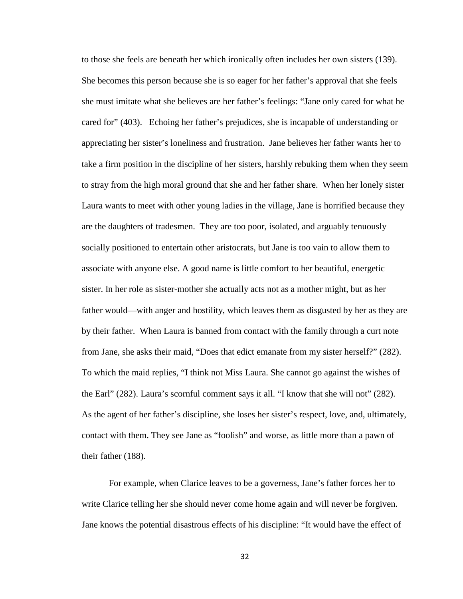to those she feels are beneath her which ironically often includes her own sisters (139). She becomes this person because she is so eager for her father's approval that she feels she must imitate what she believes are her father's feelings: "Jane only cared for what he cared for" (403). Echoing her father's prejudices, she is incapable of understanding or appreciating her sister's loneliness and frustration. Jane believes her father wants her to take a firm position in the discipline of her sisters, harshly rebuking them when they seem to stray from the high moral ground that she and her father share. When her lonely sister Laura wants to meet with other young ladies in the village, Jane is horrified because they are the daughters of tradesmen. They are too poor, isolated, and arguably tenuously socially positioned to entertain other aristocrats, but Jane is too vain to allow them to associate with anyone else. A good name is little comfort to her beautiful, energetic sister. In her role as sister-mother she actually acts not as a mother might, but as her father would—with anger and hostility, which leaves them as disgusted by her as they are by their father. When Laura is banned from contact with the family through a curt note from Jane, she asks their maid, "Does that edict emanate from my sister herself?" (282). To which the maid replies, "I think not Miss Laura. She cannot go against the wishes of the Earl" (282). Laura's scornful comment says it all. "I know that she will not" (282). As the agent of her father's discipline, she loses her sister's respect, love, and, ultimately, contact with them. They see Jane as "foolish" and worse, as little more than a pawn of their father (188).

For example, when Clarice leaves to be a governess, Jane's father forces her to write Clarice telling her she should never come home again and will never be forgiven. Jane knows the potential disastrous effects of his discipline: "It would have the effect of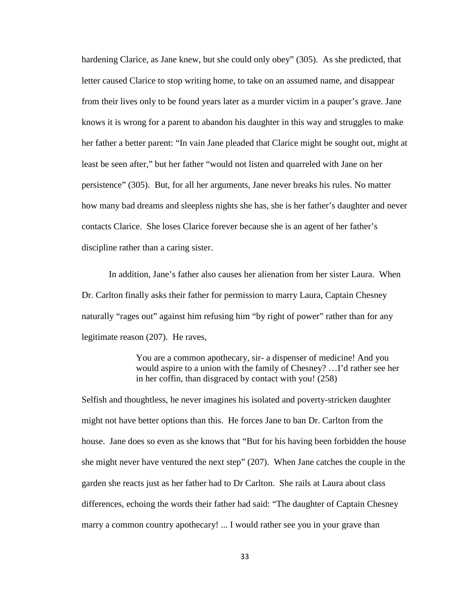hardening Clarice, as Jane knew, but she could only obey" (305). As she predicted, that letter caused Clarice to stop writing home, to take on an assumed name, and disappear from their lives only to be found years later as a murder victim in a pauper's grave. Jane knows it is wrong for a parent to abandon his daughter in this way and struggles to make her father a better parent: "In vain Jane pleaded that Clarice might be sought out, might at least be seen after," but her father "would not listen and quarreled with Jane on her persistence" (305). But, for all her arguments, Jane never breaks his rules. No matter how many bad dreams and sleepless nights she has, she is her father's daughter and never contacts Clarice. She loses Clarice forever because she is an agent of her father's discipline rather than a caring sister.

In addition, Jane's father also causes her alienation from her sister Laura. When Dr. Carlton finally asks their father for permission to marry Laura, Captain Chesney naturally "rages out" against him refusing him "by right of power" rather than for any legitimate reason (207). He raves,

> You are a common apothecary, sir- a dispenser of medicine! And you would aspire to a union with the family of Chesney? …I'd rather see her in her coffin, than disgraced by contact with you! (258)

Selfish and thoughtless, he never imagines his isolated and poverty-stricken daughter might not have better options than this. He forces Jane to ban Dr. Carlton from the house. Jane does so even as she knows that "But for his having been forbidden the house she might never have ventured the next step" (207). When Jane catches the couple in the garden she reacts just as her father had to Dr Carlton. She rails at Laura about class differences, echoing the words their father had said: "The daughter of Captain Chesney marry a common country apothecary! ... I would rather see you in your grave than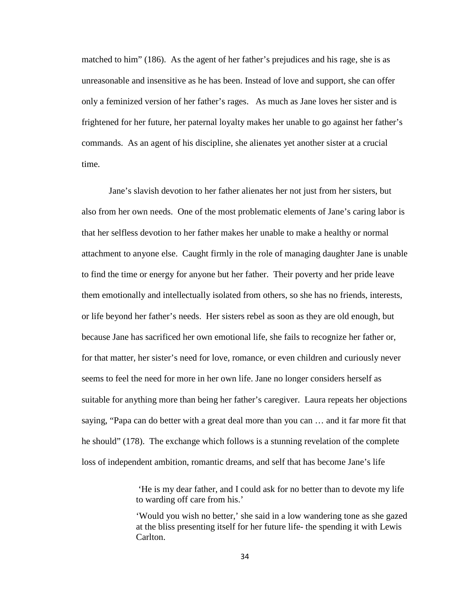matched to him" (186). As the agent of her father's prejudices and his rage, she is as unreasonable and insensitive as he has been. Instead of love and support, she can offer only a feminized version of her father's rages. As much as Jane loves her sister and is frightened for her future, her paternal loyalty makes her unable to go against her father's commands. As an agent of his discipline, she alienates yet another sister at a crucial time.

Jane's slavish devotion to her father alienates her not just from her sisters, but also from her own needs. One of the most problematic elements of Jane's caring labor is that her selfless devotion to her father makes her unable to make a healthy or normal attachment to anyone else. Caught firmly in the role of managing daughter Jane is unable to find the time or energy for anyone but her father. Their poverty and her pride leave them emotionally and intellectually isolated from others, so she has no friends, interests, or life beyond her father's needs. Her sisters rebel as soon as they are old enough, but because Jane has sacrificed her own emotional life, she fails to recognize her father or, for that matter, her sister's need for love, romance, or even children and curiously never seems to feel the need for more in her own life. Jane no longer considers herself as suitable for anything more than being her father's caregiver. Laura repeats her objections saying, "Papa can do better with a great deal more than you can … and it far more fit that he should" (178). The exchange which follows is a stunning revelation of the complete loss of independent ambition, romantic dreams, and self that has become Jane's life

> 'He is my dear father, and I could ask for no better than to devote my life to warding off care from his.'

'Would you wish no better,' she said in a low wandering tone as she gazed at the bliss presenting itself for her future life- the spending it with Lewis Carlton.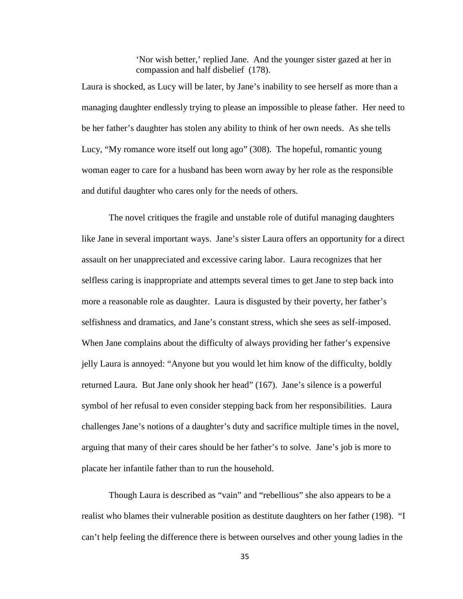'Nor wish better,' replied Jane. And the younger sister gazed at her in compassion and half disbelief (178).

Laura is shocked, as Lucy will be later, by Jane's inability to see herself as more than a managing daughter endlessly trying to please an impossible to please father. Her need to be her father's daughter has stolen any ability to think of her own needs. As she tells Lucy, "My romance wore itself out long ago" (308). The hopeful, romantic young woman eager to care for a husband has been worn away by her role as the responsible and dutiful daughter who cares only for the needs of others.

The novel critiques the fragile and unstable role of dutiful managing daughters like Jane in several important ways. Jane's sister Laura offers an opportunity for a direct assault on her unappreciated and excessive caring labor. Laura recognizes that her selfless caring is inappropriate and attempts several times to get Jane to step back into more a reasonable role as daughter. Laura is disgusted by their poverty, her father's selfishness and dramatics, and Jane's constant stress, which she sees as self-imposed. When Jane complains about the difficulty of always providing her father's expensive jelly Laura is annoyed: "Anyone but you would let him know of the difficulty, boldly returned Laura. But Jane only shook her head" (167). Jane's silence is a powerful symbol of her refusal to even consider stepping back from her responsibilities. Laura challenges Jane's notions of a daughter's duty and sacrifice multiple times in the novel, arguing that many of their cares should be her father's to solve. Jane's job is more to placate her infantile father than to run the household.

Though Laura is described as "vain" and "rebellious" she also appears to be a realist who blames their vulnerable position as destitute daughters on her father (198). "I can't help feeling the difference there is between ourselves and other young ladies in the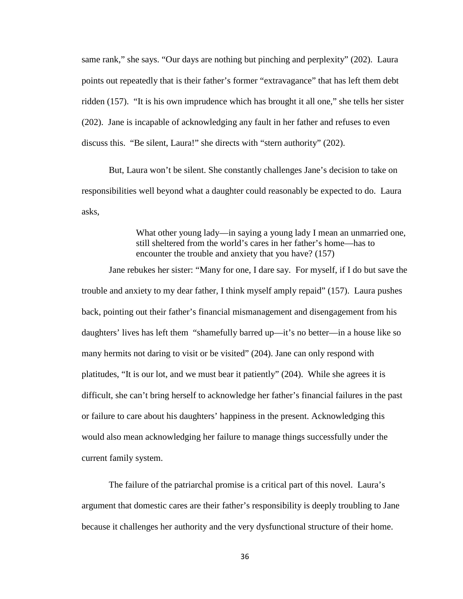same rank," she says. "Our days are nothing but pinching and perplexity" (202). Laura points out repeatedly that is their father's former "extravagance" that has left them debt ridden (157). "It is his own imprudence which has brought it all one," she tells her sister (202). Jane is incapable of acknowledging any fault in her father and refuses to even discuss this. "Be silent, Laura!" she directs with "stern authority" (202).

But, Laura won't be silent. She constantly challenges Jane's decision to take on responsibilities well beyond what a daughter could reasonably be expected to do. Laura asks,

> What other young lady—in saying a young lady I mean an unmarried one, still sheltered from the world's cares in her father's home—has to encounter the trouble and anxiety that you have? (157)

Jane rebukes her sister: "Many for one, I dare say. For myself, if I do but save the trouble and anxiety to my dear father, I think myself amply repaid" (157). Laura pushes back, pointing out their father's financial mismanagement and disengagement from his daughters' lives has left them "shamefully barred up—it's no better—in a house like so many hermits not daring to visit or be visited" (204). Jane can only respond with platitudes, "It is our lot, and we must bear it patiently" (204). While she agrees it is difficult, she can't bring herself to acknowledge her father's financial failures in the past or failure to care about his daughters' happiness in the present. Acknowledging this would also mean acknowledging her failure to manage things successfully under the current family system.

The failure of the patriarchal promise is a critical part of this novel. Laura's argument that domestic cares are their father's responsibility is deeply troubling to Jane because it challenges her authority and the very dysfunctional structure of their home.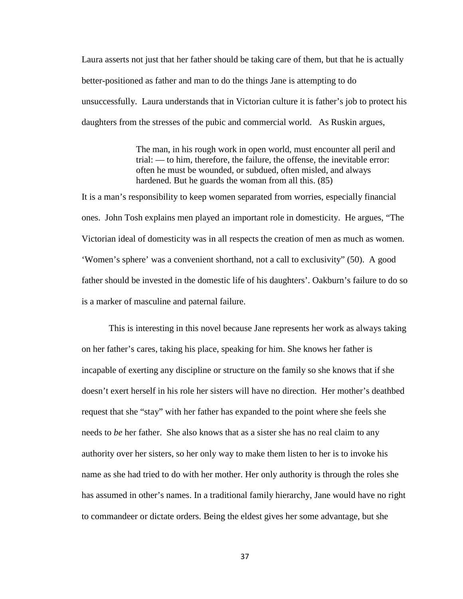Laura asserts not just that her father should be taking care of them, but that he is actually better-positioned as father and man to do the things Jane is attempting to do unsuccessfully. Laura understands that in Victorian culture it is father's job to protect his daughters from the stresses of the pubic and commercial world. As Ruskin argues,

> The man, in his rough work in open world, must encounter all peril and trial: — to him, therefore, the failure, the offense, the inevitable error: often he must be wounded, or subdued, often misled, and always hardened. But he guards the woman from all this. (85)

It is a man's responsibility to keep women separated from worries, especially financial ones. John Tosh explains men played an important role in domesticity. He argues, "The Victorian ideal of domesticity was in all respects the creation of men as much as women. 'Women's sphere' was a convenient shorthand, not a call to exclusivity" (50). A good father should be invested in the domestic life of his daughters'. Oakburn's failure to do so is a marker of masculine and paternal failure.

This is interesting in this novel because Jane represents her work as always taking on her father's cares, taking his place, speaking for him. She knows her father is incapable of exerting any discipline or structure on the family so she knows that if she doesn't exert herself in his role her sisters will have no direction. Her mother's deathbed request that she "stay" with her father has expanded to the point where she feels she needs to *be* her father. She also knows that as a sister she has no real claim to any authority over her sisters, so her only way to make them listen to her is to invoke his name as she had tried to do with her mother. Her only authority is through the roles she has assumed in other's names. In a traditional family hierarchy, Jane would have no right to commandeer or dictate orders. Being the eldest gives her some advantage, but she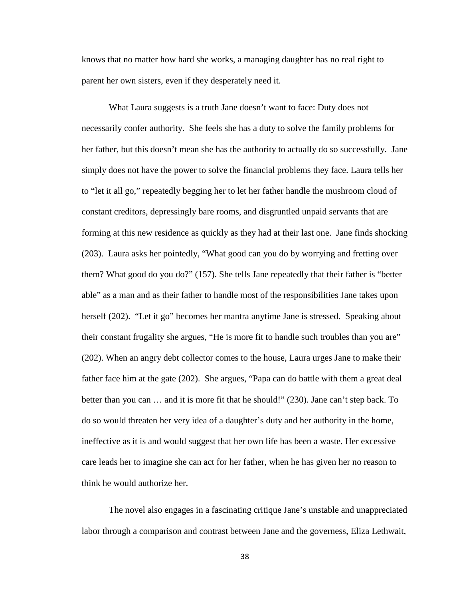knows that no matter how hard she works, a managing daughter has no real right to parent her own sisters, even if they desperately need it.

What Laura suggests is a truth Jane doesn't want to face: Duty does not necessarily confer authority. She feels she has a duty to solve the family problems for her father, but this doesn't mean she has the authority to actually do so successfully. Jane simply does not have the power to solve the financial problems they face. Laura tells her to "let it all go," repeatedly begging her to let her father handle the mushroom cloud of constant creditors, depressingly bare rooms, and disgruntled unpaid servants that are forming at this new residence as quickly as they had at their last one. Jane finds shocking (203). Laura asks her pointedly, "What good can you do by worrying and fretting over them? What good do you do?" (157). She tells Jane repeatedly that their father is "better able" as a man and as their father to handle most of the responsibilities Jane takes upon herself (202). "Let it go" becomes her mantra anytime Jane is stressed. Speaking about their constant frugality she argues, "He is more fit to handle such troubles than you are" (202). When an angry debt collector comes to the house, Laura urges Jane to make their father face him at the gate (202). She argues, "Papa can do battle with them a great deal better than you can … and it is more fit that he should!" (230). Jane can't step back. To do so would threaten her very idea of a daughter's duty and her authority in the home, ineffective as it is and would suggest that her own life has been a waste. Her excessive care leads her to imagine she can act for her father, when he has given her no reason to think he would authorize her.

The novel also engages in a fascinating critique Jane's unstable and unappreciated labor through a comparison and contrast between Jane and the governess, Eliza Lethwait,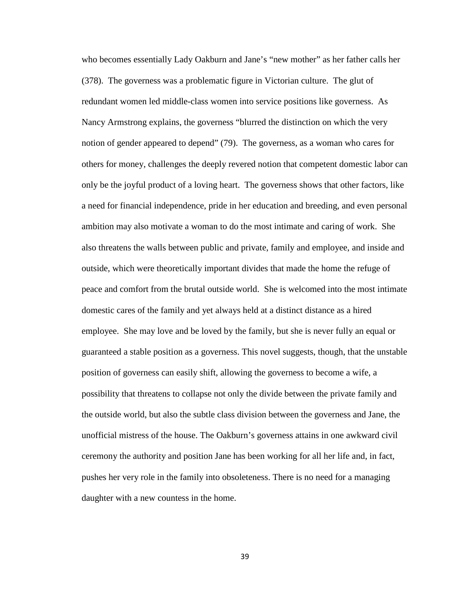who becomes essentially Lady Oakburn and Jane's "new mother" as her father calls her (378). The governess was a problematic figure in Victorian culture. The glut of redundant women led middle-class women into service positions like governess. As Nancy Armstrong explains, the governess "blurred the distinction on which the very notion of gender appeared to depend" (79). The governess, as a woman who cares for others for money, challenges the deeply revered notion that competent domestic labor can only be the joyful product of a loving heart. The governess shows that other factors, like a need for financial independence, pride in her education and breeding, and even personal ambition may also motivate a woman to do the most intimate and caring of work. She also threatens the walls between public and private, family and employee, and inside and outside, which were theoretically important divides that made the home the refuge of peace and comfort from the brutal outside world. She is welcomed into the most intimate domestic cares of the family and yet always held at a distinct distance as a hired employee. She may love and be loved by the family, but she is never fully an equal or guaranteed a stable position as a governess. This novel suggests, though, that the unstable position of governess can easily shift, allowing the governess to become a wife, a possibility that threatens to collapse not only the divide between the private family and the outside world, but also the subtle class division between the governess and Jane, the unofficial mistress of the house. The Oakburn's governess attains in one awkward civil ceremony the authority and position Jane has been working for all her life and, in fact, pushes her very role in the family into obsoleteness. There is no need for a managing daughter with a new countess in the home.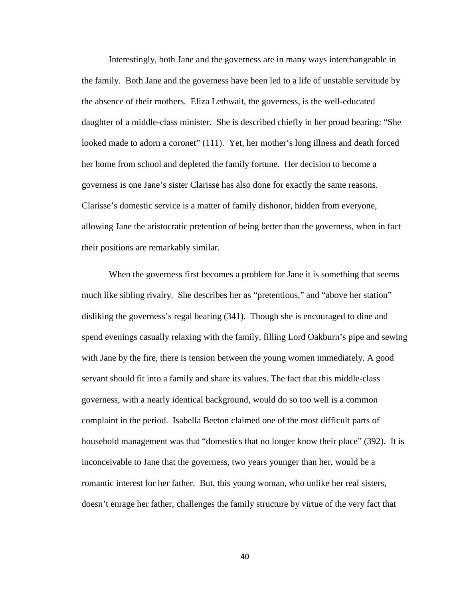Interestingly, both Jane and the governess are in many ways interchangeable in the family. Both Jane and the governess have been led to a life of unstable servitude by the absence of their mothers. Eliza Lethwait, the governess, is the well-educated daughter of a middle-class minister. She is described chiefly in her proud bearing: "She looked made to adorn a coronet" (111). Yet, her mother's long illness and death forced her home from school and depleted the family fortune. Her decision to become a governess is one Jane's sister Clarisse has also done for exactly the same reasons. Clarisse's domestic service is a matter of family dishonor, hidden from everyone, allowing Jane the aristocratic pretention of being better than the governess, when in fact their positions are remarkably similar.

 When the governess first becomes a problem for Jane it is something that seems much like sibling rivalry. She describes her as "pretentious," and "above her station" disliking the governess's regal bearing (341). Though she is encouraged to dine and spend evenings casually relaxing with the family, filling Lord Oakburn's pipe and sewing with Jane by the fire, there is tension between the young women immediately. A good servant should fit into a family and share its values. The fact that this middle-class governess, with a nearly identical background, would do so too well is a common complaint in the period. Isabella Beeton claimed one of the most difficult parts of household management was that "domestics that no longer know their place" (392). It is inconceivable to Jane that the governess, two years younger than her, would be a romantic interest for her father. But, this young woman, who unlike her real sisters, doesn't enrage her father, challenges the family structure by virtue of the very fact that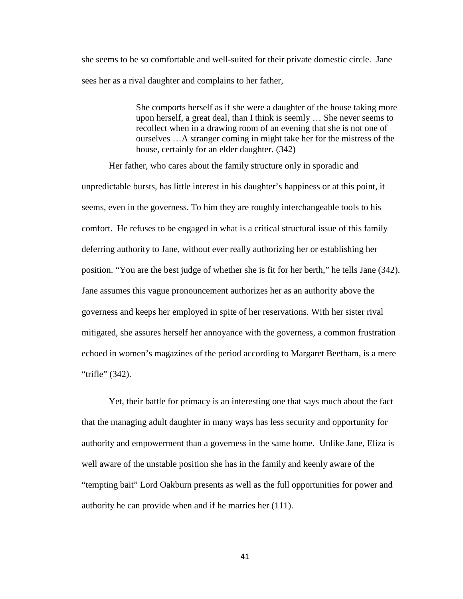she seems to be so comfortable and well-suited for their private domestic circle. Jane sees her as a rival daughter and complains to her father,

> She comports herself as if she were a daughter of the house taking more upon herself, a great deal, than I think is seemly … She never seems to recollect when in a drawing room of an evening that she is not one of ourselves …A stranger coming in might take her for the mistress of the house, certainly for an elder daughter. (342)

Her father, who cares about the family structure only in sporadic and unpredictable bursts, has little interest in his daughter's happiness or at this point, it seems, even in the governess. To him they are roughly interchangeable tools to his comfort. He refuses to be engaged in what is a critical structural issue of this family deferring authority to Jane, without ever really authorizing her or establishing her position. "You are the best judge of whether she is fit for her berth," he tells Jane (342). Jane assumes this vague pronouncement authorizes her as an authority above the governess and keeps her employed in spite of her reservations. With her sister rival mitigated, she assures herself her annoyance with the governess, a common frustration echoed in women's magazines of the period according to Margaret Beetham, is a mere "trifle" (342).

Yet, their battle for primacy is an interesting one that says much about the fact that the managing adult daughter in many ways has less security and opportunity for authority and empowerment than a governess in the same home. Unlike Jane, Eliza is well aware of the unstable position she has in the family and keenly aware of the "tempting bait" Lord Oakburn presents as well as the full opportunities for power and authority he can provide when and if he marries her (111).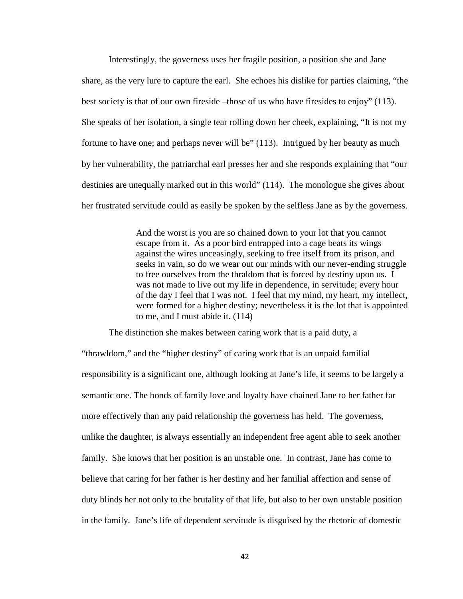Interestingly, the governess uses her fragile position, a position she and Jane share, as the very lure to capture the earl. She echoes his dislike for parties claiming, "the best society is that of our own fireside –those of us who have firesides to enjoy" (113). She speaks of her isolation, a single tear rolling down her cheek, explaining, "It is not my fortune to have one; and perhaps never will be" (113). Intrigued by her beauty as much by her vulnerability, the patriarchal earl presses her and she responds explaining that "our destinies are unequally marked out in this world" (114). The monologue she gives about her frustrated servitude could as easily be spoken by the selfless Jane as by the governess.

> And the worst is you are so chained down to your lot that you cannot escape from it. As a poor bird entrapped into a cage beats its wings against the wires unceasingly, seeking to free itself from its prison, and seeks in vain, so do we wear out our minds with our never-ending struggle to free ourselves from the thraldom that is forced by destiny upon us. I was not made to live out my life in dependence, in servitude; every hour of the day I feel that I was not. I feel that my mind, my heart, my intellect, were formed for a higher destiny; nevertheless it is the lot that is appointed to me, and I must abide it. (114)

The distinction she makes between caring work that is a paid duty, a

"thrawldom," and the "higher destiny" of caring work that is an unpaid familial responsibility is a significant one, although looking at Jane's life, it seems to be largely a semantic one. The bonds of family love and loyalty have chained Jane to her father far more effectively than any paid relationship the governess has held. The governess, unlike the daughter, is always essentially an independent free agent able to seek another family. She knows that her position is an unstable one. In contrast, Jane has come to believe that caring for her father is her destiny and her familial affection and sense of duty blinds her not only to the brutality of that life, but also to her own unstable position in the family. Jane's life of dependent servitude is disguised by the rhetoric of domestic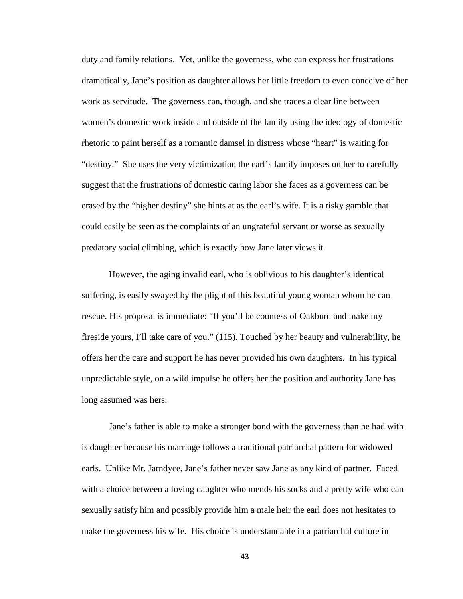duty and family relations. Yet, unlike the governess, who can express her frustrations dramatically, Jane's position as daughter allows her little freedom to even conceive of her work as servitude. The governess can, though, and she traces a clear line between women's domestic work inside and outside of the family using the ideology of domestic rhetoric to paint herself as a romantic damsel in distress whose "heart" is waiting for "destiny." She uses the very victimization the earl's family imposes on her to carefully suggest that the frustrations of domestic caring labor she faces as a governess can be erased by the "higher destiny" she hints at as the earl's wife. It is a risky gamble that could easily be seen as the complaints of an ungrateful servant or worse as sexually predatory social climbing, which is exactly how Jane later views it.

However, the aging invalid earl, who is oblivious to his daughter's identical suffering, is easily swayed by the plight of this beautiful young woman whom he can rescue. His proposal is immediate: "If you'll be countess of Oakburn and make my fireside yours, I'll take care of you." (115). Touched by her beauty and vulnerability, he offers her the care and support he has never provided his own daughters. In his typical unpredictable style, on a wild impulse he offers her the position and authority Jane has long assumed was hers.

Jane's father is able to make a stronger bond with the governess than he had with is daughter because his marriage follows a traditional patriarchal pattern for widowed earls. Unlike Mr. Jarndyce, Jane's father never saw Jane as any kind of partner. Faced with a choice between a loving daughter who mends his socks and a pretty wife who can sexually satisfy him and possibly provide him a male heir the earl does not hesitates to make the governess his wife. His choice is understandable in a patriarchal culture in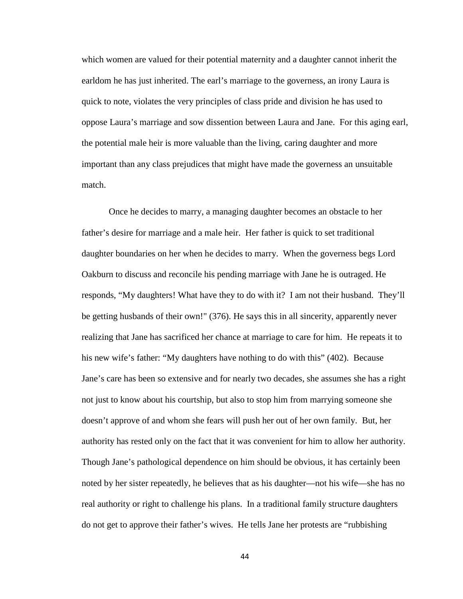which women are valued for their potential maternity and a daughter cannot inherit the earldom he has just inherited. The earl's marriage to the governess, an irony Laura is quick to note, violates the very principles of class pride and division he has used to oppose Laura's marriage and sow dissention between Laura and Jane. For this aging earl, the potential male heir is more valuable than the living, caring daughter and more important than any class prejudices that might have made the governess an unsuitable match.

Once he decides to marry, a managing daughter becomes an obstacle to her father's desire for marriage and a male heir. Her father is quick to set traditional daughter boundaries on her when he decides to marry. When the governess begs Lord Oakburn to discuss and reconcile his pending marriage with Jane he is outraged. He responds, "My daughters! What have they to do with it? I am not their husband. They'll be getting husbands of their own!" (376). He says this in all sincerity, apparently never realizing that Jane has sacrificed her chance at marriage to care for him. He repeats it to his new wife's father: "My daughters have nothing to do with this" (402). Because Jane's care has been so extensive and for nearly two decades, she assumes she has a right not just to know about his courtship, but also to stop him from marrying someone she doesn't approve of and whom she fears will push her out of her own family. But, her authority has rested only on the fact that it was convenient for him to allow her authority. Though Jane's pathological dependence on him should be obvious, it has certainly been noted by her sister repeatedly, he believes that as his daughter—not his wife—she has no real authority or right to challenge his plans. In a traditional family structure daughters do not get to approve their father's wives. He tells Jane her protests are "rubbishing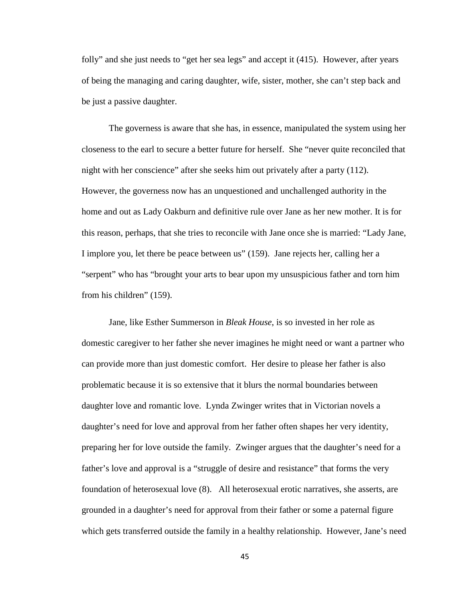folly" and she just needs to "get her sea legs" and accept it (415). However, after years of being the managing and caring daughter, wife, sister, mother, she can't step back and be just a passive daughter.

The governess is aware that she has, in essence, manipulated the system using her closeness to the earl to secure a better future for herself. She "never quite reconciled that night with her conscience" after she seeks him out privately after a party (112). However, the governess now has an unquestioned and unchallenged authority in the home and out as Lady Oakburn and definitive rule over Jane as her new mother. It is for this reason, perhaps, that she tries to reconcile with Jane once she is married: "Lady Jane, I implore you, let there be peace between us" (159). Jane rejects her, calling her a "serpent" who has "brought your arts to bear upon my unsuspicious father and torn him from his children" (159).

Jane, like Esther Summerson in *Bleak House*, is so invested in her role as domestic caregiver to her father she never imagines he might need or want a partner who can provide more than just domestic comfort. Her desire to please her father is also problematic because it is so extensive that it blurs the normal boundaries between daughter love and romantic love. Lynda Zwinger writes that in Victorian novels a daughter's need for love and approval from her father often shapes her very identity, preparing her for love outside the family. Zwinger argues that the daughter's need for a father's love and approval is a "struggle of desire and resistance" that forms the very foundation of heterosexual love (8). All heterosexual erotic narratives, she asserts, are grounded in a daughter's need for approval from their father or some a paternal figure which gets transferred outside the family in a healthy relationship. However, Jane's need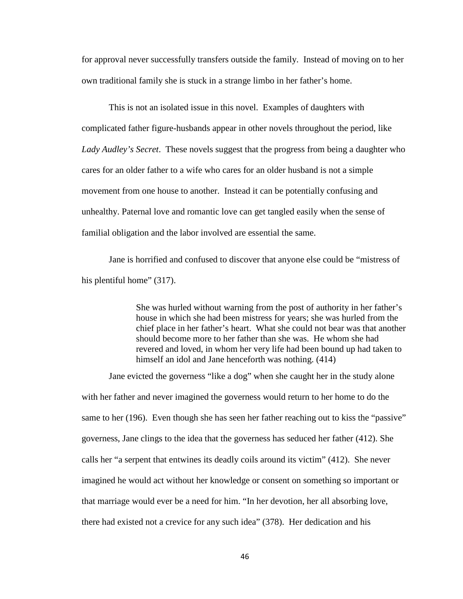for approval never successfully transfers outside the family. Instead of moving on to her own traditional family she is stuck in a strange limbo in her father's home.

This is not an isolated issue in this novel. Examples of daughters with complicated father figure-husbands appear in other novels throughout the period, like *Lady Audley's Secret*. These novels suggest that the progress from being a daughter who cares for an older father to a wife who cares for an older husband is not a simple movement from one house to another. Instead it can be potentially confusing and unhealthy. Paternal love and romantic love can get tangled easily when the sense of familial obligation and the labor involved are essential the same.

Jane is horrified and confused to discover that anyone else could be "mistress of his plentiful home" (317).

> She was hurled without warning from the post of authority in her father's house in which she had been mistress for years; she was hurled from the chief place in her father's heart. What she could not bear was that another should become more to her father than she was. He whom she had revered and loved, in whom her very life had been bound up had taken to himself an idol and Jane henceforth was nothing. (414)

Jane evicted the governess "like a dog" when she caught her in the study alone with her father and never imagined the governess would return to her home to do the same to her (196). Even though she has seen her father reaching out to kiss the "passive" governess, Jane clings to the idea that the governess has seduced her father (412). She calls her "a serpent that entwines its deadly coils around its victim" (412). She never imagined he would act without her knowledge or consent on something so important or that marriage would ever be a need for him. "In her devotion, her all absorbing love, there had existed not a crevice for any such idea" (378). Her dedication and his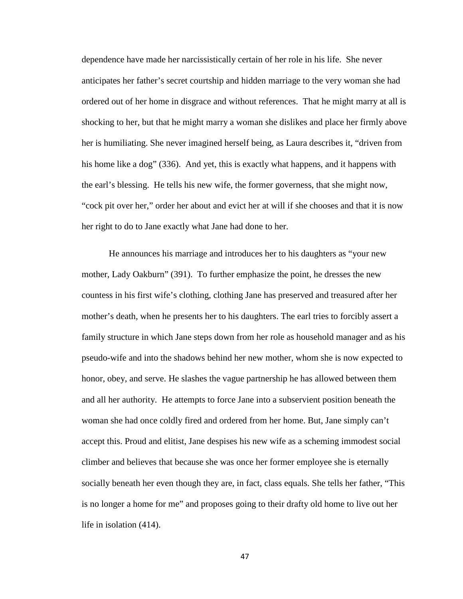dependence have made her narcissistically certain of her role in his life. She never anticipates her father's secret courtship and hidden marriage to the very woman she had ordered out of her home in disgrace and without references. That he might marry at all is shocking to her, but that he might marry a woman she dislikes and place her firmly above her is humiliating. She never imagined herself being, as Laura describes it, "driven from his home like a dog" (336). And yet, this is exactly what happens, and it happens with the earl's blessing. He tells his new wife, the former governess, that she might now, "cock pit over her," order her about and evict her at will if she chooses and that it is now her right to do to Jane exactly what Jane had done to her.

He announces his marriage and introduces her to his daughters as "your new mother, Lady Oakburn" (391). To further emphasize the point, he dresses the new countess in his first wife's clothing, clothing Jane has preserved and treasured after her mother's death, when he presents her to his daughters. The earl tries to forcibly assert a family structure in which Jane steps down from her role as household manager and as his pseudo-wife and into the shadows behind her new mother, whom she is now expected to honor, obey, and serve. He slashes the vague partnership he has allowed between them and all her authority. He attempts to force Jane into a subservient position beneath the woman she had once coldly fired and ordered from her home. But, Jane simply can't accept this. Proud and elitist, Jane despises his new wife as a scheming immodest social climber and believes that because she was once her former employee she is eternally socially beneath her even though they are, in fact, class equals. She tells her father, "This is no longer a home for me" and proposes going to their drafty old home to live out her life in isolation (414).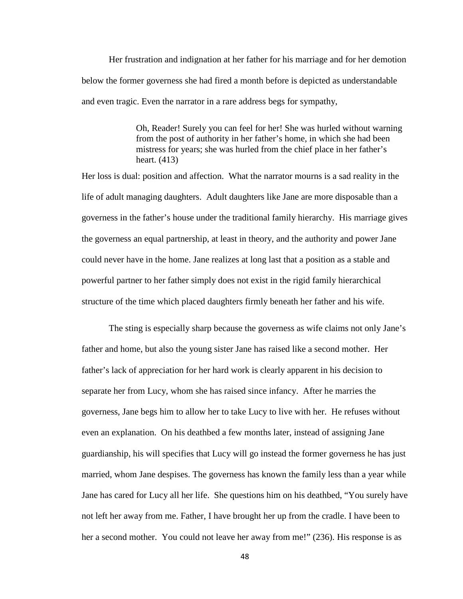Her frustration and indignation at her father for his marriage and for her demotion below the former governess she had fired a month before is depicted as understandable and even tragic. Even the narrator in a rare address begs for sympathy,

> Oh, Reader! Surely you can feel for her! She was hurled without warning from the post of authority in her father's home, in which she had been mistress for years; she was hurled from the chief place in her father's heart. (413)

Her loss is dual: position and affection. What the narrator mourns is a sad reality in the life of adult managing daughters. Adult daughters like Jane are more disposable than a governess in the father's house under the traditional family hierarchy. His marriage gives the governess an equal partnership, at least in theory, and the authority and power Jane could never have in the home. Jane realizes at long last that a position as a stable and powerful partner to her father simply does not exist in the rigid family hierarchical structure of the time which placed daughters firmly beneath her father and his wife.

The sting is especially sharp because the governess as wife claims not only Jane's father and home, but also the young sister Jane has raised like a second mother. Her father's lack of appreciation for her hard work is clearly apparent in his decision to separate her from Lucy, whom she has raised since infancy. After he marries the governess, Jane begs him to allow her to take Lucy to live with her. He refuses without even an explanation. On his deathbed a few months later, instead of assigning Jane guardianship, his will specifies that Lucy will go instead the former governess he has just married, whom Jane despises. The governess has known the family less than a year while Jane has cared for Lucy all her life. She questions him on his deathbed, "You surely have not left her away from me. Father, I have brought her up from the cradle. I have been to her a second mother. You could not leave her away from me!" (236). His response is as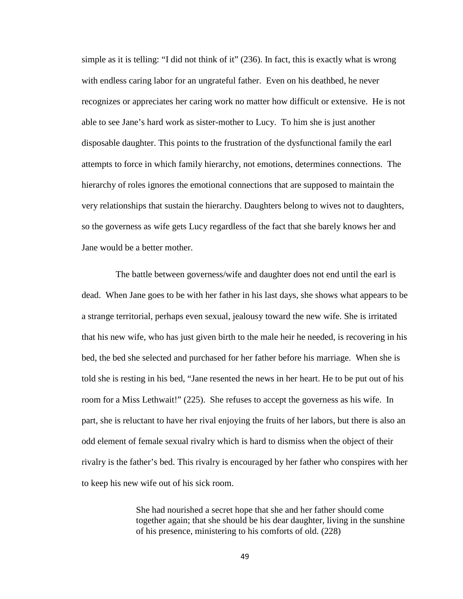simple as it is telling: "I did not think of it" (236). In fact, this is exactly what is wrong with endless caring labor for an ungrateful father. Even on his deathbed, he never recognizes or appreciates her caring work no matter how difficult or extensive. He is not able to see Jane's hard work as sister-mother to Lucy. To him she is just another disposable daughter. This points to the frustration of the dysfunctional family the earl attempts to force in which family hierarchy, not emotions, determines connections. The hierarchy of roles ignores the emotional connections that are supposed to maintain the very relationships that sustain the hierarchy. Daughters belong to wives not to daughters, so the governess as wife gets Lucy regardless of the fact that she barely knows her and Jane would be a better mother.

 The battle between governess/wife and daughter does not end until the earl is dead. When Jane goes to be with her father in his last days, she shows what appears to be a strange territorial, perhaps even sexual, jealousy toward the new wife. She is irritated that his new wife, who has just given birth to the male heir he needed, is recovering in his bed, the bed she selected and purchased for her father before his marriage. When she is told she is resting in his bed, "Jane resented the news in her heart. He to be put out of his room for a Miss Lethwait!" (225). She refuses to accept the governess as his wife. In part, she is reluctant to have her rival enjoying the fruits of her labors, but there is also an odd element of female sexual rivalry which is hard to dismiss when the object of their rivalry is the father's bed. This rivalry is encouraged by her father who conspires with her to keep his new wife out of his sick room.

> She had nourished a secret hope that she and her father should come together again; that she should be his dear daughter, living in the sunshine of his presence, ministering to his comforts of old. (228)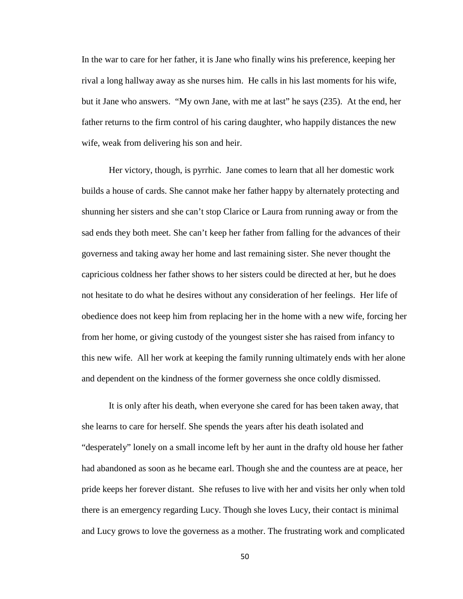In the war to care for her father, it is Jane who finally wins his preference, keeping her rival a long hallway away as she nurses him. He calls in his last moments for his wife, but it Jane who answers. "My own Jane, with me at last" he says (235). At the end, her father returns to the firm control of his caring daughter, who happily distances the new wife, weak from delivering his son and heir.

Her victory, though, is pyrrhic. Jane comes to learn that all her domestic work builds a house of cards. She cannot make her father happy by alternately protecting and shunning her sisters and she can't stop Clarice or Laura from running away or from the sad ends they both meet. She can't keep her father from falling for the advances of their governess and taking away her home and last remaining sister. She never thought the capricious coldness her father shows to her sisters could be directed at her, but he does not hesitate to do what he desires without any consideration of her feelings. Her life of obedience does not keep him from replacing her in the home with a new wife, forcing her from her home, or giving custody of the youngest sister she has raised from infancy to this new wife. All her work at keeping the family running ultimately ends with her alone and dependent on the kindness of the former governess she once coldly dismissed.

It is only after his death, when everyone she cared for has been taken away, that she learns to care for herself. She spends the years after his death isolated and "desperately" lonely on a small income left by her aunt in the drafty old house her father had abandoned as soon as he became earl. Though she and the countess are at peace, her pride keeps her forever distant. She refuses to live with her and visits her only when told there is an emergency regarding Lucy. Though she loves Lucy, their contact is minimal and Lucy grows to love the governess as a mother. The frustrating work and complicated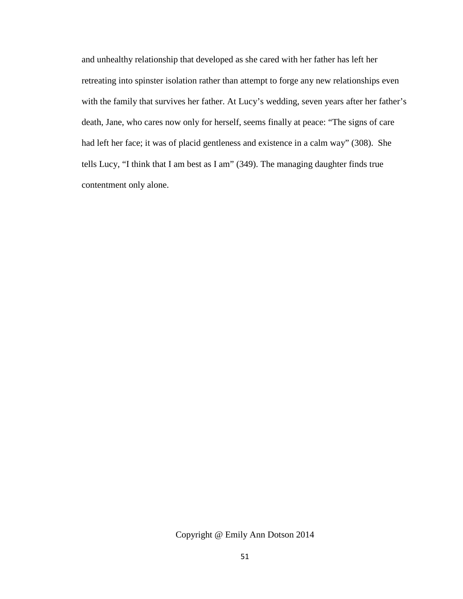and unhealthy relationship that developed as she cared with her father has left her retreating into spinster isolation rather than attempt to forge any new relationships even with the family that survives her father. At Lucy's wedding, seven years after her father's death, Jane, who cares now only for herself, seems finally at peace: "The signs of care had left her face; it was of placid gentleness and existence in a calm way" (308). She tells Lucy, "I think that I am best as I am" (349). The managing daughter finds true contentment only alone.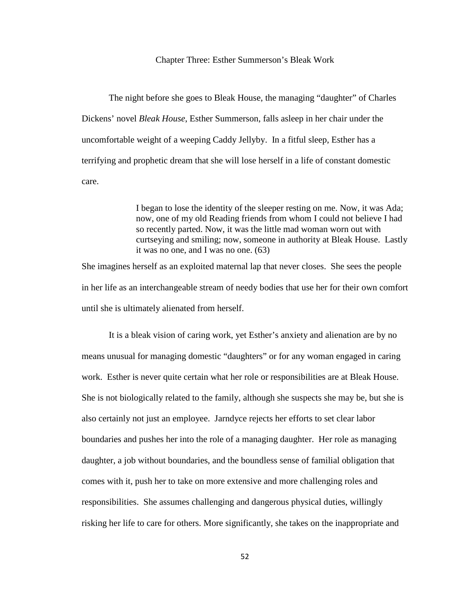## Chapter Three: Esther Summerson's Bleak Work

The night before she goes to Bleak House, the managing "daughter" of Charles Dickens' novel *Bleak House*, Esther Summerson, falls asleep in her chair under the uncomfortable weight of a weeping Caddy Jellyby. In a fitful sleep, Esther has a terrifying and prophetic dream that she will lose herself in a life of constant domestic care.

> I began to lose the identity of the sleeper resting on me. Now, it was Ada; now, one of my old Reading friends from whom I could not believe I had so recently parted. Now, it was the little mad woman worn out with curtseying and smiling; now, someone in authority at Bleak House. Lastly it was no one, and I was no one. (63)

She imagines herself as an exploited maternal lap that never closes. She sees the people in her life as an interchangeable stream of needy bodies that use her for their own comfort until she is ultimately alienated from herself.

It is a bleak vision of caring work, yet Esther's anxiety and alienation are by no means unusual for managing domestic "daughters" or for any woman engaged in caring work. Esther is never quite certain what her role or responsibilities are at Bleak House. She is not biologically related to the family, although she suspects she may be, but she is also certainly not just an employee. Jarndyce rejects her efforts to set clear labor boundaries and pushes her into the role of a managing daughter. Her role as managing daughter, a job without boundaries, and the boundless sense of familial obligation that comes with it, push her to take on more extensive and more challenging roles and responsibilities. She assumes challenging and dangerous physical duties, willingly risking her life to care for others. More significantly, she takes on the inappropriate and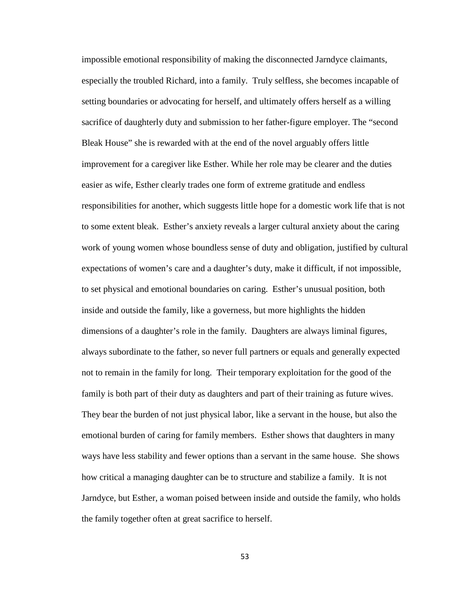impossible emotional responsibility of making the disconnected Jarndyce claimants, especially the troubled Richard, into a family. Truly selfless, she becomes incapable of setting boundaries or advocating for herself, and ultimately offers herself as a willing sacrifice of daughterly duty and submission to her father-figure employer. The "second Bleak House" she is rewarded with at the end of the novel arguably offers little improvement for a caregiver like Esther. While her role may be clearer and the duties easier as wife, Esther clearly trades one form of extreme gratitude and endless responsibilities for another, which suggests little hope for a domestic work life that is not to some extent bleak. Esther's anxiety reveals a larger cultural anxiety about the caring work of young women whose boundless sense of duty and obligation, justified by cultural expectations of women's care and a daughter's duty, make it difficult, if not impossible, to set physical and emotional boundaries on caring. Esther's unusual position, both inside and outside the family, like a governess, but more highlights the hidden dimensions of a daughter's role in the family. Daughters are always liminal figures, always subordinate to the father, so never full partners or equals and generally expected not to remain in the family for long. Their temporary exploitation for the good of the family is both part of their duty as daughters and part of their training as future wives. They bear the burden of not just physical labor, like a servant in the house, but also the emotional burden of caring for family members. Esther shows that daughters in many ways have less stability and fewer options than a servant in the same house. She shows how critical a managing daughter can be to structure and stabilize a family. It is not Jarndyce, but Esther, a woman poised between inside and outside the family, who holds the family together often at great sacrifice to herself.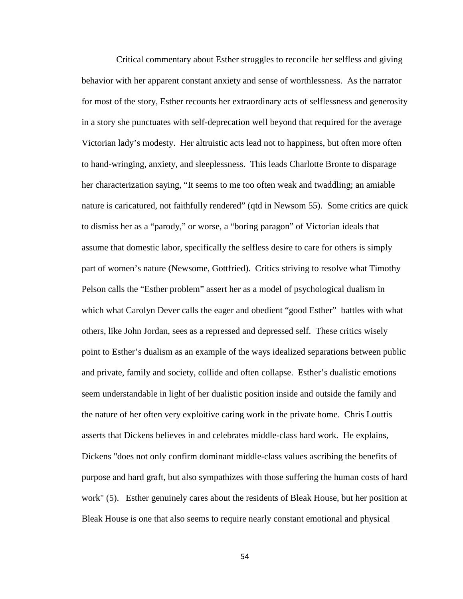Critical commentary about Esther struggles to reconcile her selfless and giving behavior with her apparent constant anxiety and sense of worthlessness. As the narrator for most of the story, Esther recounts her extraordinary acts of selflessness and generosity in a story she punctuates with self-deprecation well beyond that required for the average Victorian lady's modesty. Her altruistic acts lead not to happiness, but often more often to hand-wringing, anxiety, and sleeplessness. This leads Charlotte Bronte to disparage her characterization saying, "It seems to me too often weak and twaddling; an amiable nature is caricatured, not faithfully rendered" (qtd in Newsom 55). Some critics are quick to dismiss her as a "parody," or worse, a "boring paragon" of Victorian ideals that assume that domestic labor, specifically the selfless desire to care for others is simply part of women's nature (Newsome, Gottfried). Critics striving to resolve what Timothy Pelson calls the "Esther problem" assert her as a model of psychological dualism in which what Carolyn Dever calls the eager and obedient "good Esther" battles with what others, like John Jordan, sees as a repressed and depressed self. These critics wisely point to Esther's dualism as an example of the ways idealized separations between public and private, family and society, collide and often collapse. Esther's dualistic emotions seem understandable in light of her dualistic position inside and outside the family and the nature of her often very exploitive caring work in the private home. Chris Louttis asserts that Dickens believes in and celebrates middle-class hard work. He explains, Dickens "does not only confirm dominant middle-class values ascribing the benefits of purpose and hard graft, but also sympathizes with those suffering the human costs of hard work" (5). Esther genuinely cares about the residents of Bleak House, but her position at Bleak House is one that also seems to require nearly constant emotional and physical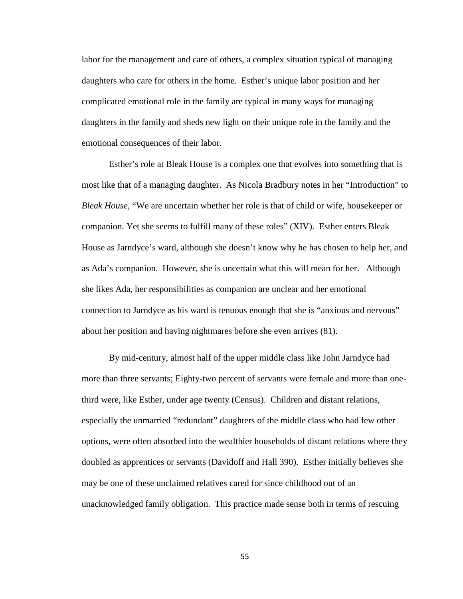labor for the management and care of others, a complex situation typical of managing daughters who care for others in the home. Esther's unique labor position and her complicated emotional role in the family are typical in many ways for managing daughters in the family and sheds new light on their unique role in the family and the emotional consequences of their labor.

Esther's role at Bleak House is a complex one that evolves into something that is most like that of a managing daughter. As Nicola Bradbury notes in her "Introduction" to *Bleak House*, "We are uncertain whether her role is that of child or wife, housekeeper or companion. Yet she seems to fulfill many of these roles" (XIV). Esther enters Bleak House as Jarndyce's ward, although she doesn't know why he has chosen to help her, and as Ada's companion. However, she is uncertain what this will mean for her. Although she likes Ada, her responsibilities as companion are unclear and her emotional connection to Jarndyce as his ward is tenuous enough that she is "anxious and nervous" about her position and having nightmares before she even arrives (81).

By mid-century, almost half of the upper middle class like John Jarndyce had more than three servants; Eighty-two percent of servants were female and more than onethird were, like Esther, under age twenty (Census). Children and distant relations, especially the unmarried "redundant" daughters of the middle class who had few other options, were often absorbed into the wealthier households of distant relations where they doubled as apprentices or servants (Davidoff and Hall 390). Esther initially believes she may be one of these unclaimed relatives cared for since childhood out of an unacknowledged family obligation. This practice made sense both in terms of rescuing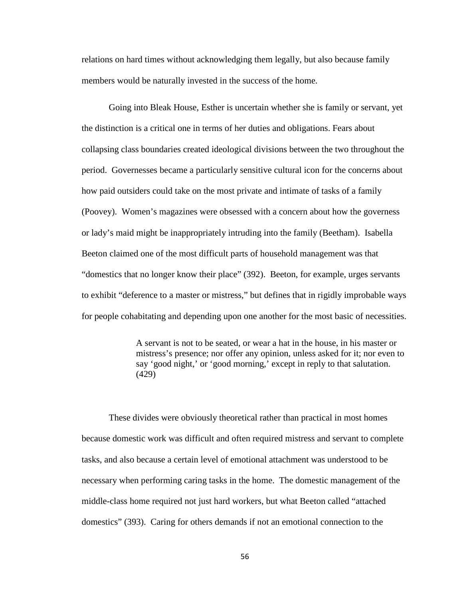relations on hard times without acknowledging them legally, but also because family members would be naturally invested in the success of the home.

Going into Bleak House, Esther is uncertain whether she is family or servant, yet the distinction is a critical one in terms of her duties and obligations. Fears about collapsing class boundaries created ideological divisions between the two throughout the period. Governesses became a particularly sensitive cultural icon for the concerns about how paid outsiders could take on the most private and intimate of tasks of a family (Poovey). Women's magazines were obsessed with a concern about how the governess or lady's maid might be inappropriately intruding into the family (Beetham). Isabella Beeton claimed one of the most difficult parts of household management was that "domestics that no longer know their place" (392). Beeton, for example, urges servants to exhibit "deference to a master or mistress," but defines that in rigidly improbable ways for people cohabitating and depending upon one another for the most basic of necessities.

> A servant is not to be seated, or wear a hat in the house, in his master or mistress's presence; nor offer any opinion, unless asked for it; nor even to say 'good night,' or 'good morning,' except in reply to that salutation. (429)

These divides were obviously theoretical rather than practical in most homes because domestic work was difficult and often required mistress and servant to complete tasks, and also because a certain level of emotional attachment was understood to be necessary when performing caring tasks in the home. The domestic management of the middle-class home required not just hard workers, but what Beeton called "attached domestics" (393). Caring for others demands if not an emotional connection to the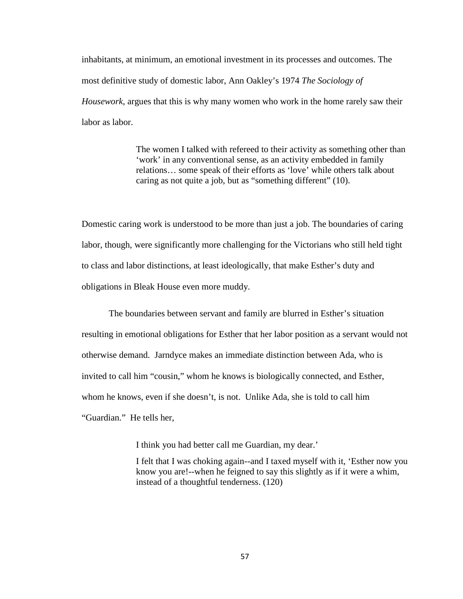inhabitants, at minimum, an emotional investment in its processes and outcomes. The most definitive study of domestic labor, Ann Oakley's 1974 *The Sociology of Housework*, argues that this is why many women who work in the home rarely saw their labor as labor.

> The women I talked with refereed to their activity as something other than 'work' in any conventional sense, as an activity embedded in family relations… some speak of their efforts as 'love' while others talk about caring as not quite a job, but as "something different" (10).

Domestic caring work is understood to be more than just a job. The boundaries of caring labor, though, were significantly more challenging for the Victorians who still held tight to class and labor distinctions, at least ideologically, that make Esther's duty and obligations in Bleak House even more muddy.

The boundaries between servant and family are blurred in Esther's situation resulting in emotional obligations for Esther that her labor position as a servant would not otherwise demand. Jarndyce makes an immediate distinction between Ada, who is invited to call him "cousin," whom he knows is biologically connected, and Esther, whom he knows, even if she doesn't, is not. Unlike Ada, she is told to call him "Guardian." He tells her,

I think you had better call me Guardian, my dear.'

I felt that I was choking again--and I taxed myself with it, 'Esther now you know you are!--when he feigned to say this slightly as if it were a whim, instead of a thoughtful tenderness. (120)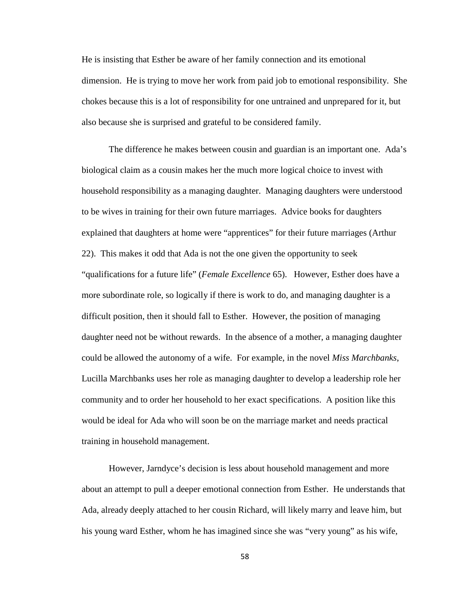He is insisting that Esther be aware of her family connection and its emotional dimension. He is trying to move her work from paid job to emotional responsibility. She chokes because this is a lot of responsibility for one untrained and unprepared for it, but also because she is surprised and grateful to be considered family.

The difference he makes between cousin and guardian is an important one. Ada's biological claim as a cousin makes her the much more logical choice to invest with household responsibility as a managing daughter. Managing daughters were understood to be wives in training for their own future marriages. Advice books for daughters explained that daughters at home were "apprentices" for their future marriages (Arthur 22). This makes it odd that Ada is not the one given the opportunity to seek "qualifications for a future life" (*Female Excellence* 65). However, Esther does have a more subordinate role, so logically if there is work to do, and managing daughter is a difficult position, then it should fall to Esther. However, the position of managing daughter need not be without rewards. In the absence of a mother, a managing daughter could be allowed the autonomy of a wife. For example, in the novel *Miss Marchbanks*, Lucilla Marchbanks uses her role as managing daughter to develop a leadership role her community and to order her household to her exact specifications. A position like this would be ideal for Ada who will soon be on the marriage market and needs practical training in household management.

However, Jarndyce's decision is less about household management and more about an attempt to pull a deeper emotional connection from Esther. He understands that Ada, already deeply attached to her cousin Richard, will likely marry and leave him, but his young ward Esther, whom he has imagined since she was "very young" as his wife,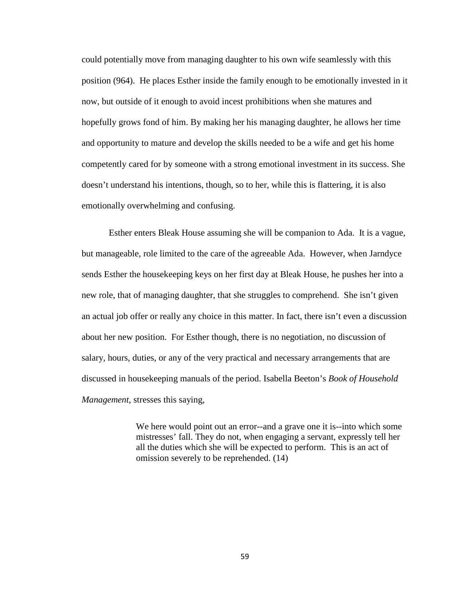could potentially move from managing daughter to his own wife seamlessly with this position (964). He places Esther inside the family enough to be emotionally invested in it now, but outside of it enough to avoid incest prohibitions when she matures and hopefully grows fond of him. By making her his managing daughter, he allows her time and opportunity to mature and develop the skills needed to be a wife and get his home competently cared for by someone with a strong emotional investment in its success. She doesn't understand his intentions, though, so to her, while this is flattering, it is also emotionally overwhelming and confusing.

Esther enters Bleak House assuming she will be companion to Ada. It is a vague, but manageable, role limited to the care of the agreeable Ada. However, when Jarndyce sends Esther the housekeeping keys on her first day at Bleak House, he pushes her into a new role, that of managing daughter, that she struggles to comprehend. She isn't given an actual job offer or really any choice in this matter. In fact, there isn't even a discussion about her new position. For Esther though, there is no negotiation, no discussion of salary, hours, duties, or any of the very practical and necessary arrangements that are discussed in housekeeping manuals of the period. Isabella Beeton's *Book of Household Management*, stresses this saying,

> We here would point out an error--and a grave one it is--into which some mistresses' fall. They do not, when engaging a servant, expressly tell her all the duties which she will be expected to perform. This is an act of omission severely to be reprehended. (14)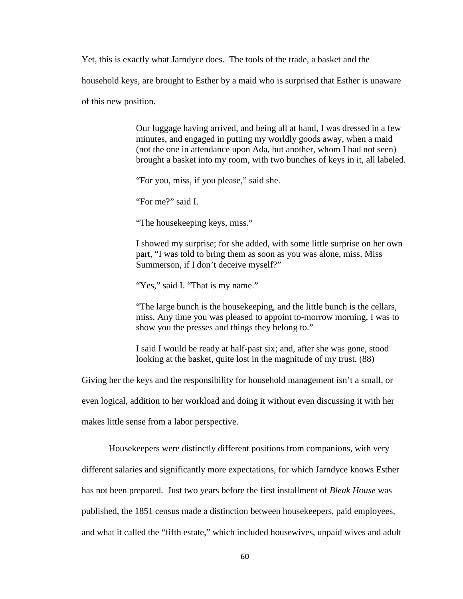Yet, this is exactly what Jarndyce does. The tools of the trade, a basket and the household keys, are brought to Esther by a maid who is surprised that Esther is unaware

of this new position.

Our luggage having arrived, and being all at hand, I was dressed in a few minutes, and engaged in putting my worldly goods away, when a maid (not the one in attendance upon Ada, but another, whom I had not seen) brought a basket into my room, with two bunches of keys in it, all labeled.

"For you, miss, if you please," said she.

"For me?" said I.

"The housekeeping keys, miss."

I showed my surprise; for she added, with some little surprise on her own part, "I was told to bring them as soon as you was alone, miss. Miss Summerson, if I don't deceive myself?"

"Yes," said I. "That is my name."

"The large bunch is the housekeeping, and the little bunch is the cellars, miss. Any time you was pleased to appoint to-morrow morning, I was to show you the presses and things they belong to."

I said I would be ready at half-past six; and, after she was gone, stood looking at the basket, quite lost in the magnitude of my trust. (88)

Giving her the keys and the responsibility for household management isn't a small, or even logical, addition to her workload and doing it without even discussing it with her makes little sense from a labor perspective.

Housekeepers were distinctly different positions from companions, with very

different salaries and significantly more expectations, for which Jarndyce knows Esther

has not been prepared. Just two years before the first installment of *Bleak House* was

published, the 1851 census made a distinction between housekeepers, paid employees,

and what it called the "fifth estate," which included housewives, unpaid wives and adult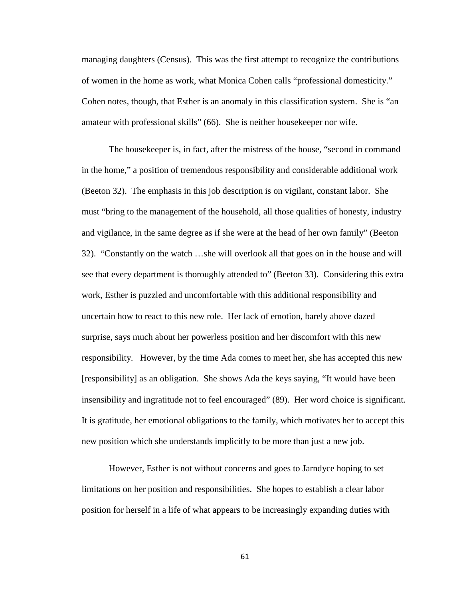managing daughters (Census). This was the first attempt to recognize the contributions of women in the home as work, what Monica Cohen calls "professional domesticity." Cohen notes, though, that Esther is an anomaly in this classification system. She is "an amateur with professional skills" (66). She is neither housekeeper nor wife.

The housekeeper is, in fact, after the mistress of the house, "second in command in the home," a position of tremendous responsibility and considerable additional work (Beeton 32). The emphasis in this job description is on vigilant, constant labor. She must "bring to the management of the household, all those qualities of honesty, industry and vigilance, in the same degree as if she were at the head of her own family" (Beeton 32). "Constantly on the watch …she will overlook all that goes on in the house and will see that every department is thoroughly attended to" (Beeton 33). Considering this extra work, Esther is puzzled and uncomfortable with this additional responsibility and uncertain how to react to this new role. Her lack of emotion, barely above dazed surprise, says much about her powerless position and her discomfort with this new responsibility. However, by the time Ada comes to meet her, she has accepted this new [responsibility] as an obligation. She shows Ada the keys saying, "It would have been insensibility and ingratitude not to feel encouraged" (89). Her word choice is significant. It is gratitude, her emotional obligations to the family, which motivates her to accept this new position which she understands implicitly to be more than just a new job.

However, Esther is not without concerns and goes to Jarndyce hoping to set limitations on her position and responsibilities. She hopes to establish a clear labor position for herself in a life of what appears to be increasingly expanding duties with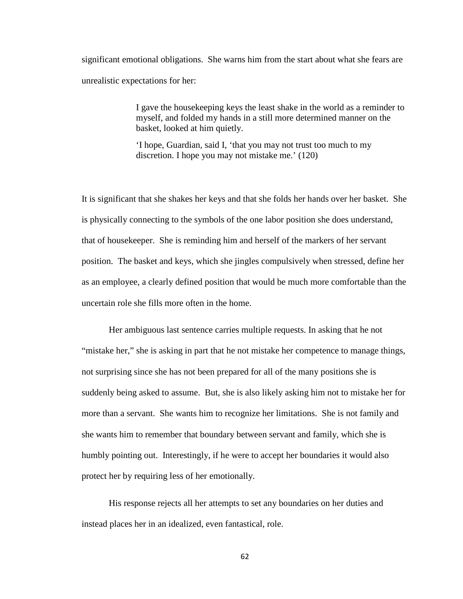significant emotional obligations. She warns him from the start about what she fears are unrealistic expectations for her:

> I gave the housekeeping keys the least shake in the world as a reminder to myself, and folded my hands in a still more determined manner on the basket, looked at him quietly.

'I hope, Guardian, said I, 'that you may not trust too much to my discretion. I hope you may not mistake me.' (120)

It is significant that she shakes her keys and that she folds her hands over her basket. She is physically connecting to the symbols of the one labor position she does understand, that of housekeeper. She is reminding him and herself of the markers of her servant position. The basket and keys, which she jingles compulsively when stressed, define her as an employee, a clearly defined position that would be much more comfortable than the uncertain role she fills more often in the home.

Her ambiguous last sentence carries multiple requests. In asking that he not "mistake her," she is asking in part that he not mistake her competence to manage things, not surprising since she has not been prepared for all of the many positions she is suddenly being asked to assume. But, she is also likely asking him not to mistake her for more than a servant. She wants him to recognize her limitations. She is not family and she wants him to remember that boundary between servant and family, which she is humbly pointing out. Interestingly, if he were to accept her boundaries it would also protect her by requiring less of her emotionally.

His response rejects all her attempts to set any boundaries on her duties and instead places her in an idealized, even fantastical, role.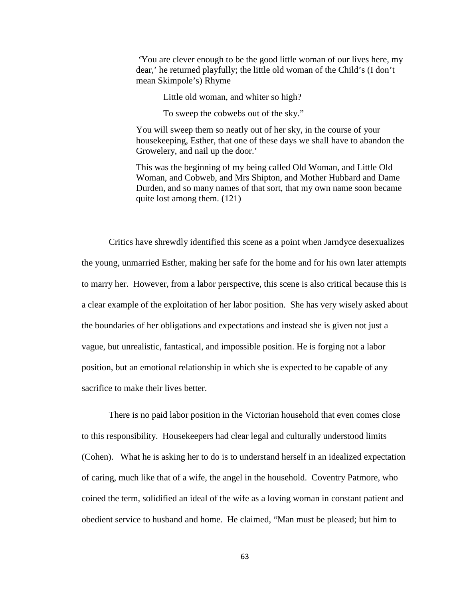'You are clever enough to be the good little woman of our lives here, my dear,' he returned playfully; the little old woman of the Child's (I don't mean Skimpole's) Rhyme

Little old woman, and whiter so high?

To sweep the cobwebs out of the sky."

You will sweep them so neatly out of her sky, in the course of your housekeeping, Esther, that one of these days we shall have to abandon the Growelery, and nail up the door.'

This was the beginning of my being called Old Woman, and Little Old Woman, and Cobweb, and Mrs Shipton, and Mother Hubbard and Dame Durden, and so many names of that sort, that my own name soon became quite lost among them. (121)

Critics have shrewdly identified this scene as a point when Jarndyce desexualizes the young, unmarried Esther, making her safe for the home and for his own later attempts to marry her. However, from a labor perspective, this scene is also critical because this is a clear example of the exploitation of her labor position. She has very wisely asked about the boundaries of her obligations and expectations and instead she is given not just a vague, but unrealistic, fantastical, and impossible position. He is forging not a labor position, but an emotional relationship in which she is expected to be capable of any sacrifice to make their lives better.

There is no paid labor position in the Victorian household that even comes close to this responsibility. Housekeepers had clear legal and culturally understood limits (Cohen). What he is asking her to do is to understand herself in an idealized expectation of caring, much like that of a wife, the angel in the household. Coventry Patmore, who coined the term, solidified an ideal of the wife as a loving woman in constant patient and obedient service to husband and home. He claimed, "Man must be pleased; but him to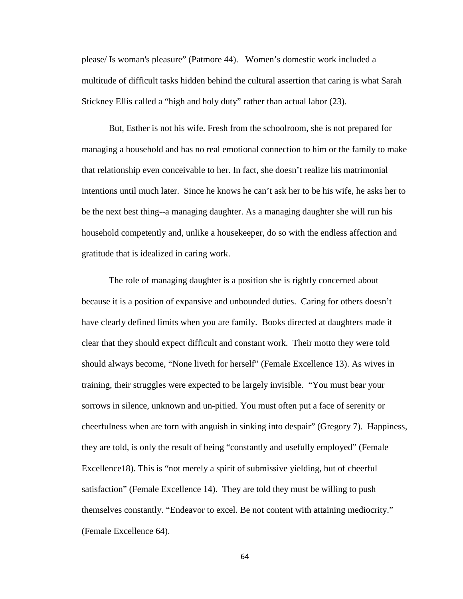please/ Is woman's pleasure" (Patmore 44). Women's domestic work included a multitude of difficult tasks hidden behind the cultural assertion that caring is what Sarah Stickney Ellis called a "high and holy duty" rather than actual labor (23).

But, Esther is not his wife. Fresh from the schoolroom, she is not prepared for managing a household and has no real emotional connection to him or the family to make that relationship even conceivable to her. In fact, she doesn't realize his matrimonial intentions until much later. Since he knows he can't ask her to be his wife, he asks her to be the next best thing--a managing daughter. As a managing daughter she will run his household competently and, unlike a housekeeper, do so with the endless affection and gratitude that is idealized in caring work.

The role of managing daughter is a position she is rightly concerned about because it is a position of expansive and unbounded duties. Caring for others doesn't have clearly defined limits when you are family. Books directed at daughters made it clear that they should expect difficult and constant work. Their motto they were told should always become, "None liveth for herself" (Female Excellence 13). As wives in training, their struggles were expected to be largely invisible. "You must bear your sorrows in silence, unknown and un-pitied. You must often put a face of serenity or cheerfulness when are torn with anguish in sinking into despair" (Gregory 7). Happiness, they are told, is only the result of being "constantly and usefully employed" (Female Excellence18). This is "not merely a spirit of submissive yielding, but of cheerful satisfaction" (Female Excellence 14). They are told they must be willing to push themselves constantly. "Endeavor to excel. Be not content with attaining mediocrity." (Female Excellence 64).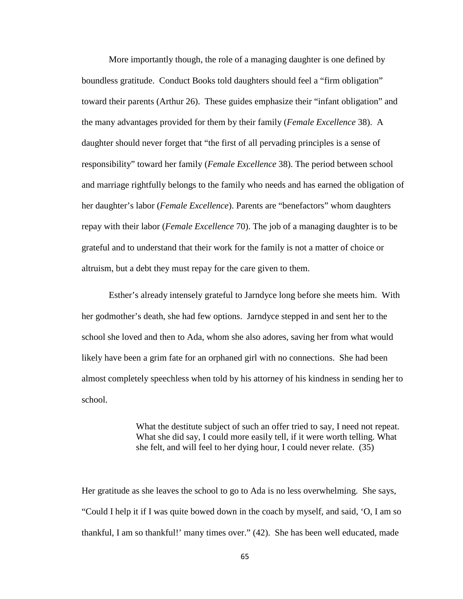More importantly though, the role of a managing daughter is one defined by boundless gratitude. Conduct Books told daughters should feel a "firm obligation" toward their parents (Arthur 26). These guides emphasize their "infant obligation" and the many advantages provided for them by their family (*Female Excellence* 38). A daughter should never forget that "the first of all pervading principles is a sense of responsibility" toward her family (*Female Excellence* 38). The period between school and marriage rightfully belongs to the family who needs and has earned the obligation of her daughter's labor (*Female Excellence*). Parents are "benefactors" whom daughters repay with their labor (*Female Excellence* 70). The job of a managing daughter is to be grateful and to understand that their work for the family is not a matter of choice or altruism, but a debt they must repay for the care given to them.

Esther's already intensely grateful to Jarndyce long before she meets him. With her godmother's death, she had few options. Jarndyce stepped in and sent her to the school she loved and then to Ada, whom she also adores, saving her from what would likely have been a grim fate for an orphaned girl with no connections. She had been almost completely speechless when told by his attorney of his kindness in sending her to school.

> What the destitute subject of such an offer tried to say, I need not repeat. What she did say, I could more easily tell, if it were worth telling. What she felt, and will feel to her dying hour, I could never relate. (35)

Her gratitude as she leaves the school to go to Ada is no less overwhelming. She says, "Could I help it if I was quite bowed down in the coach by myself, and said, 'O, I am so thankful, I am so thankful!' many times over." (42). She has been well educated, made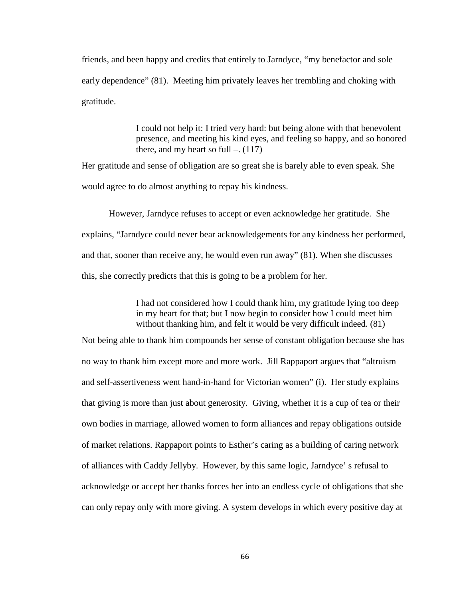friends, and been happy and credits that entirely to Jarndyce, "my benefactor and sole early dependence" (81). Meeting him privately leaves her trembling and choking with gratitude.

> I could not help it: I tried very hard: but being alone with that benevolent presence, and meeting his kind eyes, and feeling so happy, and so honored there, and my heart so full  $-. (117)$

Her gratitude and sense of obligation are so great she is barely able to even speak. She would agree to do almost anything to repay his kindness.

However, Jarndyce refuses to accept or even acknowledge her gratitude. She explains, "Jarndyce could never bear acknowledgements for any kindness her performed, and that, sooner than receive any, he would even run away" (81). When she discusses this, she correctly predicts that this is going to be a problem for her.

> I had not considered how I could thank him, my gratitude lying too deep in my heart for that; but I now begin to consider how I could meet him without thanking him, and felt it would be very difficult indeed. (81)

Not being able to thank him compounds her sense of constant obligation because she has no way to thank him except more and more work. Jill Rappaport argues that "altruism and self-assertiveness went hand-in-hand for Victorian women" (i). Her study explains that giving is more than just about generosity. Giving, whether it is a cup of tea or their own bodies in marriage, allowed women to form alliances and repay obligations outside of market relations. Rappaport points to Esther's caring as a building of caring network of alliances with Caddy Jellyby. However, by this same logic, Jarndyce' s refusal to acknowledge or accept her thanks forces her into an endless cycle of obligations that she can only repay only with more giving. A system develops in which every positive day at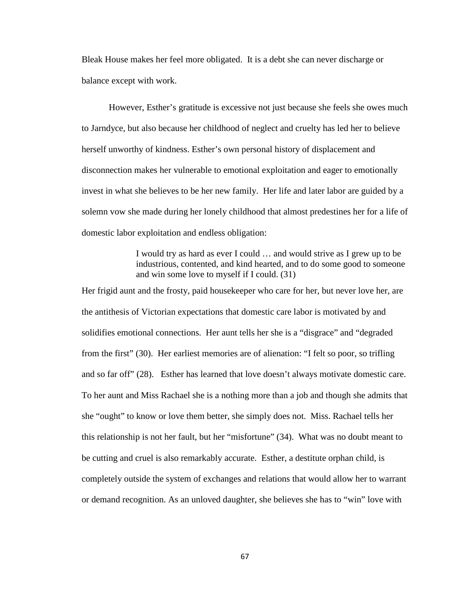Bleak House makes her feel more obligated. It is a debt she can never discharge or balance except with work.

However, Esther's gratitude is excessive not just because she feels she owes much to Jarndyce, but also because her childhood of neglect and cruelty has led her to believe herself unworthy of kindness. Esther's own personal history of displacement and disconnection makes her vulnerable to emotional exploitation and eager to emotionally invest in what she believes to be her new family. Her life and later labor are guided by a solemn vow she made during her lonely childhood that almost predestines her for a life of domestic labor exploitation and endless obligation:

> I would try as hard as ever I could … and would strive as I grew up to be industrious, contented, and kind hearted, and to do some good to someone and win some love to myself if I could. (31)

Her frigid aunt and the frosty, paid housekeeper who care for her, but never love her, are the antithesis of Victorian expectations that domestic care labor is motivated by and solidifies emotional connections. Her aunt tells her she is a "disgrace" and "degraded from the first" (30). Her earliest memories are of alienation: "I felt so poor, so trifling and so far off" (28). Esther has learned that love doesn't always motivate domestic care. To her aunt and Miss Rachael she is a nothing more than a job and though she admits that she "ought" to know or love them better, she simply does not. Miss. Rachael tells her this relationship is not her fault, but her "misfortune" (34). What was no doubt meant to be cutting and cruel is also remarkably accurate. Esther, a destitute orphan child, is completely outside the system of exchanges and relations that would allow her to warrant or demand recognition. As an unloved daughter, she believes she has to "win" love with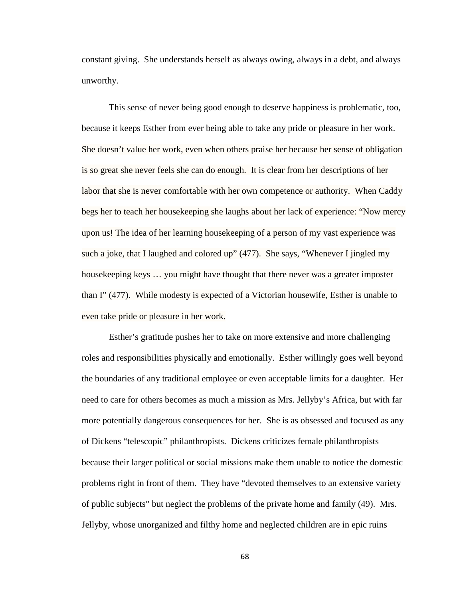constant giving. She understands herself as always owing, always in a debt, and always unworthy.

This sense of never being good enough to deserve happiness is problematic, too, because it keeps Esther from ever being able to take any pride or pleasure in her work. She doesn't value her work, even when others praise her because her sense of obligation is so great she never feels she can do enough. It is clear from her descriptions of her labor that she is never comfortable with her own competence or authority. When Caddy begs her to teach her housekeeping she laughs about her lack of experience: "Now mercy upon us! The idea of her learning housekeeping of a person of my vast experience was such a joke, that I laughed and colored up" (477). She says, "Whenever I jingled my housekeeping keys … you might have thought that there never was a greater imposter than I" (477). While modesty is expected of a Victorian housewife, Esther is unable to even take pride or pleasure in her work.

Esther's gratitude pushes her to take on more extensive and more challenging roles and responsibilities physically and emotionally. Esther willingly goes well beyond the boundaries of any traditional employee or even acceptable limits for a daughter. Her need to care for others becomes as much a mission as Mrs. Jellyby's Africa, but with far more potentially dangerous consequences for her. She is as obsessed and focused as any of Dickens "telescopic" philanthropists. Dickens criticizes female philanthropists because their larger political or social missions make them unable to notice the domestic problems right in front of them. They have "devoted themselves to an extensive variety of public subjects" but neglect the problems of the private home and family (49). Mrs. Jellyby, whose unorganized and filthy home and neglected children are in epic ruins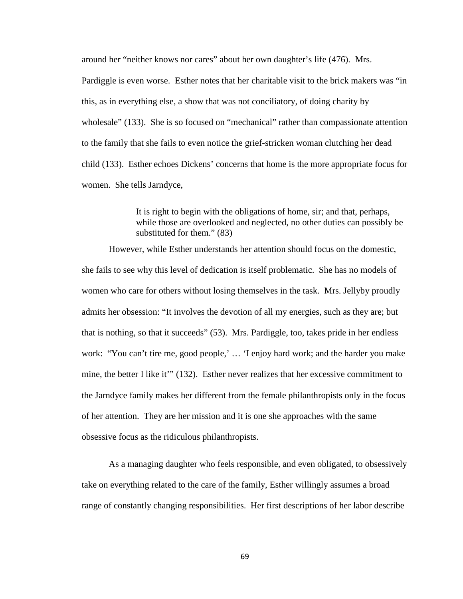around her "neither knows nor cares" about her own daughter's life (476). Mrs.

Pardiggle is even worse. Esther notes that her charitable visit to the brick makers was "in this, as in everything else, a show that was not conciliatory, of doing charity by wholesale" (133). She is so focused on "mechanical" rather than compassionate attention to the family that she fails to even notice the grief-stricken woman clutching her dead child (133). Esther echoes Dickens' concerns that home is the more appropriate focus for women. She tells Jarndyce,

> It is right to begin with the obligations of home, sir; and that, perhaps, while those are overlooked and neglected, no other duties can possibly be substituted for them." (83)

However, while Esther understands her attention should focus on the domestic, she fails to see why this level of dedication is itself problematic. She has no models of women who care for others without losing themselves in the task. Mrs. Jellyby proudly admits her obsession: "It involves the devotion of all my energies, such as they are; but that is nothing, so that it succeeds" (53). Mrs. Pardiggle, too, takes pride in her endless work: "You can't tire me, good people,' … 'I enjoy hard work; and the harder you make mine, the better I like it'" (132). Esther never realizes that her excessive commitment to the Jarndyce family makes her different from the female philanthropists only in the focus of her attention. They are her mission and it is one she approaches with the same obsessive focus as the ridiculous philanthropists.

As a managing daughter who feels responsible, and even obligated, to obsessively take on everything related to the care of the family, Esther willingly assumes a broad range of constantly changing responsibilities. Her first descriptions of her labor describe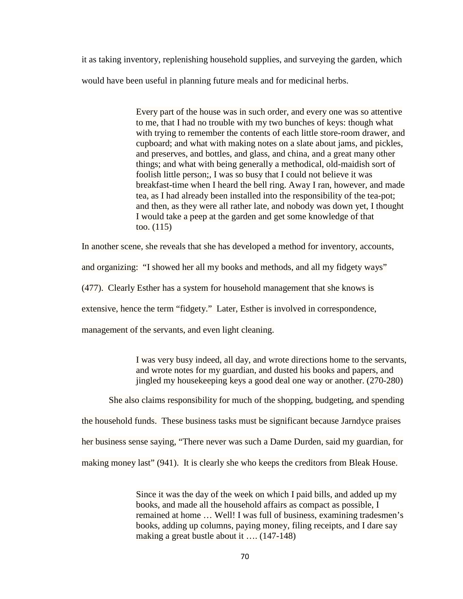it as taking inventory, replenishing household supplies, and surveying the garden, which would have been useful in planning future meals and for medicinal herbs.

> Every part of the house was in such order, and every one was so attentive to me, that I had no trouble with my two bunches of keys: though what with trying to remember the contents of each little store-room drawer, and cupboard; and what with making notes on a slate about jams, and pickles, and preserves, and bottles, and glass, and china, and a great many other things; and what with being generally a methodical, old-maidish sort of foolish little person;, I was so busy that I could not believe it was breakfast-time when I heard the bell ring. Away I ran, however, and made tea, as I had already been installed into the responsibility of the tea-pot; and then, as they were all rather late, and nobody was down yet, I thought I would take a peep at the garden and get some knowledge of that too. (115)

In another scene, she reveals that she has developed a method for inventory, accounts,

and organizing: "I showed her all my books and methods, and all my fidgety ways"

(477). Clearly Esther has a system for household management that she knows is

extensive, hence the term "fidgety." Later, Esther is involved in correspondence,

management of the servants, and even light cleaning.

I was very busy indeed, all day, and wrote directions home to the servants, and wrote notes for my guardian, and dusted his books and papers, and jingled my housekeeping keys a good deal one way or another. (270-280)

She also claims responsibility for much of the shopping, budgeting, and spending

the household funds. These business tasks must be significant because Jarndyce praises

her business sense saying, "There never was such a Dame Durden, said my guardian, for

making money last" (941). It is clearly she who keeps the creditors from Bleak House.

Since it was the day of the week on which I paid bills, and added up my books, and made all the household affairs as compact as possible, I remained at home … Well! I was full of business, examining tradesmen's books, adding up columns, paying money, filing receipts, and I dare say making a great bustle about it .... (147-148)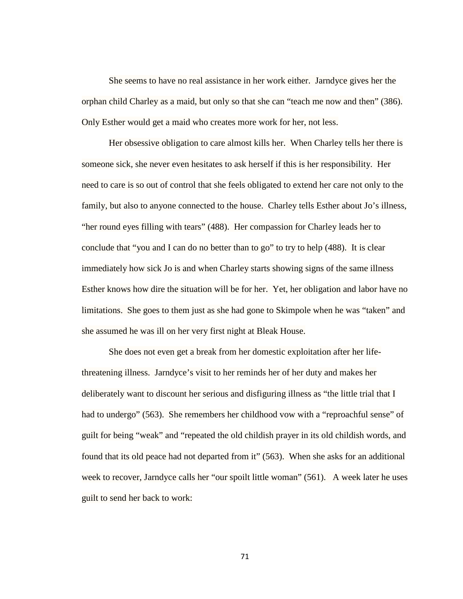She seems to have no real assistance in her work either. Jarndyce gives her the orphan child Charley as a maid, but only so that she can "teach me now and then" (386). Only Esther would get a maid who creates more work for her, not less.

Her obsessive obligation to care almost kills her. When Charley tells her there is someone sick, she never even hesitates to ask herself if this is her responsibility. Her need to care is so out of control that she feels obligated to extend her care not only to the family, but also to anyone connected to the house. Charley tells Esther about Jo's illness, "her round eyes filling with tears" (488). Her compassion for Charley leads her to conclude that "you and I can do no better than to go" to try to help (488). It is clear immediately how sick Jo is and when Charley starts showing signs of the same illness Esther knows how dire the situation will be for her. Yet, her obligation and labor have no limitations. She goes to them just as she had gone to Skimpole when he was "taken" and she assumed he was ill on her very first night at Bleak House.

She does not even get a break from her domestic exploitation after her lifethreatening illness. Jarndyce's visit to her reminds her of her duty and makes her deliberately want to discount her serious and disfiguring illness as "the little trial that I had to undergo" (563). She remembers her childhood vow with a "reproachful sense" of guilt for being "weak" and "repeated the old childish prayer in its old childish words, and found that its old peace had not departed from it" (563). When she asks for an additional week to recover, Jarndyce calls her "our spoilt little woman" (561). A week later he uses guilt to send her back to work: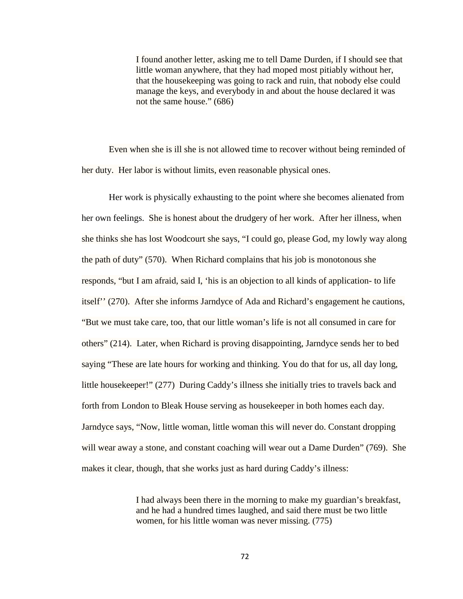I found another letter, asking me to tell Dame Durden, if I should see that little woman anywhere, that they had moped most pitiably without her, that the housekeeping was going to rack and ruin, that nobody else could manage the keys, and everybody in and about the house declared it was not the same house." (686)

Even when she is ill she is not allowed time to recover without being reminded of her duty. Her labor is without limits, even reasonable physical ones.

Her work is physically exhausting to the point where she becomes alienated from her own feelings. She is honest about the drudgery of her work. After her illness, when she thinks she has lost Woodcourt she says, "I could go, please God, my lowly way along the path of duty" (570). When Richard complains that his job is monotonous she responds, "but I am afraid, said I, 'his is an objection to all kinds of application- to life itself'' (270). After she informs Jarndyce of Ada and Richard's engagement he cautions, "But we must take care, too, that our little woman's life is not all consumed in care for others" (214). Later, when Richard is proving disappointing, Jarndyce sends her to bed saying "These are late hours for working and thinking. You do that for us, all day long, little housekeeper!" (277) During Caddy's illness she initially tries to travels back and forth from London to Bleak House serving as housekeeper in both homes each day. Jarndyce says, "Now, little woman, little woman this will never do. Constant dropping will wear away a stone, and constant coaching will wear out a Dame Durden" (769). She makes it clear, though, that she works just as hard during Caddy's illness:

> I had always been there in the morning to make my guardian's breakfast, and he had a hundred times laughed, and said there must be two little women, for his little woman was never missing. (775)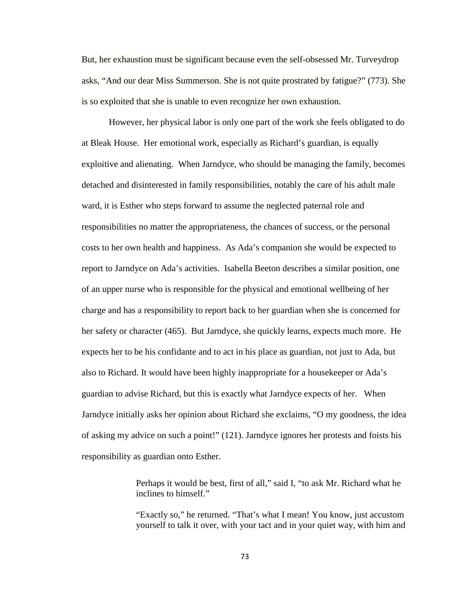But, her exhaustion must be significant because even the self-obsessed Mr. Turveydrop asks, "And our dear Miss Summerson. She is not quite prostrated by fatigue?" (773). She is so exploited that she is unable to even recognize her own exhaustion.

However, her physical labor is only one part of the work she feels obligated to do at Bleak House. Her emotional work, especially as Richard's guardian, is equally exploitive and alienating. When Jarndyce, who should be managing the family, becomes detached and disinterested in family responsibilities, notably the care of his adult male ward, it is Esther who steps forward to assume the neglected paternal role and responsibilities no matter the appropriateness, the chances of success, or the personal costs to her own health and happiness. As Ada's companion she would be expected to report to Jarndyce on Ada's activities. Isabella Beeton describes a similar position, one of an upper nurse who is responsible for the physical and emotional wellbeing of her charge and has a responsibility to report back to her guardian when she is concerned for her safety or character (465). But Jarndyce, she quickly learns, expects much more. He expects her to be his confidante and to act in his place as guardian, not just to Ada, but also to Richard. It would have been highly inappropriate for a housekeeper or Ada's guardian to advise Richard, but this is exactly what Jarndyce expects of her. When Jarndyce initially asks her opinion about Richard she exclaims, "O my goodness, the idea of asking my advice on such a point!" (121). Jarndyce ignores her protests and foists his responsibility as guardian onto Esther.

> Perhaps it would be best, first of all," said I, "to ask Mr. Richard what he inclines to himself."

"Exactly so," he returned. "That's what I mean! You know, just accustom yourself to talk it over, with your tact and in your quiet way, with him and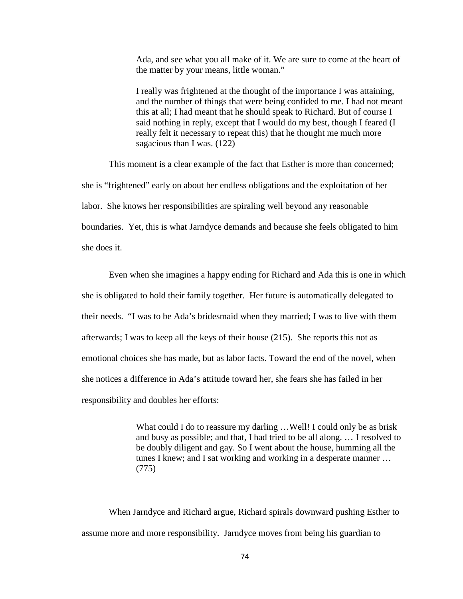Ada, and see what you all make of it. We are sure to come at the heart of the matter by your means, little woman."

I really was frightened at the thought of the importance I was attaining, and the number of things that were being confided to me. I had not meant this at all; I had meant that he should speak to Richard. But of course I said nothing in reply, except that I would do my best, though I feared (I really felt it necessary to repeat this) that he thought me much more sagacious than I was. (122)

This moment is a clear example of the fact that Esther is more than concerned; she is "frightened" early on about her endless obligations and the exploitation of her labor. She knows her responsibilities are spiraling well beyond any reasonable boundaries. Yet, this is what Jarndyce demands and because she feels obligated to him she does it.

Even when she imagines a happy ending for Richard and Ada this is one in which she is obligated to hold their family together. Her future is automatically delegated to their needs. "I was to be Ada's bridesmaid when they married; I was to live with them afterwards; I was to keep all the keys of their house (215). She reports this not as emotional choices she has made, but as labor facts. Toward the end of the novel, when she notices a difference in Ada's attitude toward her, she fears she has failed in her responsibility and doubles her efforts:

> What could I do to reassure my darling ... Well! I could only be as brisk and busy as possible; and that, I had tried to be all along. … I resolved to be doubly diligent and gay. So I went about the house, humming all the tunes I knew; and I sat working and working in a desperate manner … (775)

When Jarndyce and Richard argue, Richard spirals downward pushing Esther to assume more and more responsibility. Jarndyce moves from being his guardian to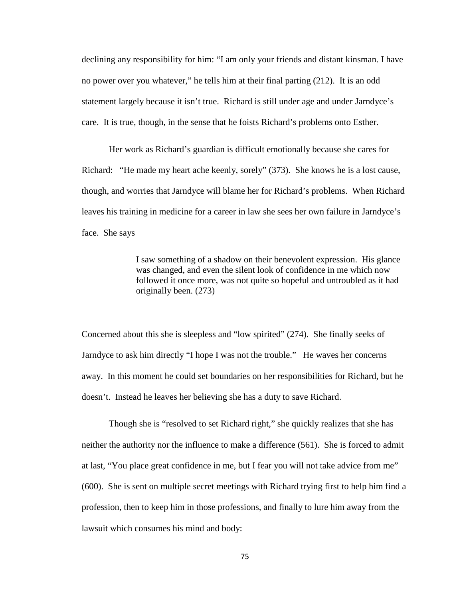declining any responsibility for him: "I am only your friends and distant kinsman. I have no power over you whatever," he tells him at their final parting (212). It is an odd statement largely because it isn't true. Richard is still under age and under Jarndyce's care. It is true, though, in the sense that he foists Richard's problems onto Esther.

Her work as Richard's guardian is difficult emotionally because she cares for Richard: "He made my heart ache keenly, sorely" (373). She knows he is a lost cause, though, and worries that Jarndyce will blame her for Richard's problems. When Richard leaves his training in medicine for a career in law she sees her own failure in Jarndyce's face. She says

> I saw something of a shadow on their benevolent expression. His glance was changed, and even the silent look of confidence in me which now followed it once more, was not quite so hopeful and untroubled as it had originally been. (273)

Concerned about this she is sleepless and "low spirited" (274). She finally seeks of Jarndyce to ask him directly "I hope I was not the trouble." He waves her concerns away. In this moment he could set boundaries on her responsibilities for Richard, but he doesn't. Instead he leaves her believing she has a duty to save Richard.

Though she is "resolved to set Richard right," she quickly realizes that she has neither the authority nor the influence to make a difference (561). She is forced to admit at last, "You place great confidence in me, but I fear you will not take advice from me" (600). She is sent on multiple secret meetings with Richard trying first to help him find a profession, then to keep him in those professions, and finally to lure him away from the lawsuit which consumes his mind and body: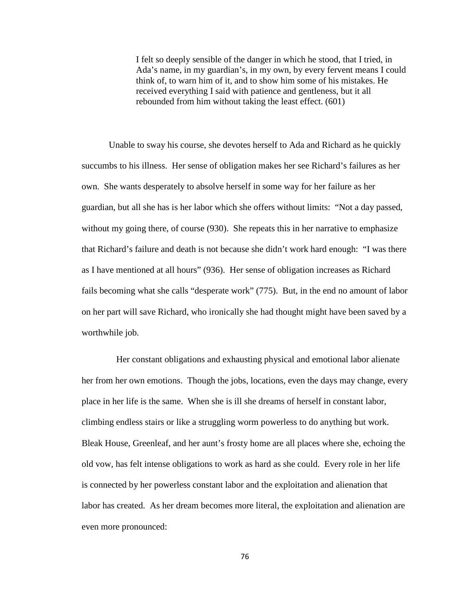I felt so deeply sensible of the danger in which he stood, that I tried, in Ada's name, in my guardian's, in my own, by every fervent means I could think of, to warn him of it, and to show him some of his mistakes. He received everything I said with patience and gentleness, but it all rebounded from him without taking the least effect. (601)

Unable to sway his course, she devotes herself to Ada and Richard as he quickly succumbs to his illness. Her sense of obligation makes her see Richard's failures as her own. She wants desperately to absolve herself in some way for her failure as her guardian, but all she has is her labor which she offers without limits: "Not a day passed, without my going there, of course (930). She repeats this in her narrative to emphasize that Richard's failure and death is not because she didn't work hard enough: "I was there as I have mentioned at all hours" (936). Her sense of obligation increases as Richard fails becoming what she calls "desperate work" (775). But, in the end no amount of labor on her part will save Richard, who ironically she had thought might have been saved by a worthwhile job.

Her constant obligations and exhausting physical and emotional labor alienate her from her own emotions. Though the jobs, locations, even the days may change, every place in her life is the same. When she is ill she dreams of herself in constant labor, climbing endless stairs or like a struggling worm powerless to do anything but work. Bleak House, Greenleaf, and her aunt's frosty home are all places where she, echoing the old vow, has felt intense obligations to work as hard as she could. Every role in her life is connected by her powerless constant labor and the exploitation and alienation that labor has created. As her dream becomes more literal, the exploitation and alienation are even more pronounced: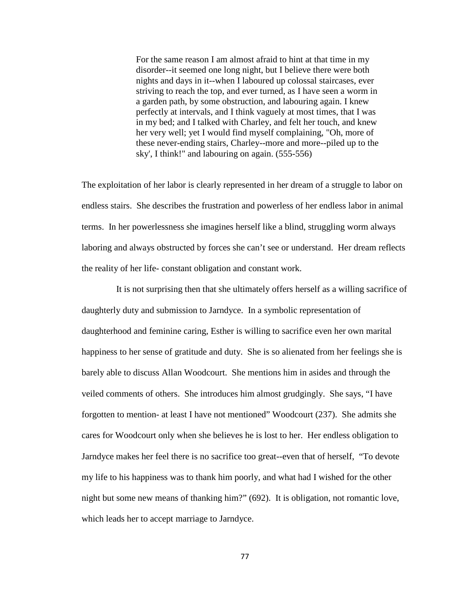For the same reason I am almost afraid to hint at that time in my disorder--it seemed one long night, but I believe there were both nights and days in it--when I laboured up colossal staircases, ever striving to reach the top, and ever turned, as I have seen a worm in a garden path, by some obstruction, and labouring again. I knew perfectly at intervals, and I think vaguely at most times, that I was in my bed; and I talked with Charley, and felt her touch, and knew her very well; yet I would find myself complaining, "Oh, more of these never-ending stairs, Charley--more and more--piled up to the sky', I think!" and labouring on again. (555-556)

The exploitation of her labor is clearly represented in her dream of a struggle to labor on endless stairs. She describes the frustration and powerless of her endless labor in animal terms. In her powerlessness she imagines herself like a blind, struggling worm always laboring and always obstructed by forces she can't see or understand. Her dream reflects the reality of her life- constant obligation and constant work.

It is not surprising then that she ultimately offers herself as a willing sacrifice of daughterly duty and submission to Jarndyce. In a symbolic representation of daughterhood and feminine caring, Esther is willing to sacrifice even her own marital happiness to her sense of gratitude and duty. She is so alienated from her feelings she is barely able to discuss Allan Woodcourt. She mentions him in asides and through the veiled comments of others. She introduces him almost grudgingly. She says, "I have forgotten to mention- at least I have not mentioned" Woodcourt (237). She admits she cares for Woodcourt only when she believes he is lost to her. Her endless obligation to Jarndyce makes her feel there is no sacrifice too great--even that of herself, "To devote my life to his happiness was to thank him poorly, and what had I wished for the other night but some new means of thanking him?" (692). It is obligation, not romantic love, which leads her to accept marriage to Jarndyce.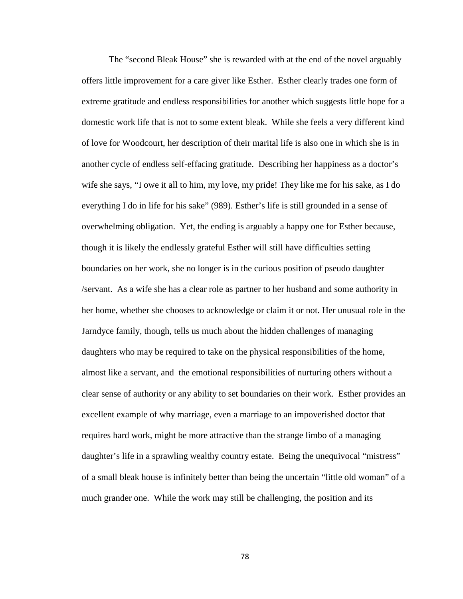The "second Bleak House" she is rewarded with at the end of the novel arguably offers little improvement for a care giver like Esther. Esther clearly trades one form of extreme gratitude and endless responsibilities for another which suggests little hope for a domestic work life that is not to some extent bleak. While she feels a very different kind of love for Woodcourt, her description of their marital life is also one in which she is in another cycle of endless self-effacing gratitude. Describing her happiness as a doctor's wife she says, "I owe it all to him, my love, my pride! They like me for his sake, as I do everything I do in life for his sake" (989). Esther's life is still grounded in a sense of overwhelming obligation. Yet, the ending is arguably a happy one for Esther because, though it is likely the endlessly grateful Esther will still have difficulties setting boundaries on her work, she no longer is in the curious position of pseudo daughter /servant. As a wife she has a clear role as partner to her husband and some authority in her home, whether she chooses to acknowledge or claim it or not. Her unusual role in the Jarndyce family, though, tells us much about the hidden challenges of managing daughters who may be required to take on the physical responsibilities of the home, almost like a servant, and the emotional responsibilities of nurturing others without a clear sense of authority or any ability to set boundaries on their work. Esther provides an excellent example of why marriage, even a marriage to an impoverished doctor that requires hard work, might be more attractive than the strange limbo of a managing daughter's life in a sprawling wealthy country estate. Being the unequivocal "mistress" of a small bleak house is infinitely better than being the uncertain "little old woman" of a much grander one. While the work may still be challenging, the position and its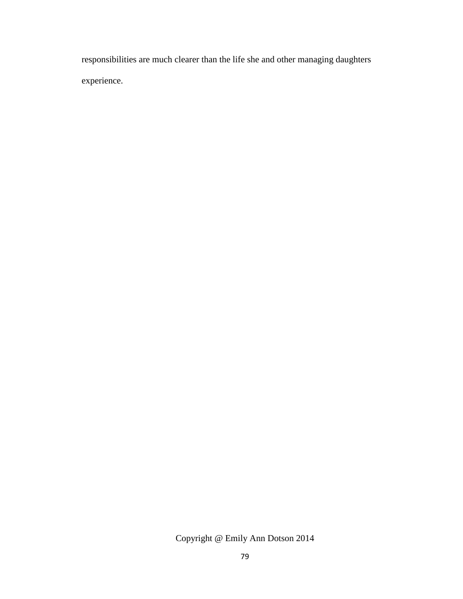responsibilities are much clearer than the life she and other managing daughters experience.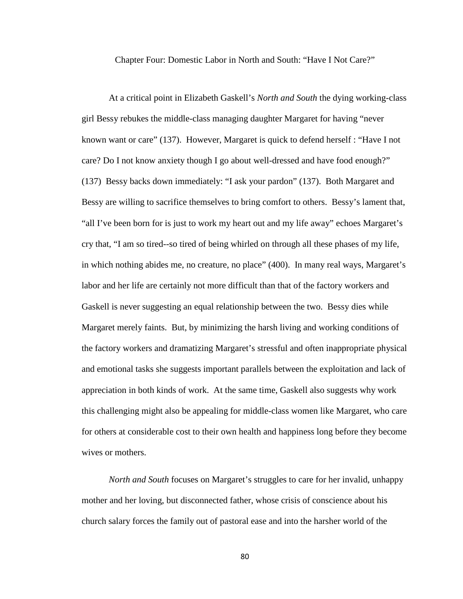Chapter Four: Domestic Labor in North and South: "Have I Not Care?"

At a critical point in Elizabeth Gaskell's *North and South* the dying working-class girl Bessy rebukes the middle-class managing daughter Margaret for having "never known want or care" (137). However, Margaret is quick to defend herself : "Have I not care? Do I not know anxiety though I go about well-dressed and have food enough?" (137) Bessy backs down immediately: "I ask your pardon" (137). Both Margaret and Bessy are willing to sacrifice themselves to bring comfort to others. Bessy's lament that, "all I've been born for is just to work my heart out and my life away" echoes Margaret's cry that, "I am so tired--so tired of being whirled on through all these phases of my life, in which nothing abides me, no creature, no place" (400). In many real ways, Margaret's labor and her life are certainly not more difficult than that of the factory workers and Gaskell is never suggesting an equal relationship between the two. Bessy dies while Margaret merely faints. But, by minimizing the harsh living and working conditions of the factory workers and dramatizing Margaret's stressful and often inappropriate physical and emotional tasks she suggests important parallels between the exploitation and lack of appreciation in both kinds of work. At the same time, Gaskell also suggests why work this challenging might also be appealing for middle-class women like Margaret, who care for others at considerable cost to their own health and happiness long before they become wives or mothers.

*North and South* focuses on Margaret's struggles to care for her invalid, unhappy mother and her loving, but disconnected father, whose crisis of conscience about his church salary forces the family out of pastoral ease and into the harsher world of the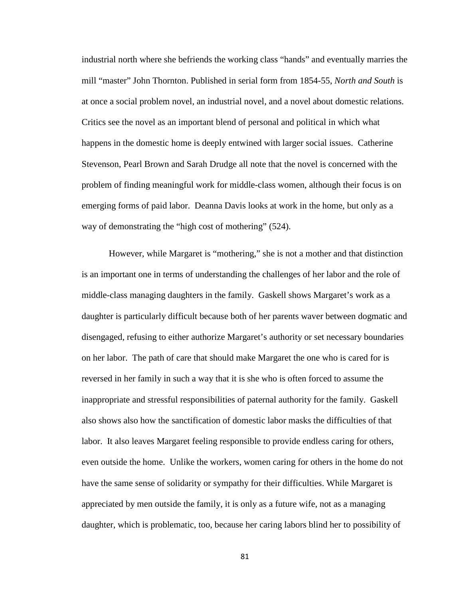industrial north where she befriends the working class "hands" and eventually marries the mill "master" John Thornton. Published in serial form from 1854-55, *North and South* is at once a social problem novel, an industrial novel, and a novel about domestic relations. Critics see the novel as an important blend of personal and political in which what happens in the domestic home is deeply entwined with larger social issues. Catherine Stevenson, Pearl Brown and Sarah Drudge all note that the novel is concerned with the problem of finding meaningful work for middle-class women, although their focus is on emerging forms of paid labor. Deanna Davis looks at work in the home, but only as a way of demonstrating the "high cost of mothering" (524).

However, while Margaret is "mothering," she is not a mother and that distinction is an important one in terms of understanding the challenges of her labor and the role of middle-class managing daughters in the family. Gaskell shows Margaret's work as a daughter is particularly difficult because both of her parents waver between dogmatic and disengaged, refusing to either authorize Margaret's authority or set necessary boundaries on her labor. The path of care that should make Margaret the one who is cared for is reversed in her family in such a way that it is she who is often forced to assume the inappropriate and stressful responsibilities of paternal authority for the family. Gaskell also shows also how the sanctification of domestic labor masks the difficulties of that labor. It also leaves Margaret feeling responsible to provide endless caring for others, even outside the home. Unlike the workers, women caring for others in the home do not have the same sense of solidarity or sympathy for their difficulties. While Margaret is appreciated by men outside the family, it is only as a future wife, not as a managing daughter, which is problematic, too, because her caring labors blind her to possibility of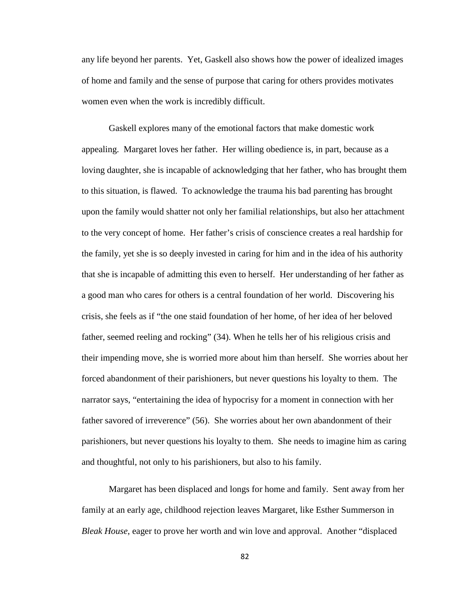any life beyond her parents. Yet, Gaskell also shows how the power of idealized images of home and family and the sense of purpose that caring for others provides motivates women even when the work is incredibly difficult.

Gaskell explores many of the emotional factors that make domestic work appealing. Margaret loves her father. Her willing obedience is, in part, because as a loving daughter, she is incapable of acknowledging that her father, who has brought them to this situation, is flawed. To acknowledge the trauma his bad parenting has brought upon the family would shatter not only her familial relationships, but also her attachment to the very concept of home. Her father's crisis of conscience creates a real hardship for the family, yet she is so deeply invested in caring for him and in the idea of his authority that she is incapable of admitting this even to herself. Her understanding of her father as a good man who cares for others is a central foundation of her world. Discovering his crisis, she feels as if "the one staid foundation of her home, of her idea of her beloved father, seemed reeling and rocking" (34). When he tells her of his religious crisis and their impending move, she is worried more about him than herself. She worries about her forced abandonment of their parishioners, but never questions his loyalty to them. The narrator says, "entertaining the idea of hypocrisy for a moment in connection with her father savored of irreverence" (56). She worries about her own abandonment of their parishioners, but never questions his loyalty to them. She needs to imagine him as caring and thoughtful, not only to his parishioners, but also to his family.

Margaret has been displaced and longs for home and family. Sent away from her family at an early age, childhood rejection leaves Margaret, like Esther Summerson in *Bleak House*, eager to prove her worth and win love and approval. Another "displaced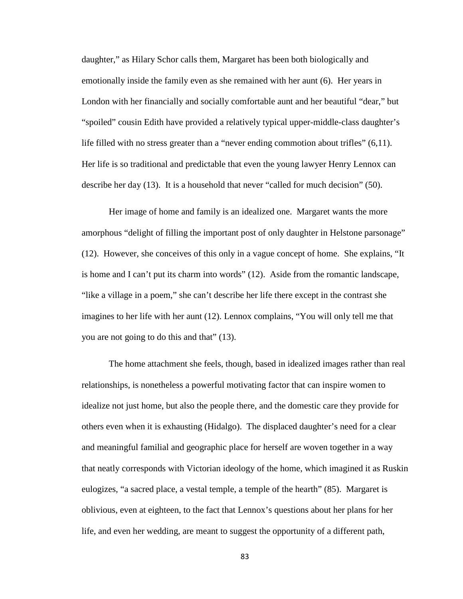daughter," as Hilary Schor calls them, Margaret has been both biologically and emotionally inside the family even as she remained with her aunt (6). Her years in London with her financially and socially comfortable aunt and her beautiful "dear," but "spoiled" cousin Edith have provided a relatively typical upper-middle-class daughter's life filled with no stress greater than a "never ending commotion about trifles" (6,11). Her life is so traditional and predictable that even the young lawyer Henry Lennox can describe her day (13). It is a household that never "called for much decision" (50).

Her image of home and family is an idealized one. Margaret wants the more amorphous "delight of filling the important post of only daughter in Helstone parsonage" (12). However, she conceives of this only in a vague concept of home. She explains, "It is home and I can't put its charm into words" (12). Aside from the romantic landscape, "like a village in a poem," she can't describe her life there except in the contrast she imagines to her life with her aunt (12). Lennox complains, "You will only tell me that you are not going to do this and that" (13).

The home attachment she feels, though, based in idealized images rather than real relationships, is nonetheless a powerful motivating factor that can inspire women to idealize not just home, but also the people there, and the domestic care they provide for others even when it is exhausting (Hidalgo). The displaced daughter's need for a clear and meaningful familial and geographic place for herself are woven together in a way that neatly corresponds with Victorian ideology of the home, which imagined it as Ruskin eulogizes, "a sacred place, a vestal temple, a temple of the hearth" (85). Margaret is oblivious, even at eighteen, to the fact that Lennox's questions about her plans for her life, and even her wedding, are meant to suggest the opportunity of a different path,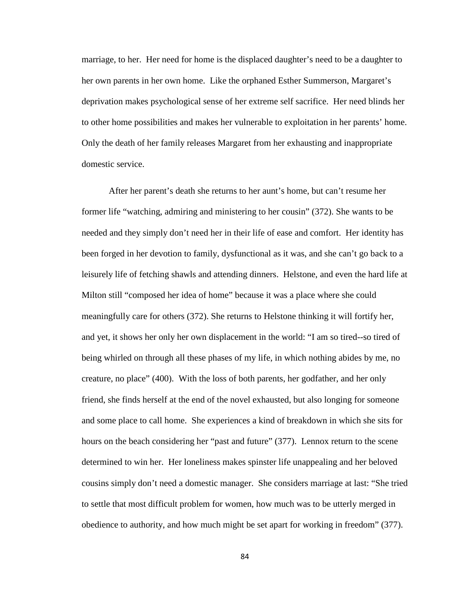marriage, to her. Her need for home is the displaced daughter's need to be a daughter to her own parents in her own home. Like the orphaned Esther Summerson, Margaret's deprivation makes psychological sense of her extreme self sacrifice. Her need blinds her to other home possibilities and makes her vulnerable to exploitation in her parents' home. Only the death of her family releases Margaret from her exhausting and inappropriate domestic service.

After her parent's death she returns to her aunt's home, but can't resume her former life "watching, admiring and ministering to her cousin" (372). She wants to be needed and they simply don't need her in their life of ease and comfort. Her identity has been forged in her devotion to family, dysfunctional as it was, and she can't go back to a leisurely life of fetching shawls and attending dinners. Helstone, and even the hard life at Milton still "composed her idea of home" because it was a place where she could meaningfully care for others (372). She returns to Helstone thinking it will fortify her, and yet, it shows her only her own displacement in the world: "I am so tired--so tired of being whirled on through all these phases of my life, in which nothing abides by me, no creature, no place" (400). With the loss of both parents, her godfather, and her only friend, she finds herself at the end of the novel exhausted, but also longing for someone and some place to call home. She experiences a kind of breakdown in which she sits for hours on the beach considering her "past and future" (377). Lennox return to the scene determined to win her. Her loneliness makes spinster life unappealing and her beloved cousins simply don't need a domestic manager. She considers marriage at last: "She tried to settle that most difficult problem for women, how much was to be utterly merged in obedience to authority, and how much might be set apart for working in freedom" (377).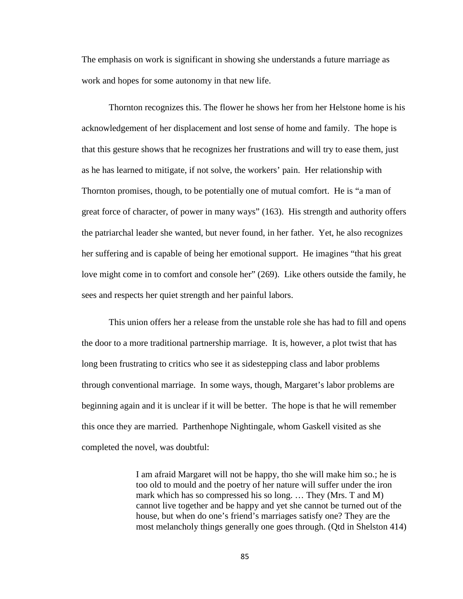The emphasis on work is significant in showing she understands a future marriage as work and hopes for some autonomy in that new life.

Thornton recognizes this. The flower he shows her from her Helstone home is his acknowledgement of her displacement and lost sense of home and family. The hope is that this gesture shows that he recognizes her frustrations and will try to ease them, just as he has learned to mitigate, if not solve, the workers' pain. Her relationship with Thornton promises, though, to be potentially one of mutual comfort. He is "a man of great force of character, of power in many ways" (163). His strength and authority offers the patriarchal leader she wanted, but never found, in her father. Yet, he also recognizes her suffering and is capable of being her emotional support. He imagines "that his great love might come in to comfort and console her" (269). Like others outside the family, he sees and respects her quiet strength and her painful labors.

This union offers her a release from the unstable role she has had to fill and opens the door to a more traditional partnership marriage. It is, however, a plot twist that has long been frustrating to critics who see it as sidestepping class and labor problems through conventional marriage. In some ways, though, Margaret's labor problems are beginning again and it is unclear if it will be better. The hope is that he will remember this once they are married. Parthenhope Nightingale, whom Gaskell visited as she completed the novel, was doubtful:

> I am afraid Margaret will not be happy, tho she will make him so.; he is too old to mould and the poetry of her nature will suffer under the iron mark which has so compressed his so long. … They (Mrs. T and M) cannot live together and be happy and yet she cannot be turned out of the house, but when do one's friend's marriages satisfy one? They are the most melancholy things generally one goes through. (Qtd in Shelston 414)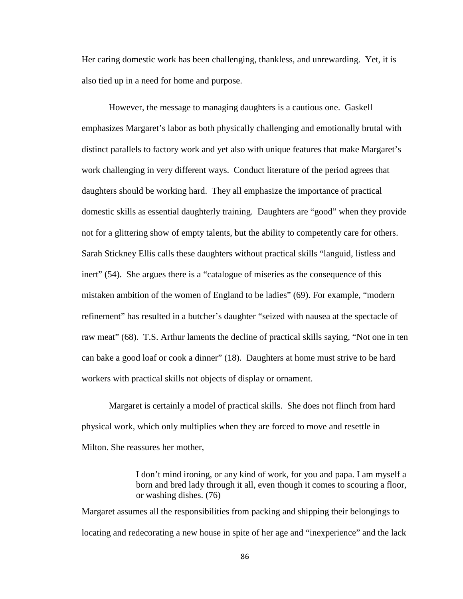Her caring domestic work has been challenging, thankless, and unrewarding. Yet, it is also tied up in a need for home and purpose.

However, the message to managing daughters is a cautious one. Gaskell emphasizes Margaret's labor as both physically challenging and emotionally brutal with distinct parallels to factory work and yet also with unique features that make Margaret's work challenging in very different ways. Conduct literature of the period agrees that daughters should be working hard. They all emphasize the importance of practical domestic skills as essential daughterly training. Daughters are "good" when they provide not for a glittering show of empty talents, but the ability to competently care for others. Sarah Stickney Ellis calls these daughters without practical skills "languid, listless and inert" (54). She argues there is a "catalogue of miseries as the consequence of this mistaken ambition of the women of England to be ladies" (69). For example, "modern refinement" has resulted in a butcher's daughter "seized with nausea at the spectacle of raw meat" (68). T.S. Arthur laments the decline of practical skills saying, "Not one in ten can bake a good loaf or cook a dinner" (18). Daughters at home must strive to be hard workers with practical skills not objects of display or ornament.

Margaret is certainly a model of practical skills. She does not flinch from hard physical work, which only multiplies when they are forced to move and resettle in Milton. She reassures her mother,

> I don't mind ironing, or any kind of work, for you and papa. I am myself a born and bred lady through it all, even though it comes to scouring a floor, or washing dishes. (76)

Margaret assumes all the responsibilities from packing and shipping their belongings to locating and redecorating a new house in spite of her age and "inexperience" and the lack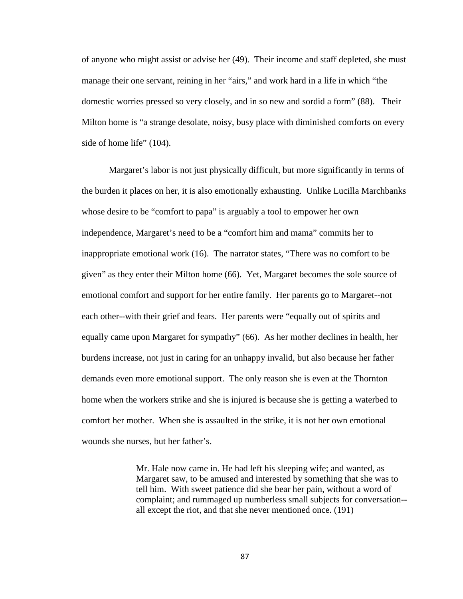of anyone who might assist or advise her (49). Their income and staff depleted, she must manage their one servant, reining in her "airs," and work hard in a life in which "the domestic worries pressed so very closely, and in so new and sordid a form" (88). Their Milton home is "a strange desolate, noisy, busy place with diminished comforts on every side of home life" (104).

Margaret's labor is not just physically difficult, but more significantly in terms of the burden it places on her, it is also emotionally exhausting. Unlike Lucilla Marchbanks whose desire to be "comfort to papa" is arguably a tool to empower her own independence, Margaret's need to be a "comfort him and mama" commits her to inappropriate emotional work (16). The narrator states, "There was no comfort to be given" as they enter their Milton home (66). Yet, Margaret becomes the sole source of emotional comfort and support for her entire family. Her parents go to Margaret--not each other--with their grief and fears. Her parents were "equally out of spirits and equally came upon Margaret for sympathy" (66). As her mother declines in health, her burdens increase, not just in caring for an unhappy invalid, but also because her father demands even more emotional support. The only reason she is even at the Thornton home when the workers strike and she is injured is because she is getting a waterbed to comfort her mother. When she is assaulted in the strike, it is not her own emotional wounds she nurses, but her father's.

> Mr. Hale now came in. He had left his sleeping wife; and wanted, as Margaret saw, to be amused and interested by something that she was to tell him. With sweet patience did she bear her pain, without a word of complaint; and rummaged up numberless small subjects for conversation- all except the riot, and that she never mentioned once. (191)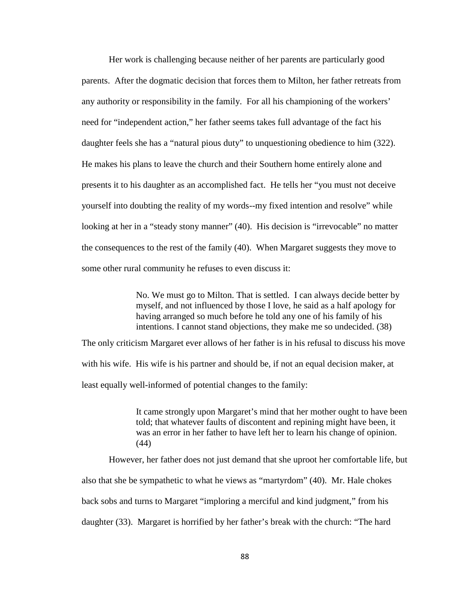Her work is challenging because neither of her parents are particularly good parents. After the dogmatic decision that forces them to Milton, her father retreats from any authority or responsibility in the family. For all his championing of the workers' need for "independent action," her father seems takes full advantage of the fact his daughter feels she has a "natural pious duty" to unquestioning obedience to him (322). He makes his plans to leave the church and their Southern home entirely alone and presents it to his daughter as an accomplished fact. He tells her "you must not deceive yourself into doubting the reality of my words--my fixed intention and resolve" while looking at her in a "steady stony manner" (40). His decision is "irrevocable" no matter the consequences to the rest of the family (40). When Margaret suggests they move to some other rural community he refuses to even discuss it:

> No. We must go to Milton. That is settled. I can always decide better by myself, and not influenced by those I love, he said as a half apology for having arranged so much before he told any one of his family of his intentions. I cannot stand objections, they make me so undecided. (38)

The only criticism Margaret ever allows of her father is in his refusal to discuss his move with his wife. His wife is his partner and should be, if not an equal decision maker, at least equally well-informed of potential changes to the family:

> It came strongly upon Margaret's mind that her mother ought to have been told; that whatever faults of discontent and repining might have been, it was an error in her father to have left her to learn his change of opinion. (44)

However, her father does not just demand that she uproot her comfortable life, but

also that she be sympathetic to what he views as "martyrdom" (40). Mr. Hale chokes

back sobs and turns to Margaret "imploring a merciful and kind judgment," from his

daughter (33). Margaret is horrified by her father's break with the church: "The hard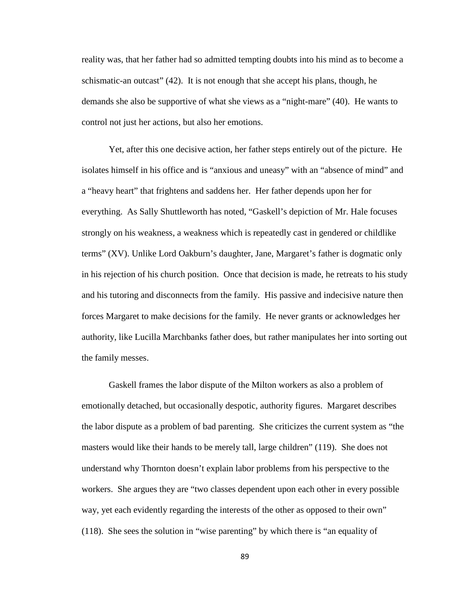reality was, that her father had so admitted tempting doubts into his mind as to become a schismatic-an outcast" (42). It is not enough that she accept his plans, though, he demands she also be supportive of what she views as a "night-mare" (40). He wants to control not just her actions, but also her emotions.

Yet, after this one decisive action, her father steps entirely out of the picture. He isolates himself in his office and is "anxious and uneasy" with an "absence of mind" and a "heavy heart" that frightens and saddens her. Her father depends upon her for everything. As Sally Shuttleworth has noted, "Gaskell's depiction of Mr. Hale focuses strongly on his weakness, a weakness which is repeatedly cast in gendered or childlike terms" (XV). Unlike Lord Oakburn's daughter, Jane, Margaret's father is dogmatic only in his rejection of his church position. Once that decision is made, he retreats to his study and his tutoring and disconnects from the family. His passive and indecisive nature then forces Margaret to make decisions for the family. He never grants or acknowledges her authority, like Lucilla Marchbanks father does, but rather manipulates her into sorting out the family messes.

Gaskell frames the labor dispute of the Milton workers as also a problem of emotionally detached, but occasionally despotic, authority figures. Margaret describes the labor dispute as a problem of bad parenting. She criticizes the current system as "the masters would like their hands to be merely tall, large children" (119). She does not understand why Thornton doesn't explain labor problems from his perspective to the workers. She argues they are "two classes dependent upon each other in every possible way, yet each evidently regarding the interests of the other as opposed to their own" (118). She sees the solution in "wise parenting" by which there is "an equality of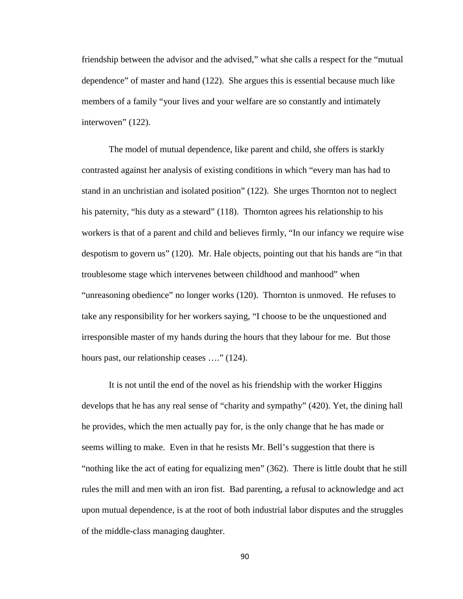friendship between the advisor and the advised," what she calls a respect for the "mutual dependence" of master and hand (122). She argues this is essential because much like members of a family "your lives and your welfare are so constantly and intimately interwoven" (122).

The model of mutual dependence, like parent and child, she offers is starkly contrasted against her analysis of existing conditions in which "every man has had to stand in an unchristian and isolated position" (122). She urges Thornton not to neglect his paternity, "his duty as a steward" (118). Thornton agrees his relationship to his workers is that of a parent and child and believes firmly, "In our infancy we require wise despotism to govern us" (120). Mr. Hale objects, pointing out that his hands are "in that troublesome stage which intervenes between childhood and manhood" when "unreasoning obedience" no longer works (120). Thornton is unmoved. He refuses to take any responsibility for her workers saying, "I choose to be the unquestioned and irresponsible master of my hands during the hours that they labour for me. But those hours past, our relationship ceases ...." (124).

It is not until the end of the novel as his friendship with the worker Higgins develops that he has any real sense of "charity and sympathy" (420). Yet, the dining hall he provides, which the men actually pay for, is the only change that he has made or seems willing to make. Even in that he resists Mr. Bell's suggestion that there is "nothing like the act of eating for equalizing men" (362). There is little doubt that he still rules the mill and men with an iron fist. Bad parenting, a refusal to acknowledge and act upon mutual dependence, is at the root of both industrial labor disputes and the struggles of the middle-class managing daughter.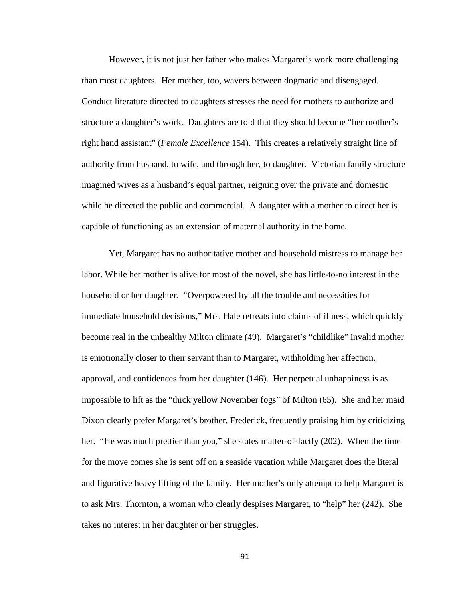However, it is not just her father who makes Margaret's work more challenging than most daughters. Her mother, too, wavers between dogmatic and disengaged. Conduct literature directed to daughters stresses the need for mothers to authorize and structure a daughter's work. Daughters are told that they should become "her mother's right hand assistant" (*Female Excellence* 154). This creates a relatively straight line of authority from husband, to wife, and through her, to daughter. Victorian family structure imagined wives as a husband's equal partner, reigning over the private and domestic while he directed the public and commercial. A daughter with a mother to direct her is capable of functioning as an extension of maternal authority in the home.

Yet, Margaret has no authoritative mother and household mistress to manage her labor. While her mother is alive for most of the novel, she has little-to-no interest in the household or her daughter. "Overpowered by all the trouble and necessities for immediate household decisions," Mrs. Hale retreats into claims of illness, which quickly become real in the unhealthy Milton climate (49). Margaret's "childlike" invalid mother is emotionally closer to their servant than to Margaret, withholding her affection, approval, and confidences from her daughter (146). Her perpetual unhappiness is as impossible to lift as the "thick yellow November fogs" of Milton (65). She and her maid Dixon clearly prefer Margaret's brother, Frederick, frequently praising him by criticizing her. "He was much prettier than you," she states matter-of-factly (202). When the time for the move comes she is sent off on a seaside vacation while Margaret does the literal and figurative heavy lifting of the family. Her mother's only attempt to help Margaret is to ask Mrs. Thornton, a woman who clearly despises Margaret, to "help" her (242). She takes no interest in her daughter or her struggles.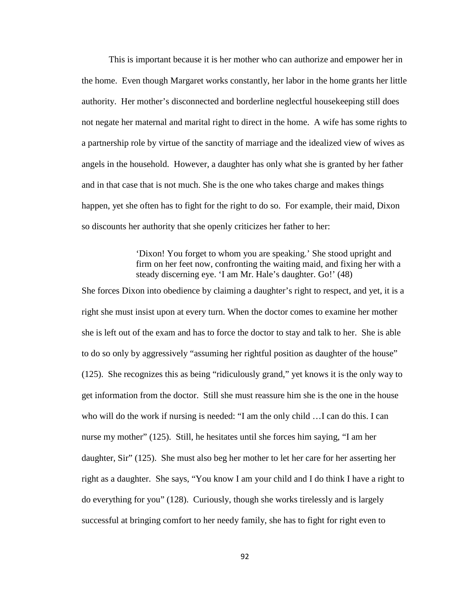This is important because it is her mother who can authorize and empower her in the home. Even though Margaret works constantly, her labor in the home grants her little authority. Her mother's disconnected and borderline neglectful housekeeping still does not negate her maternal and marital right to direct in the home. A wife has some rights to a partnership role by virtue of the sanctity of marriage and the idealized view of wives as angels in the household. However, a daughter has only what she is granted by her father and in that case that is not much. She is the one who takes charge and makes things happen, yet she often has to fight for the right to do so. For example, their maid, Dixon so discounts her authority that she openly criticizes her father to her:

## 'Dixon! You forget to whom you are speaking.' She stood upright and firm on her feet now, confronting the waiting maid, and fixing her with a steady discerning eye. 'I am Mr. Hale's daughter. Go!' (48)

She forces Dixon into obedience by claiming a daughter's right to respect, and yet, it is a right she must insist upon at every turn. When the doctor comes to examine her mother she is left out of the exam and has to force the doctor to stay and talk to her. She is able to do so only by aggressively "assuming her rightful position as daughter of the house" (125). She recognizes this as being "ridiculously grand," yet knows it is the only way to get information from the doctor. Still she must reassure him she is the one in the house who will do the work if nursing is needed: "I am the only child …I can do this. I can nurse my mother" (125). Still, he hesitates until she forces him saying, "I am her daughter, Sir" (125). She must also beg her mother to let her care for her asserting her right as a daughter. She says, "You know I am your child and I do think I have a right to do everything for you" (128). Curiously, though she works tirelessly and is largely successful at bringing comfort to her needy family, she has to fight for right even to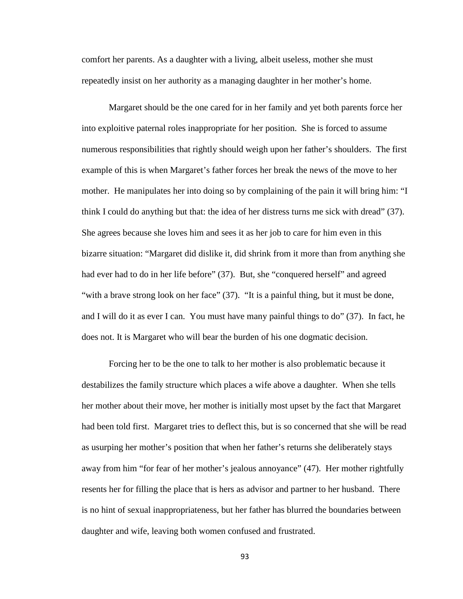comfort her parents. As a daughter with a living, albeit useless, mother she must repeatedly insist on her authority as a managing daughter in her mother's home.

Margaret should be the one cared for in her family and yet both parents force her into exploitive paternal roles inappropriate for her position. She is forced to assume numerous responsibilities that rightly should weigh upon her father's shoulders. The first example of this is when Margaret's father forces her break the news of the move to her mother. He manipulates her into doing so by complaining of the pain it will bring him: "I think I could do anything but that: the idea of her distress turns me sick with dread" (37). She agrees because she loves him and sees it as her job to care for him even in this bizarre situation: "Margaret did dislike it, did shrink from it more than from anything she had ever had to do in her life before" (37). But, she "conquered herself" and agreed "with a brave strong look on her face" (37). "It is a painful thing, but it must be done, and I will do it as ever I can. You must have many painful things to do" (37). In fact, he does not. It is Margaret who will bear the burden of his one dogmatic decision.

Forcing her to be the one to talk to her mother is also problematic because it destabilizes the family structure which places a wife above a daughter. When she tells her mother about their move, her mother is initially most upset by the fact that Margaret had been told first. Margaret tries to deflect this, but is so concerned that she will be read as usurping her mother's position that when her father's returns she deliberately stays away from him "for fear of her mother's jealous annoyance" (47). Her mother rightfully resents her for filling the place that is hers as advisor and partner to her husband. There is no hint of sexual inappropriateness, but her father has blurred the boundaries between daughter and wife, leaving both women confused and frustrated.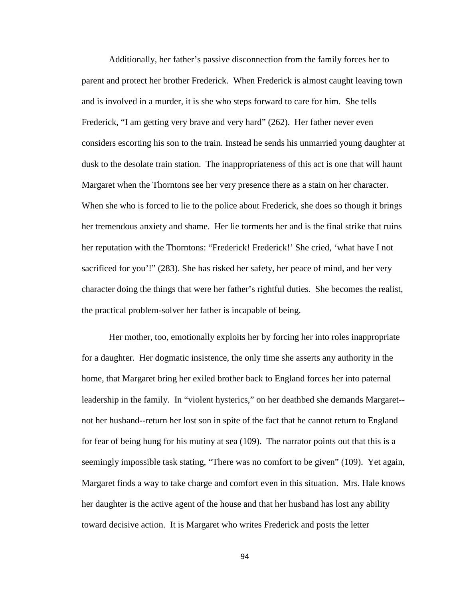Additionally, her father's passive disconnection from the family forces her to parent and protect her brother Frederick. When Frederick is almost caught leaving town and is involved in a murder, it is she who steps forward to care for him. She tells Frederick, "I am getting very brave and very hard" (262). Her father never even considers escorting his son to the train. Instead he sends his unmarried young daughter at dusk to the desolate train station. The inappropriateness of this act is one that will haunt Margaret when the Thorntons see her very presence there as a stain on her character. When she who is forced to lie to the police about Frederick, she does so though it brings her tremendous anxiety and shame. Her lie torments her and is the final strike that ruins her reputation with the Thorntons: "Frederick! Frederick!' She cried, 'what have I not sacrificed for you'!" (283). She has risked her safety, her peace of mind, and her very character doing the things that were her father's rightful duties. She becomes the realist, the practical problem-solver her father is incapable of being.

Her mother, too, emotionally exploits her by forcing her into roles inappropriate for a daughter. Her dogmatic insistence, the only time she asserts any authority in the home, that Margaret bring her exiled brother back to England forces her into paternal leadership in the family. In "violent hysterics," on her deathbed she demands Margaret- not her husband--return her lost son in spite of the fact that he cannot return to England for fear of being hung for his mutiny at sea (109). The narrator points out that this is a seemingly impossible task stating, "There was no comfort to be given" (109). Yet again, Margaret finds a way to take charge and comfort even in this situation. Mrs. Hale knows her daughter is the active agent of the house and that her husband has lost any ability toward decisive action. It is Margaret who writes Frederick and posts the letter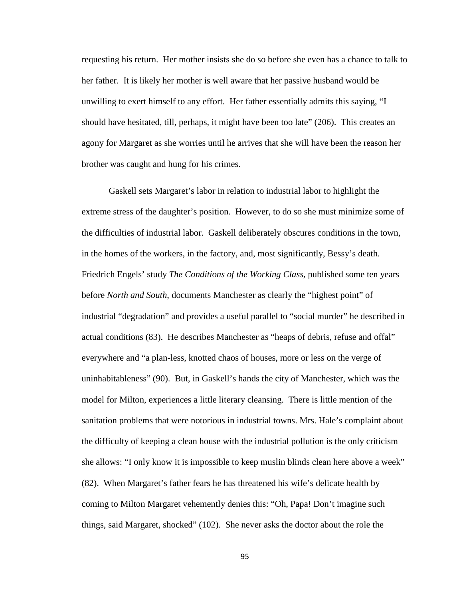requesting his return. Her mother insists she do so before she even has a chance to talk to her father. It is likely her mother is well aware that her passive husband would be unwilling to exert himself to any effort. Her father essentially admits this saying, "I should have hesitated, till, perhaps, it might have been too late" (206). This creates an agony for Margaret as she worries until he arrives that she will have been the reason her brother was caught and hung for his crimes.

Gaskell sets Margaret's labor in relation to industrial labor to highlight the extreme stress of the daughter's position. However, to do so she must minimize some of the difficulties of industrial labor. Gaskell deliberately obscures conditions in the town, in the homes of the workers, in the factory, and, most significantly, Bessy's death. Friedrich Engels' study *The Conditions of the Working Class,* published some ten years before *North and South*, documents Manchester as clearly the "highest point" of industrial "degradation" and provides a useful parallel to "social murder" he described in actual conditions (83). He describes Manchester as "heaps of debris, refuse and offal" everywhere and "a plan-less, knotted chaos of houses, more or less on the verge of uninhabitableness" (90). But, in Gaskell's hands the city of Manchester, which was the model for Milton, experiences a little literary cleansing. There is little mention of the sanitation problems that were notorious in industrial towns. Mrs. Hale's complaint about the difficulty of keeping a clean house with the industrial pollution is the only criticism she allows: "I only know it is impossible to keep muslin blinds clean here above a week" (82). When Margaret's father fears he has threatened his wife's delicate health by coming to Milton Margaret vehemently denies this: "Oh, Papa! Don't imagine such things, said Margaret, shocked" (102). She never asks the doctor about the role the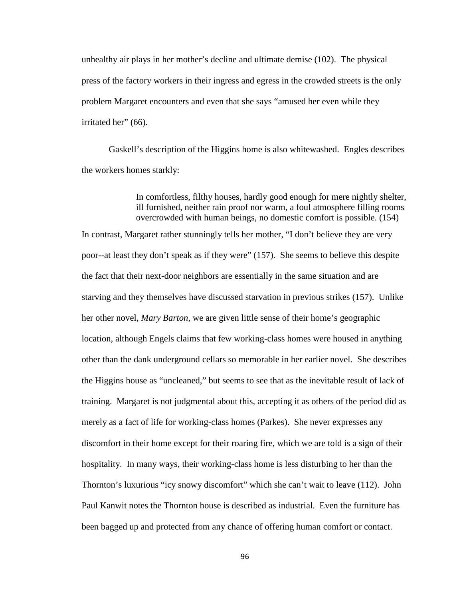unhealthy air plays in her mother's decline and ultimate demise (102). The physical press of the factory workers in their ingress and egress in the crowded streets is the only problem Margaret encounters and even that she says "amused her even while they irritated her" (66).

Gaskell's description of the Higgins home is also whitewashed. Engles describes the workers homes starkly:

> In comfortless, filthy houses, hardly good enough for mere nightly shelter, ill furnished, neither rain proof nor warm, a foul atmosphere filling rooms overcrowded with human beings, no domestic comfort is possible. (154)

In contrast, Margaret rather stunningly tells her mother, "I don't believe they are very poor--at least they don't speak as if they were" (157). She seems to believe this despite the fact that their next-door neighbors are essentially in the same situation and are starving and they themselves have discussed starvation in previous strikes (157). Unlike her other novel, *Mary Barton*, we are given little sense of their home's geographic location, although Engels claims that few working-class homes were housed in anything other than the dank underground cellars so memorable in her earlier novel. She describes the Higgins house as "uncleaned," but seems to see that as the inevitable result of lack of training. Margaret is not judgmental about this, accepting it as others of the period did as merely as a fact of life for working-class homes (Parkes). She never expresses any discomfort in their home except for their roaring fire, which we are told is a sign of their hospitality. In many ways, their working-class home is less disturbing to her than the Thornton's luxurious "icy snowy discomfort" which she can't wait to leave (112). John Paul Kanwit notes the Thornton house is described as industrial. Even the furniture has been bagged up and protected from any chance of offering human comfort or contact.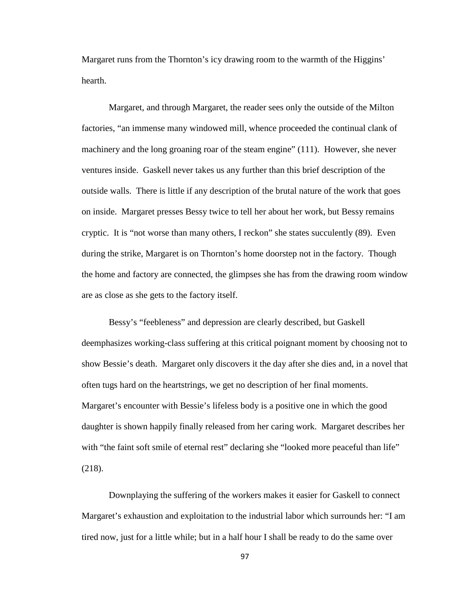Margaret runs from the Thornton's icy drawing room to the warmth of the Higgins' hearth.

Margaret, and through Margaret, the reader sees only the outside of the Milton factories, "an immense many windowed mill, whence proceeded the continual clank of machinery and the long groaning roar of the steam engine" (111). However, she never ventures inside. Gaskell never takes us any further than this brief description of the outside walls. There is little if any description of the brutal nature of the work that goes on inside. Margaret presses Bessy twice to tell her about her work, but Bessy remains cryptic. It is "not worse than many others, I reckon" she states succulently (89). Even during the strike, Margaret is on Thornton's home doorstep not in the factory. Though the home and factory are connected, the glimpses she has from the drawing room window are as close as she gets to the factory itself.

Bessy's "feebleness" and depression are clearly described, but Gaskell deemphasizes working-class suffering at this critical poignant moment by choosing not to show Bessie's death. Margaret only discovers it the day after she dies and, in a novel that often tugs hard on the heartstrings, we get no description of her final moments. Margaret's encounter with Bessie's lifeless body is a positive one in which the good daughter is shown happily finally released from her caring work. Margaret describes her with "the faint soft smile of eternal rest" declaring she "looked more peaceful than life" (218).

Downplaying the suffering of the workers makes it easier for Gaskell to connect Margaret's exhaustion and exploitation to the industrial labor which surrounds her: "I am tired now, just for a little while; but in a half hour I shall be ready to do the same over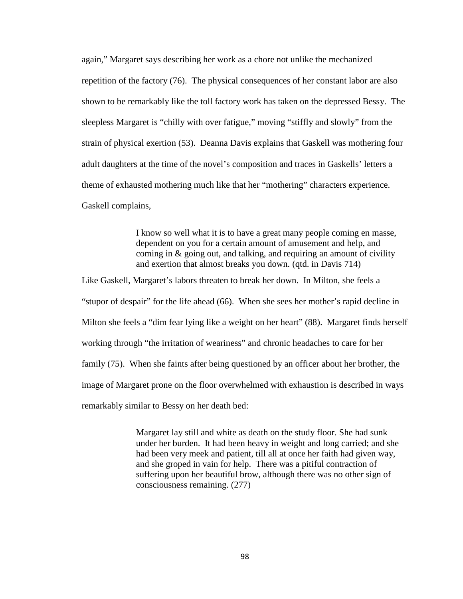again," Margaret says describing her work as a chore not unlike the mechanized repetition of the factory (76). The physical consequences of her constant labor are also shown to be remarkably like the toll factory work has taken on the depressed Bessy. The sleepless Margaret is "chilly with over fatigue," moving "stiffly and slowly" from the strain of physical exertion (53). Deanna Davis explains that Gaskell was mothering four adult daughters at the time of the novel's composition and traces in Gaskells' letters a theme of exhausted mothering much like that her "mothering" characters experience. Gaskell complains,

> I know so well what it is to have a great many people coming en masse, dependent on you for a certain amount of amusement and help, and coming in & going out, and talking, and requiring an amount of civility and exertion that almost breaks you down. (qtd. in Davis 714)

Like Gaskell, Margaret's labors threaten to break her down. In Milton, she feels a "stupor of despair" for the life ahead (66). When she sees her mother's rapid decline in Milton she feels a "dim fear lying like a weight on her heart" (88). Margaret finds herself working through "the irritation of weariness" and chronic headaches to care for her family (75). When she faints after being questioned by an officer about her brother, the image of Margaret prone on the floor overwhelmed with exhaustion is described in ways remarkably similar to Bessy on her death bed:

> Margaret lay still and white as death on the study floor. She had sunk under her burden. It had been heavy in weight and long carried; and she had been very meek and patient, till all at once her faith had given way, and she groped in vain for help. There was a pitiful contraction of suffering upon her beautiful brow, although there was no other sign of consciousness remaining. (277)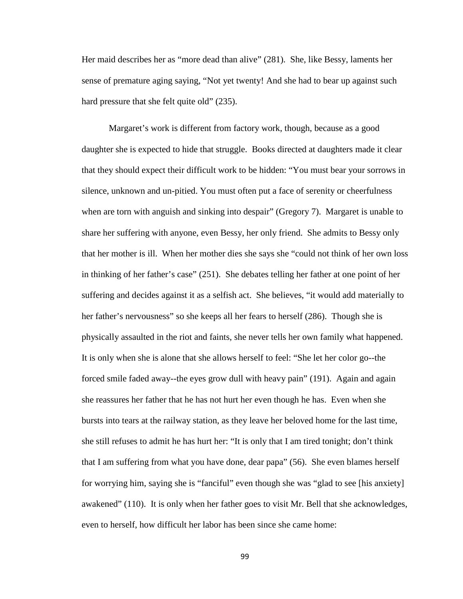Her maid describes her as "more dead than alive" (281). She, like Bessy, laments her sense of premature aging saying, "Not yet twenty! And she had to bear up against such hard pressure that she felt quite old" (235).

Margaret's work is different from factory work, though, because as a good daughter she is expected to hide that struggle. Books directed at daughters made it clear that they should expect their difficult work to be hidden: "You must bear your sorrows in silence, unknown and un-pitied. You must often put a face of serenity or cheerfulness when are torn with anguish and sinking into despair" (Gregory 7). Margaret is unable to share her suffering with anyone, even Bessy, her only friend. She admits to Bessy only that her mother is ill. When her mother dies she says she "could not think of her own loss in thinking of her father's case" (251). She debates telling her father at one point of her suffering and decides against it as a selfish act. She believes, "it would add materially to her father's nervousness" so she keeps all her fears to herself (286). Though she is physically assaulted in the riot and faints, she never tells her own family what happened. It is only when she is alone that she allows herself to feel: "She let her color go--the forced smile faded away--the eyes grow dull with heavy pain" (191). Again and again she reassures her father that he has not hurt her even though he has. Even when she bursts into tears at the railway station, as they leave her beloved home for the last time, she still refuses to admit he has hurt her: "It is only that I am tired tonight; don't think that I am suffering from what you have done, dear papa" (56). She even blames herself for worrying him, saying she is "fanciful" even though she was "glad to see [his anxiety] awakened" (110). It is only when her father goes to visit Mr. Bell that she acknowledges, even to herself, how difficult her labor has been since she came home: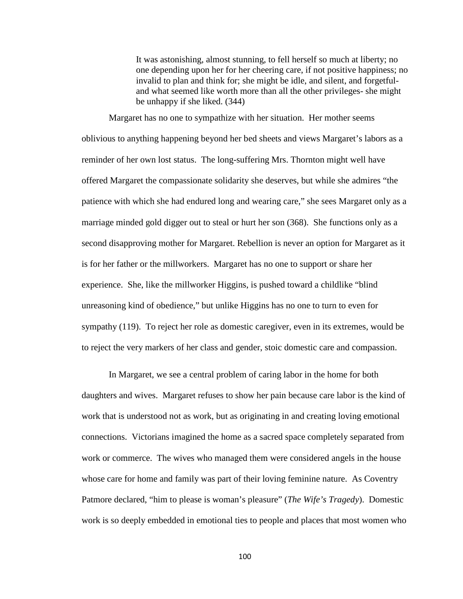It was astonishing, almost stunning, to fell herself so much at liberty; no one depending upon her for her cheering care, if not positive happiness; no invalid to plan and think for; she might be idle, and silent, and forgetfuland what seemed like worth more than all the other privileges- she might be unhappy if she liked. (344)

Margaret has no one to sympathize with her situation. Her mother seems oblivious to anything happening beyond her bed sheets and views Margaret's labors as a reminder of her own lost status. The long-suffering Mrs. Thornton might well have offered Margaret the compassionate solidarity she deserves, but while she admires "the patience with which she had endured long and wearing care," she sees Margaret only as a marriage minded gold digger out to steal or hurt her son (368). She functions only as a second disapproving mother for Margaret. Rebellion is never an option for Margaret as it is for her father or the millworkers. Margaret has no one to support or share her experience. She, like the millworker Higgins, is pushed toward a childlike "blind unreasoning kind of obedience," but unlike Higgins has no one to turn to even for sympathy (119). To reject her role as domestic caregiver, even in its extremes, would be to reject the very markers of her class and gender, stoic domestic care and compassion.

In Margaret, we see a central problem of caring labor in the home for both daughters and wives. Margaret refuses to show her pain because care labor is the kind of work that is understood not as work, but as originating in and creating loving emotional connections. Victorians imagined the home as a sacred space completely separated from work or commerce. The wives who managed them were considered angels in the house whose care for home and family was part of their loving feminine nature. As Coventry Patmore declared, "him to please is woman's pleasure" (*The Wife's Tragedy*). Domestic work is so deeply embedded in emotional ties to people and places that most women who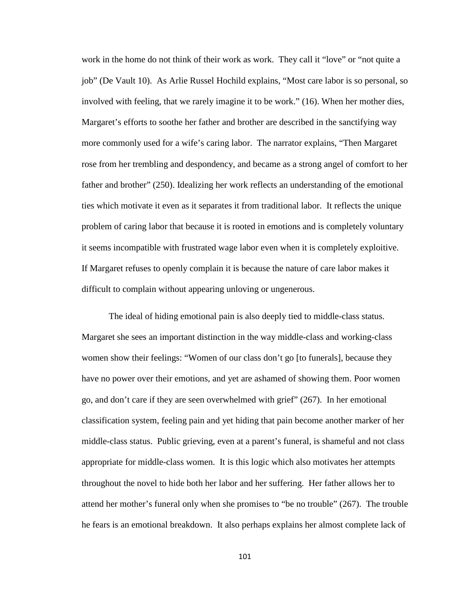work in the home do not think of their work as work. They call it "love" or "not quite a job" (De Vault 10). As Arlie Russel Hochild explains, "Most care labor is so personal, so involved with feeling, that we rarely imagine it to be work." (16). When her mother dies, Margaret's efforts to soothe her father and brother are described in the sanctifying way more commonly used for a wife's caring labor. The narrator explains, "Then Margaret rose from her trembling and despondency, and became as a strong angel of comfort to her father and brother" (250). Idealizing her work reflects an understanding of the emotional ties which motivate it even as it separates it from traditional labor. It reflects the unique problem of caring labor that because it is rooted in emotions and is completely voluntary it seems incompatible with frustrated wage labor even when it is completely exploitive. If Margaret refuses to openly complain it is because the nature of care labor makes it difficult to complain without appearing unloving or ungenerous.

The ideal of hiding emotional pain is also deeply tied to middle-class status. Margaret she sees an important distinction in the way middle-class and working-class women show their feelings: "Women of our class don't go [to funerals], because they have no power over their emotions, and yet are ashamed of showing them. Poor women go, and don't care if they are seen overwhelmed with grief" (267). In her emotional classification system, feeling pain and yet hiding that pain become another marker of her middle-class status. Public grieving, even at a parent's funeral, is shameful and not class appropriate for middle-class women. It is this logic which also motivates her attempts throughout the novel to hide both her labor and her suffering. Her father allows her to attend her mother's funeral only when she promises to "be no trouble" (267). The trouble he fears is an emotional breakdown. It also perhaps explains her almost complete lack of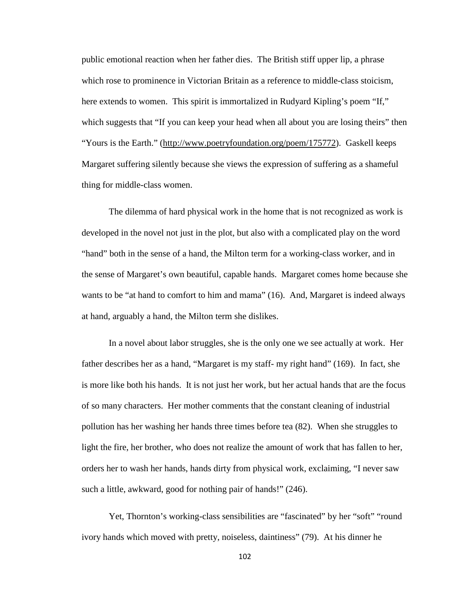public emotional reaction when her father dies. The British stiff upper lip, a phrase which rose to prominence in Victorian Britain as a reference to middle-class stoicism, here extends to women. This spirit is immortalized in Rudyard Kipling's poem "If," which suggests that "If you can keep your head when all about you are losing theirs" then "Yours is the Earth." [\(http://www.poetryfoundation.org/poem/175772\)](http://www.poetryfoundation.org/poem/175772). Gaskell keeps Margaret suffering silently because she views the expression of suffering as a shameful thing for middle-class women.

The dilemma of hard physical work in the home that is not recognized as work is developed in the novel not just in the plot, but also with a complicated play on the word "hand" both in the sense of a hand, the Milton term for a working-class worker, and in the sense of Margaret's own beautiful, capable hands. Margaret comes home because she wants to be "at hand to comfort to him and mama" (16). And, Margaret is indeed always at hand, arguably a hand, the Milton term she dislikes.

In a novel about labor struggles, she is the only one we see actually at work. Her father describes her as a hand, "Margaret is my staff- my right hand" (169). In fact, she is more like both his hands. It is not just her work, but her actual hands that are the focus of so many characters. Her mother comments that the constant cleaning of industrial pollution has her washing her hands three times before tea (82). When she struggles to light the fire, her brother, who does not realize the amount of work that has fallen to her, orders her to wash her hands, hands dirty from physical work, exclaiming, "I never saw such a little, awkward, good for nothing pair of hands!" (246).

Yet, Thornton's working-class sensibilities are "fascinated" by her "soft" "round ivory hands which moved with pretty, noiseless, daintiness" (79). At his dinner he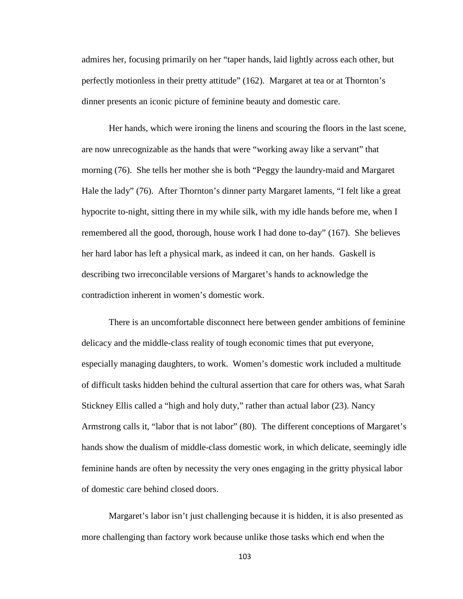admires her, focusing primarily on her "taper hands, laid lightly across each other, but perfectly motionless in their pretty attitude" (162). Margaret at tea or at Thornton's dinner presents an iconic picture of feminine beauty and domestic care.

Her hands, which were ironing the linens and scouring the floors in the last scene, are now unrecognizable as the hands that were "working away like a servant" that morning (76). She tells her mother she is both "Peggy the laundry-maid and Margaret Hale the lady" (76). After Thornton's dinner party Margaret laments, "I felt like a great hypocrite to-night, sitting there in my while silk, with my idle hands before me, when I remembered all the good, thorough, house work I had done to-day" (167). She believes her hard labor has left a physical mark, as indeed it can, on her hands. Gaskell is describing two irreconcilable versions of Margaret's hands to acknowledge the contradiction inherent in women's domestic work.

There is an uncomfortable disconnect here between gender ambitions of feminine delicacy and the middle-class reality of tough economic times that put everyone, especially managing daughters, to work. Women's domestic work included a multitude of difficult tasks hidden behind the cultural assertion that care for others was, what Sarah Stickney Ellis called a "high and holy duty," rather than actual labor (23). Nancy Armstrong calls it, "labor that is not labor" (80). The different conceptions of Margaret's hands show the dualism of middle-class domestic work, in which delicate, seemingly idle feminine hands are often by necessity the very ones engaging in the gritty physical labor of domestic care behind closed doors.

Margaret's labor isn't just challenging because it is hidden, it is also presented as more challenging than factory work because unlike those tasks which end when the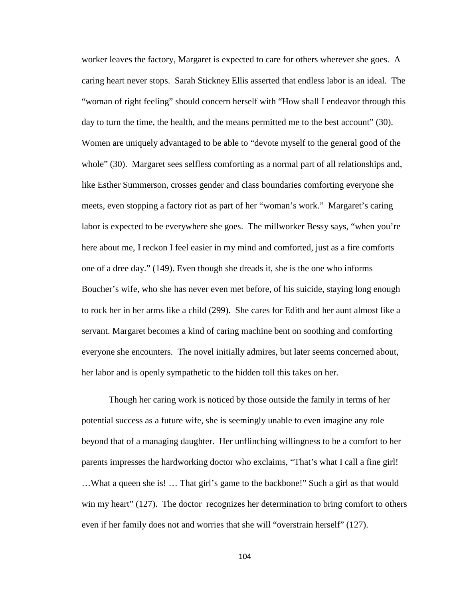worker leaves the factory, Margaret is expected to care for others wherever she goes. A caring heart never stops. Sarah Stickney Ellis asserted that endless labor is an ideal. The "woman of right feeling" should concern herself with "How shall I endeavor through this day to turn the time, the health, and the means permitted me to the best account" (30). Women are uniquely advantaged to be able to "devote myself to the general good of the whole" (30). Margaret sees selfless comforting as a normal part of all relationships and, like Esther Summerson, crosses gender and class boundaries comforting everyone she meets, even stopping a factory riot as part of her "woman's work." Margaret's caring labor is expected to be everywhere she goes. The millworker Bessy says, "when you're here about me, I reckon I feel easier in my mind and comforted, just as a fire comforts one of a dree day." (149). Even though she dreads it, she is the one who informs Boucher's wife, who she has never even met before, of his suicide, staying long enough to rock her in her arms like a child (299). She cares for Edith and her aunt almost like a servant. Margaret becomes a kind of caring machine bent on soothing and comforting everyone she encounters. The novel initially admires, but later seems concerned about, her labor and is openly sympathetic to the hidden toll this takes on her.

Though her caring work is noticed by those outside the family in terms of her potential success as a future wife, she is seemingly unable to even imagine any role beyond that of a managing daughter. Her unflinching willingness to be a comfort to her parents impresses the hardworking doctor who exclaims, "That's what I call a fine girl! …What a queen she is! … That girl's game to the backbone!" Such a girl as that would win my heart" (127). The doctor recognizes her determination to bring comfort to others even if her family does not and worries that she will "overstrain herself" (127).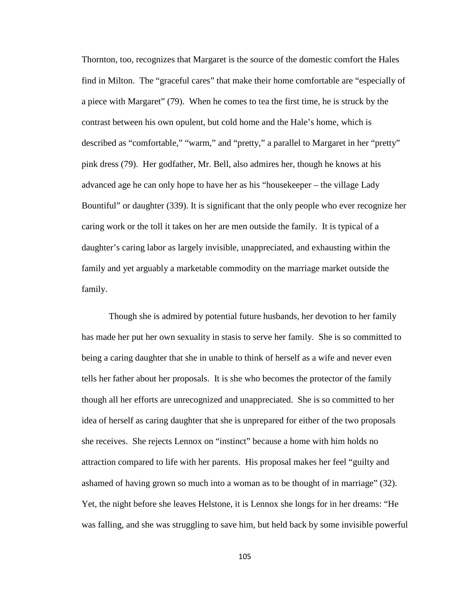Thornton, too, recognizes that Margaret is the source of the domestic comfort the Hales find in Milton. The "graceful cares" that make their home comfortable are "especially of a piece with Margaret" (79). When he comes to tea the first time, he is struck by the contrast between his own opulent, but cold home and the Hale's home, which is described as "comfortable," "warm," and "pretty," a parallel to Margaret in her "pretty" pink dress (79). Her godfather, Mr. Bell, also admires her, though he knows at his advanced age he can only hope to have her as his "housekeeper – the village Lady Bountiful" or daughter (339). It is significant that the only people who ever recognize her caring work or the toll it takes on her are men outside the family. It is typical of a daughter's caring labor as largely invisible, unappreciated, and exhausting within the family and yet arguably a marketable commodity on the marriage market outside the family.

Though she is admired by potential future husbands, her devotion to her family has made her put her own sexuality in stasis to serve her family. She is so committed to being a caring daughter that she in unable to think of herself as a wife and never even tells her father about her proposals. It is she who becomes the protector of the family though all her efforts are unrecognized and unappreciated. She is so committed to her idea of herself as caring daughter that she is unprepared for either of the two proposals she receives. She rejects Lennox on "instinct" because a home with him holds no attraction compared to life with her parents. His proposal makes her feel "guilty and ashamed of having grown so much into a woman as to be thought of in marriage" (32). Yet, the night before she leaves Helstone, it is Lennox she longs for in her dreams: "He was falling, and she was struggling to save him, but held back by some invisible powerful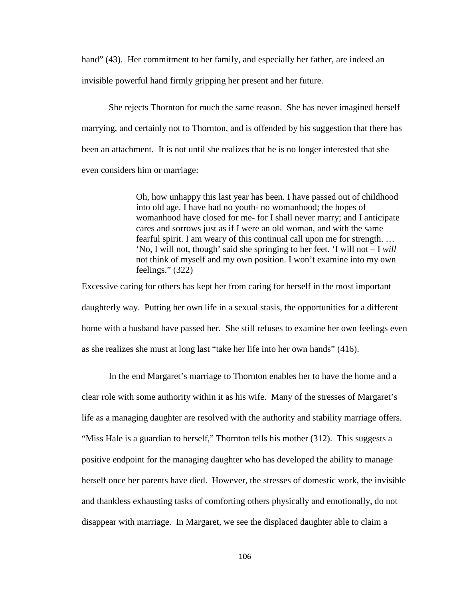hand" (43). Her commitment to her family, and especially her father, are indeed an invisible powerful hand firmly gripping her present and her future.

She rejects Thornton for much the same reason. She has never imagined herself marrying, and certainly not to Thornton, and is offended by his suggestion that there has been an attachment. It is not until she realizes that he is no longer interested that she even considers him or marriage:

> Oh, how unhappy this last year has been. I have passed out of childhood into old age. I have had no youth- no womanhood; the hopes of womanhood have closed for me- for I shall never marry; and I anticipate cares and sorrows just as if I were an old woman, and with the same fearful spirit. I am weary of this continual call upon me for strength. … 'No, I will not, though' said she springing to her feet. 'I will not – I *will* not think of myself and my own position. I won't examine into my own feelings." (322)

Excessive caring for others has kept her from caring for herself in the most important daughterly way. Putting her own life in a sexual stasis, the opportunities for a different home with a husband have passed her. She still refuses to examine her own feelings even as she realizes she must at long last "take her life into her own hands" (416).

In the end Margaret's marriage to Thornton enables her to have the home and a clear role with some authority within it as his wife. Many of the stresses of Margaret's life as a managing daughter are resolved with the authority and stability marriage offers. "Miss Hale is a guardian to herself," Thornton tells his mother (312). This suggests a positive endpoint for the managing daughter who has developed the ability to manage herself once her parents have died. However, the stresses of domestic work, the invisible and thankless exhausting tasks of comforting others physically and emotionally, do not disappear with marriage. In Margaret, we see the displaced daughter able to claim a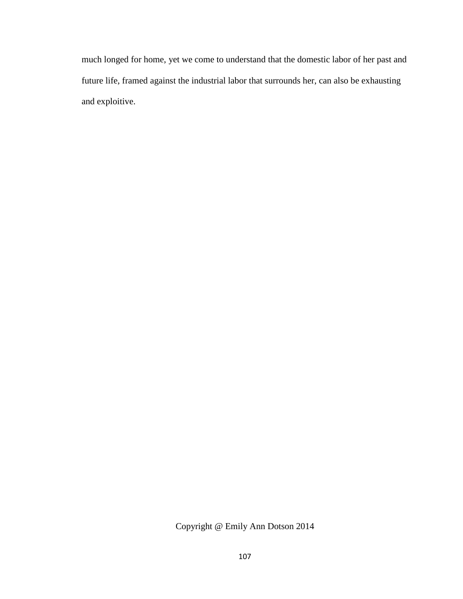much longed for home, yet we come to understand that the domestic labor of her past and future life, framed against the industrial labor that surrounds her, can also be exhausting and exploitive.

Copyright @ Emily Ann Dotson 2014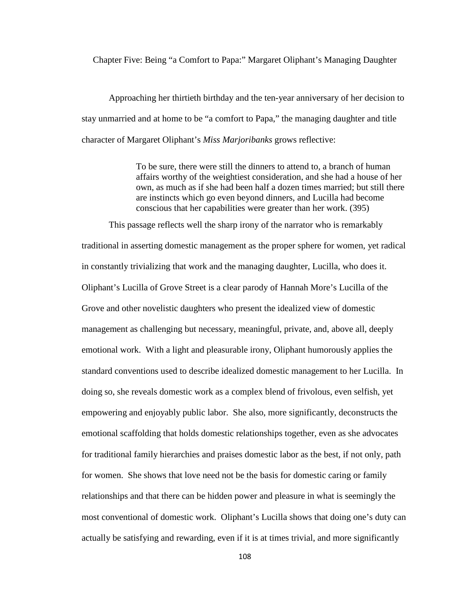Chapter Five: Being "a Comfort to Papa:" Margaret Oliphant's Managing Daughter

Approaching her thirtieth birthday and the ten-year anniversary of her decision to stay unmarried and at home to be "a comfort to Papa," the managing daughter and title character of Margaret Oliphant's *Miss Marjoribanks* grows reflective:

> To be sure, there were still the dinners to attend to, a branch of human affairs worthy of the weightiest consideration, and she had a house of her own, as much as if she had been half a dozen times married; but still there are instincts which go even beyond dinners, and Lucilla had become conscious that her capabilities were greater than her work. (395)

This passage reflects well the sharp irony of the narrator who is remarkably traditional in asserting domestic management as the proper sphere for women, yet radical in constantly trivializing that work and the managing daughter, Lucilla, who does it. Oliphant's Lucilla of Grove Street is a clear parody of Hannah More's Lucilla of the Grove and other novelistic daughters who present the idealized view of domestic management as challenging but necessary, meaningful, private, and, above all, deeply emotional work. With a light and pleasurable irony, Oliphant humorously applies the standard conventions used to describe idealized domestic management to her Lucilla. In doing so, she reveals domestic work as a complex blend of frivolous, even selfish, yet empowering and enjoyably public labor. She also, more significantly, deconstructs the emotional scaffolding that holds domestic relationships together, even as she advocates for traditional family hierarchies and praises domestic labor as the best, if not only, path for women. She shows that love need not be the basis for domestic caring or family relationships and that there can be hidden power and pleasure in what is seemingly the most conventional of domestic work. Oliphant's Lucilla shows that doing one's duty can actually be satisfying and rewarding, even if it is at times trivial, and more significantly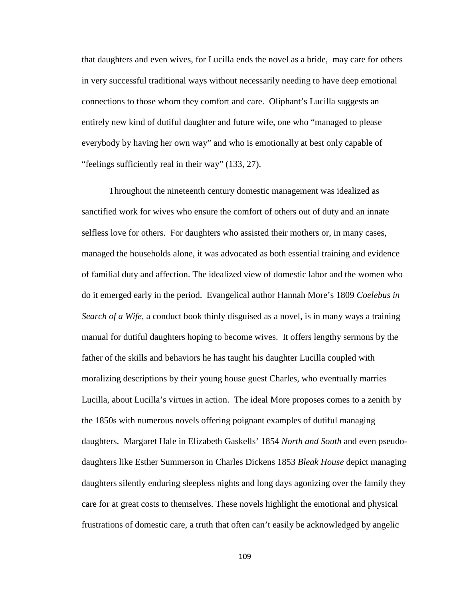that daughters and even wives, for Lucilla ends the novel as a bride, may care for others in very successful traditional ways without necessarily needing to have deep emotional connections to those whom they comfort and care. Oliphant's Lucilla suggests an entirely new kind of dutiful daughter and future wife, one who "managed to please everybody by having her own way" and who is emotionally at best only capable of "feelings sufficiently real in their way" (133, 27).

Throughout the nineteenth century domestic management was idealized as sanctified work for wives who ensure the comfort of others out of duty and an innate selfless love for others. For daughters who assisted their mothers or, in many cases, managed the households alone, it was advocated as both essential training and evidence of familial duty and affection. The idealized view of domestic labor and the women who do it emerged early in the period. Evangelical author Hannah More's 1809 *Coelebus in Search of a Wife,* a conduct book thinly disguised as a novel, is in many ways a training manual for dutiful daughters hoping to become wives. It offers lengthy sermons by the father of the skills and behaviors he has taught his daughter Lucilla coupled with moralizing descriptions by their young house guest Charles, who eventually marries Lucilla, about Lucilla's virtues in action. The ideal More proposes comes to a zenith by the 1850s with numerous novels offering poignant examples of dutiful managing daughters. Margaret Hale in Elizabeth Gaskells' 1854 *North and South* and even pseudodaughters like Esther Summerson in Charles Dickens 1853 *Bleak House* depict managing daughters silently enduring sleepless nights and long days agonizing over the family they care for at great costs to themselves. These novels highlight the emotional and physical frustrations of domestic care, a truth that often can't easily be acknowledged by angelic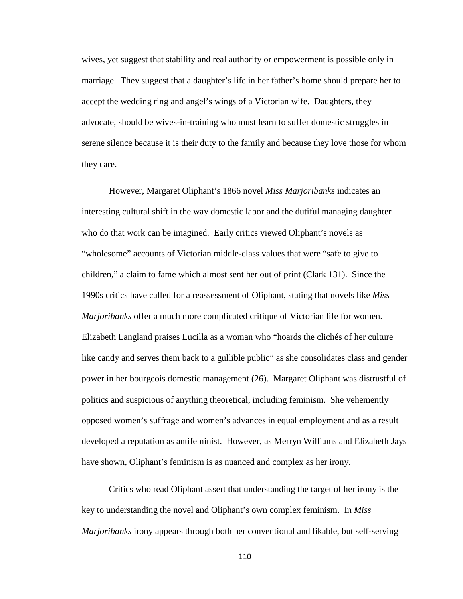wives, yet suggest that stability and real authority or empowerment is possible only in marriage. They suggest that a daughter's life in her father's home should prepare her to accept the wedding ring and angel's wings of a Victorian wife. Daughters, they advocate, should be wives-in-training who must learn to suffer domestic struggles in serene silence because it is their duty to the family and because they love those for whom they care.

However, Margaret Oliphant's 1866 novel *Miss Marjoribanks* indicates an interesting cultural shift in the way domestic labor and the dutiful managing daughter who do that work can be imagined. Early critics viewed Oliphant's novels as "wholesome" accounts of Victorian middle-class values that were "safe to give to children," a claim to fame which almost sent her out of print (Clark 131). Since the 1990s critics have called for a reassessment of Oliphant, stating that novels like *Miss Marjoribanks* offer a much more complicated critique of Victorian life for women. Elizabeth Langland praises Lucilla as a woman who "hoards the clichés of her culture like candy and serves them back to a gullible public" as she consolidates class and gender power in her bourgeois domestic management (26). Margaret Oliphant was distrustful of politics and suspicious of anything theoretical, including feminism. She vehemently opposed women's suffrage and women's advances in equal employment and as a result developed a reputation as antifeminist. However, as Merryn Williams and Elizabeth Jays have shown, Oliphant's feminism is as nuanced and complex as her irony.

Critics who read Oliphant assert that understanding the target of her irony is the key to understanding the novel and Oliphant's own complex feminism. In *Miss Marjoribanks* irony appears through both her conventional and likable, but self-serving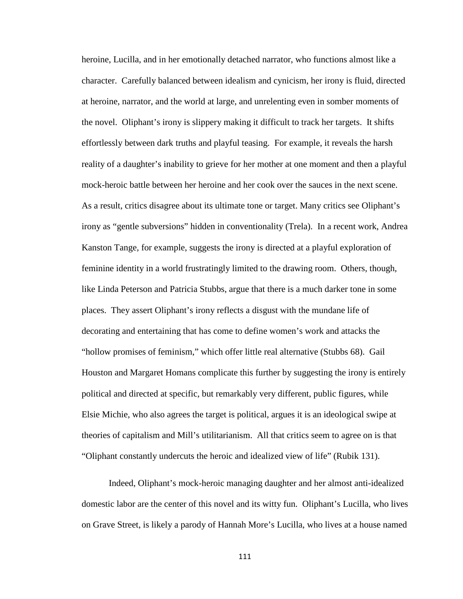heroine, Lucilla, and in her emotionally detached narrator, who functions almost like a character. Carefully balanced between idealism and cynicism, her irony is fluid, directed at heroine, narrator, and the world at large, and unrelenting even in somber moments of the novel. Oliphant's irony is slippery making it difficult to track her targets. It shifts effortlessly between dark truths and playful teasing. For example, it reveals the harsh reality of a daughter's inability to grieve for her mother at one moment and then a playful mock-heroic battle between her heroine and her cook over the sauces in the next scene. As a result, critics disagree about its ultimate tone or target. Many critics see Oliphant's irony as "gentle subversions" hidden in conventionality (Trela). In a recent work, Andrea Kanston Tange, for example, suggests the irony is directed at a playful exploration of feminine identity in a world frustratingly limited to the drawing room. Others, though, like Linda Peterson and Patricia Stubbs, argue that there is a much darker tone in some places. They assert Oliphant's irony reflects a disgust with the mundane life of decorating and entertaining that has come to define women's work and attacks the "hollow promises of feminism," which offer little real alternative (Stubbs 68). Gail Houston and Margaret Homans complicate this further by suggesting the irony is entirely political and directed at specific, but remarkably very different, public figures, while Elsie Michie, who also agrees the target is political, argues it is an ideological swipe at theories of capitalism and Mill's utilitarianism. All that critics seem to agree on is that "Oliphant constantly undercuts the heroic and idealized view of life" (Rubik 131).

Indeed, Oliphant's mock-heroic managing daughter and her almost anti-idealized domestic labor are the center of this novel and its witty fun. Oliphant's Lucilla, who lives on Grave Street, is likely a parody of Hannah More's Lucilla, who lives at a house named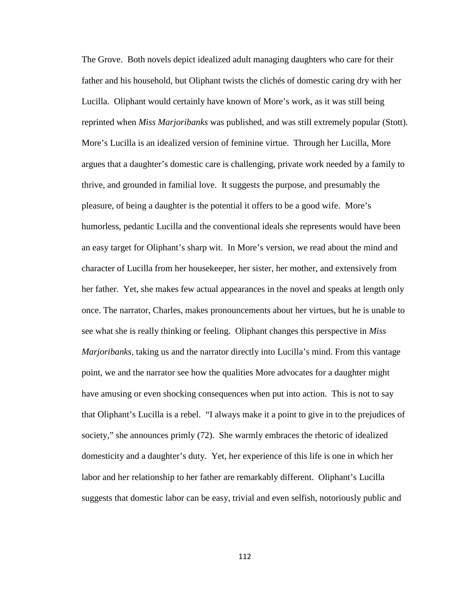The Grove. Both novels depict idealized adult managing daughters who care for their father and his household, but Oliphant twists the clichés of domestic caring dry with her Lucilla. Oliphant would certainly have known of More's work, as it was still being reprinted when *Miss Marjoribanks* was published, and was still extremely popular (Stott). More's Lucilla is an idealized version of feminine virtue. Through her Lucilla, More argues that a daughter's domestic care is challenging, private work needed by a family to thrive, and grounded in familial love. It suggests the purpose, and presumably the pleasure, of being a daughter is the potential it offers to be a good wife. More's humorless, pedantic Lucilla and the conventional ideals she represents would have been an easy target for Oliphant's sharp wit. In More's version, we read about the mind and character of Lucilla from her housekeeper, her sister, her mother, and extensively from her father. Yet, she makes few actual appearances in the novel and speaks at length only once. The narrator, Charles, makes pronouncements about her virtues, but he is unable to see what she is really thinking or feeling. Oliphant changes this perspective in *Miss Marjoribanks,* taking us and the narrator directly into Lucilla's mind. From this vantage point, we and the narrator see how the qualities More advocates for a daughter might have amusing or even shocking consequences when put into action. This is not to say that Oliphant's Lucilla is a rebel. "I always make it a point to give in to the prejudices of society," she announces primly (72). She warmly embraces the rhetoric of idealized domesticity and a daughter's duty. Yet, her experience of this life is one in which her labor and her relationship to her father are remarkably different. Oliphant's Lucilla suggests that domestic labor can be easy, trivial and even selfish, notoriously public and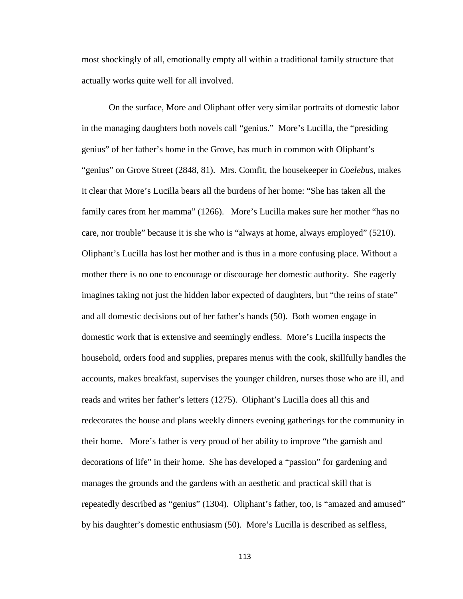most shockingly of all, emotionally empty all within a traditional family structure that actually works quite well for all involved.

On the surface, More and Oliphant offer very similar portraits of domestic labor in the managing daughters both novels call "genius."More's Lucilla, the "presiding genius" of her father's home in the Grove, has much in common with Oliphant's "genius" on Grove Street (2848, 81). Mrs. Comfit, the housekeeper in *Coelebus*, makes it clear that More's Lucilla bears all the burdens of her home: "She has taken all the family cares from her mamma" (1266). More's Lucilla makes sure her mother "has no care, nor trouble" because it is she who is "always at home, always employed" (5210). Oliphant's Lucilla has lost her mother and is thus in a more confusing place. Without a mother there is no one to encourage or discourage her domestic authority. She eagerly imagines taking not just the hidden labor expected of daughters, but "the reins of state" and all domestic decisions out of her father's hands (50). Both women engage in domestic work that is extensive and seemingly endless. More's Lucilla inspects the household, orders food and supplies, prepares menus with the cook, skillfully handles the accounts, makes breakfast, supervises the younger children, nurses those who are ill, and reads and writes her father's letters (1275). Oliphant's Lucilla does all this and redecorates the house and plans weekly dinners evening gatherings for the community in their home. More's father is very proud of her ability to improve "the garnish and decorations of life" in their home. She has developed a "passion" for gardening and manages the grounds and the gardens with an aesthetic and practical skill that is repeatedly described as "genius" (1304). Oliphant's father, too, is "amazed and amused" by his daughter's domestic enthusiasm (50). More's Lucilla is described as selfless,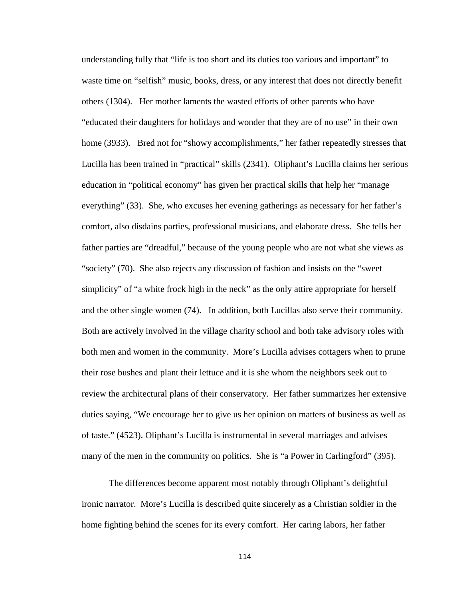understanding fully that "life is too short and its duties too various and important" to waste time on "selfish" music, books, dress, or any interest that does not directly benefit others (1304). Her mother laments the wasted efforts of other parents who have "educated their daughters for holidays and wonder that they are of no use" in their own home (3933). Bred not for "showy accomplishments," her father repeatedly stresses that Lucilla has been trained in "practical" skills (2341). Oliphant's Lucilla claims her serious education in "political economy" has given her practical skills that help her "manage everything" (33). She, who excuses her evening gatherings as necessary for her father's comfort, also disdains parties, professional musicians, and elaborate dress. She tells her father parties are "dreadful," because of the young people who are not what she views as "society" (70). She also rejects any discussion of fashion and insists on the "sweet simplicity" of "a white frock high in the neck" as the only attire appropriate for herself and the other single women (74). In addition, both Lucillas also serve their community. Both are actively involved in the village charity school and both take advisory roles with both men and women in the community. More's Lucilla advises cottagers when to prune their rose bushes and plant their lettuce and it is she whom the neighbors seek out to review the architectural plans of their conservatory. Her father summarizes her extensive duties saying, "We encourage her to give us her opinion on matters of business as well as of taste." (4523). Oliphant's Lucilla is instrumental in several marriages and advises many of the men in the community on politics. She is "a Power in Carlingford" (395).

The differences become apparent most notably through Oliphant's delightful ironic narrator. More's Lucilla is described quite sincerely as a Christian soldier in the home fighting behind the scenes for its every comfort. Her caring labors, her father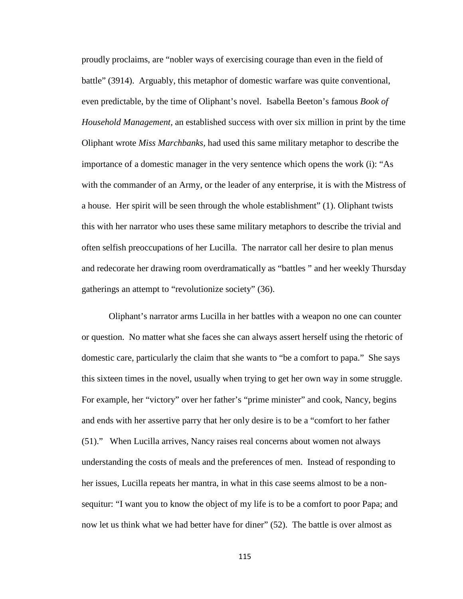proudly proclaims, are "nobler ways of exercising courage than even in the field of battle" (3914). Arguably, this metaphor of domestic warfare was quite conventional, even predictable, by the time of Oliphant's novel. Isabella Beeton's famous *Book of Household Management,* an established success with over six million in print by the time Oliphant wrote *Miss Marchbanks,* had used this same military metaphor to describe the importance of a domestic manager in the very sentence which opens the work (i): "As with the commander of an Army, or the leader of any enterprise, it is with the Mistress of a house. Her spirit will be seen through the whole establishment" (1). Oliphant twists this with her narrator who uses these same military metaphors to describe the trivial and often selfish preoccupations of her Lucilla. The narrator call her desire to plan menus and redecorate her drawing room overdramatically as "battles " and her weekly Thursday gatherings an attempt to "revolutionize society" (36).

Oliphant's narrator arms Lucilla in her battles with a weapon no one can counter or question. No matter what she faces she can always assert herself using the rhetoric of domestic care, particularly the claim that she wants to "be a comfort to papa." She says this sixteen times in the novel, usually when trying to get her own way in some struggle. For example, her "victory" over her father's "prime minister" and cook, Nancy, begins and ends with her assertive parry that her only desire is to be a "comfort to her father (51)." When Lucilla arrives, Nancy raises real concerns about women not always understanding the costs of meals and the preferences of men. Instead of responding to her issues, Lucilla repeats her mantra, in what in this case seems almost to be a nonsequitur: "I want you to know the object of my life is to be a comfort to poor Papa; and now let us think what we had better have for diner" (52). The battle is over almost as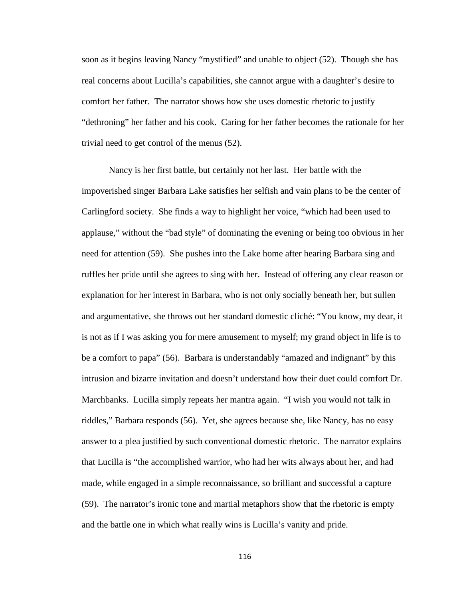soon as it begins leaving Nancy "mystified" and unable to object (52). Though she has real concerns about Lucilla's capabilities, she cannot argue with a daughter's desire to comfort her father. The narrator shows how she uses domestic rhetoric to justify "dethroning" her father and his cook. Caring for her father becomes the rationale for her trivial need to get control of the menus (52).

Nancy is her first battle, but certainly not her last. Her battle with the impoverished singer Barbara Lake satisfies her selfish and vain plans to be the center of Carlingford society. She finds a way to highlight her voice, "which had been used to applause," without the "bad style" of dominating the evening or being too obvious in her need for attention (59). She pushes into the Lake home after hearing Barbara sing and ruffles her pride until she agrees to sing with her. Instead of offering any clear reason or explanation for her interest in Barbara, who is not only socially beneath her, but sullen and argumentative, she throws out her standard domestic cliché: "You know, my dear, it is not as if I was asking you for mere amusement to myself; my grand object in life is to be a comfort to papa" (56). Barbara is understandably "amazed and indignant" by this intrusion and bizarre invitation and doesn't understand how their duet could comfort Dr. Marchbanks. Lucilla simply repeats her mantra again. "I wish you would not talk in riddles," Barbara responds (56). Yet, she agrees because she, like Nancy, has no easy answer to a plea justified by such conventional domestic rhetoric. The narrator explains that Lucilla is "the accomplished warrior, who had her wits always about her, and had made, while engaged in a simple reconnaissance, so brilliant and successful a capture (59). The narrator's ironic tone and martial metaphors show that the rhetoric is empty and the battle one in which what really wins is Lucilla's vanity and pride.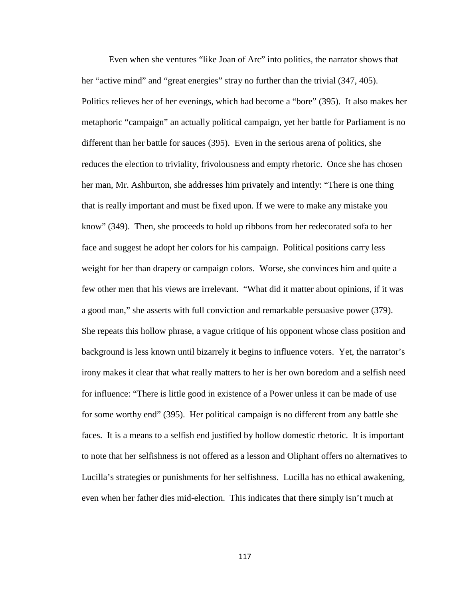Even when she ventures "like Joan of Arc" into politics, the narrator shows that her "active mind" and "great energies" stray no further than the trivial (347, 405). Politics relieves her of her evenings, which had become a "bore" (395). It also makes her metaphoric "campaign" an actually political campaign, yet her battle for Parliament is no different than her battle for sauces (395). Even in the serious arena of politics, she reduces the election to triviality, frivolousness and empty rhetoric. Once she has chosen her man, Mr. Ashburton, she addresses him privately and intently: "There is one thing that is really important and must be fixed upon. If we were to make any mistake you know" (349). Then, she proceeds to hold up ribbons from her redecorated sofa to her face and suggest he adopt her colors for his campaign. Political positions carry less weight for her than drapery or campaign colors. Worse, she convinces him and quite a few other men that his views are irrelevant. "What did it matter about opinions, if it was a good man," she asserts with full conviction and remarkable persuasive power (379). She repeats this hollow phrase, a vague critique of his opponent whose class position and background is less known until bizarrely it begins to influence voters. Yet, the narrator's irony makes it clear that what really matters to her is her own boredom and a selfish need for influence: "There is little good in existence of a Power unless it can be made of use for some worthy end" (395). Her political campaign is no different from any battle she faces. It is a means to a selfish end justified by hollow domestic rhetoric. It is important to note that her selfishness is not offered as a lesson and Oliphant offers no alternatives to Lucilla's strategies or punishments for her selfishness. Lucilla has no ethical awakening, even when her father dies mid-election. This indicates that there simply isn't much at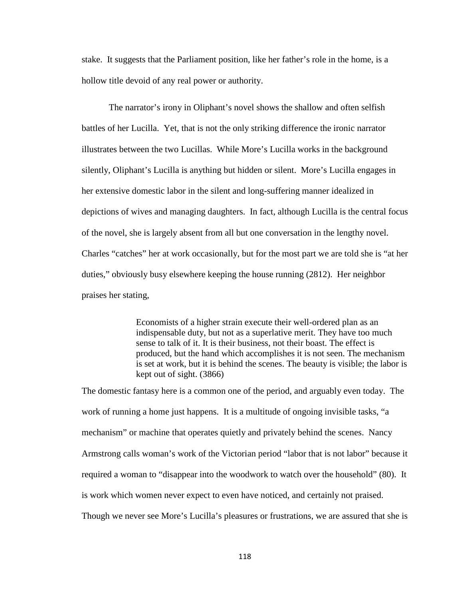stake. It suggests that the Parliament position, like her father's role in the home, is a hollow title devoid of any real power or authority.

The narrator's irony in Oliphant's novel shows the shallow and often selfish battles of her Lucilla. Yet, that is not the only striking difference the ironic narrator illustrates between the two Lucillas. While More's Lucilla works in the background silently, Oliphant's Lucilla is anything but hidden or silent. More's Lucilla engages in her extensive domestic labor in the silent and long-suffering manner idealized in depictions of wives and managing daughters. In fact, although Lucilla is the central focus of the novel, she is largely absent from all but one conversation in the lengthy novel. Charles "catches" her at work occasionally, but for the most part we are told she is "at her duties," obviously busy elsewhere keeping the house running (2812). Her neighbor praises her stating,

> Economists of a higher strain execute their well-ordered plan as an indispensable duty, but not as a superlative merit. They have too much sense to talk of it. It is their business, not their boast. The effect is produced, but the hand which accomplishes it is not seen. The mechanism is set at work, but it is behind the scenes. The beauty is visible; the labor is kept out of sight. (3866)

The domestic fantasy here is a common one of the period, and arguably even today. The work of running a home just happens. It is a multitude of ongoing invisible tasks, "a mechanism" or machine that operates quietly and privately behind the scenes. Nancy Armstrong calls woman's work of the Victorian period "labor that is not labor" because it required a woman to "disappear into the woodwork to watch over the household" (80). It is work which women never expect to even have noticed, and certainly not praised. Though we never see More's Lucilla's pleasures or frustrations, we are assured that she is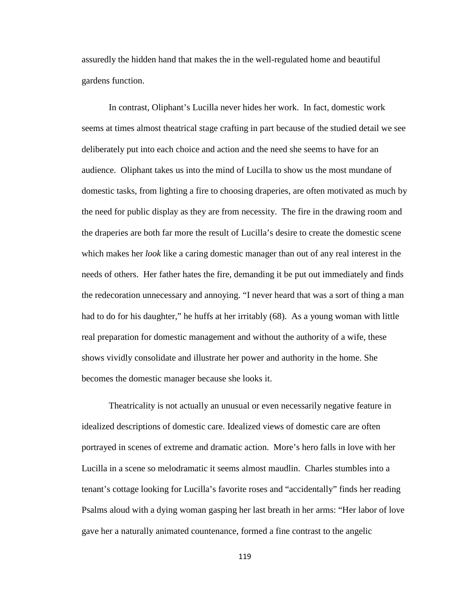assuredly the hidden hand that makes the in the well-regulated home and beautiful gardens function.

In contrast, Oliphant's Lucilla never hides her work. In fact, domestic work seems at times almost theatrical stage crafting in part because of the studied detail we see deliberately put into each choice and action and the need she seems to have for an audience. Oliphant takes us into the mind of Lucilla to show us the most mundane of domestic tasks, from lighting a fire to choosing draperies, are often motivated as much by the need for public display as they are from necessity. The fire in the drawing room and the draperies are both far more the result of Lucilla's desire to create the domestic scene which makes her *look* like a caring domestic manager than out of any real interest in the needs of others. Her father hates the fire, demanding it be put out immediately and finds the redecoration unnecessary and annoying. "I never heard that was a sort of thing a man had to do for his daughter," he huffs at her irritably (68). As a young woman with little real preparation for domestic management and without the authority of a wife, these shows vividly consolidate and illustrate her power and authority in the home. She becomes the domestic manager because she looks it.

Theatricality is not actually an unusual or even necessarily negative feature in idealized descriptions of domestic care. Idealized views of domestic care are often portrayed in scenes of extreme and dramatic action. More's hero falls in love with her Lucilla in a scene so melodramatic it seems almost maudlin. Charles stumbles into a tenant's cottage looking for Lucilla's favorite roses and "accidentally" finds her reading Psalms aloud with a dying woman gasping her last breath in her arms: "Her labor of love gave her a naturally animated countenance, formed a fine contrast to the angelic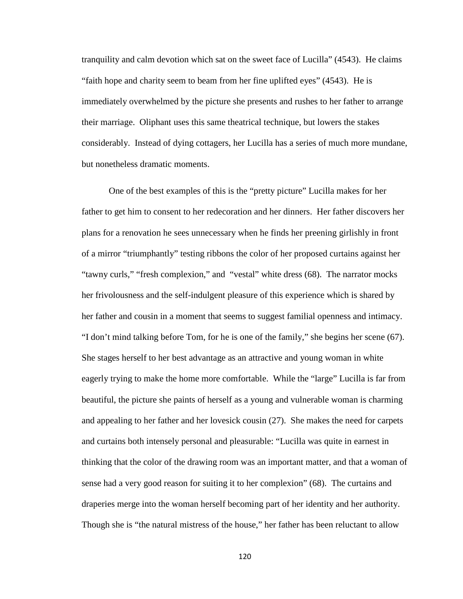tranquility and calm devotion which sat on the sweet face of Lucilla" (4543). He claims "faith hope and charity seem to beam from her fine uplifted eyes" (4543). He is immediately overwhelmed by the picture she presents and rushes to her father to arrange their marriage. Oliphant uses this same theatrical technique, but lowers the stakes considerably. Instead of dying cottagers, her Lucilla has a series of much more mundane, but nonetheless dramatic moments.

One of the best examples of this is the "pretty picture" Lucilla makes for her father to get him to consent to her redecoration and her dinners. Her father discovers her plans for a renovation he sees unnecessary when he finds her preening girlishly in front of a mirror "triumphantly" testing ribbons the color of her proposed curtains against her "tawny curls," "fresh complexion," and "vestal" white dress (68). The narrator mocks her frivolousness and the self-indulgent pleasure of this experience which is shared by her father and cousin in a moment that seems to suggest familial openness and intimacy. "I don't mind talking before Tom, for he is one of the family," she begins her scene (67). She stages herself to her best advantage as an attractive and young woman in white eagerly trying to make the home more comfortable. While the "large" Lucilla is far from beautiful, the picture she paints of herself as a young and vulnerable woman is charming and appealing to her father and her lovesick cousin (27). She makes the need for carpets and curtains both intensely personal and pleasurable: "Lucilla was quite in earnest in thinking that the color of the drawing room was an important matter, and that a woman of sense had a very good reason for suiting it to her complexion" (68). The curtains and draperies merge into the woman herself becoming part of her identity and her authority. Though she is "the natural mistress of the house," her father has been reluctant to allow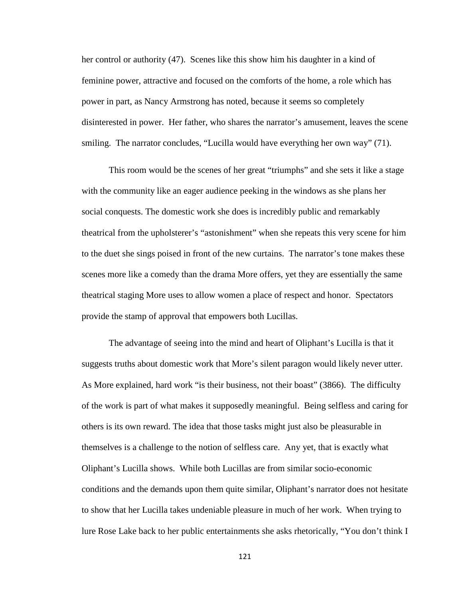her control or authority (47). Scenes like this show him his daughter in a kind of feminine power, attractive and focused on the comforts of the home, a role which has power in part, as Nancy Armstrong has noted, because it seems so completely disinterested in power. Her father, who shares the narrator's amusement, leaves the scene smiling. The narrator concludes, "Lucilla would have everything her own way" (71).

This room would be the scenes of her great "triumphs" and she sets it like a stage with the community like an eager audience peeking in the windows as she plans her social conquests. The domestic work she does is incredibly public and remarkably theatrical from the upholsterer's "astonishment" when she repeats this very scene for him to the duet she sings poised in front of the new curtains. The narrator's tone makes these scenes more like a comedy than the drama More offers, yet they are essentially the same theatrical staging More uses to allow women a place of respect and honor. Spectators provide the stamp of approval that empowers both Lucillas.

The advantage of seeing into the mind and heart of Oliphant's Lucilla is that it suggests truths about domestic work that More's silent paragon would likely never utter. As More explained, hard work "is their business, not their boast" (3866). The difficulty of the work is part of what makes it supposedly meaningful. Being selfless and caring for others is its own reward. The idea that those tasks might just also be pleasurable in themselves is a challenge to the notion of selfless care. Any yet, that is exactly what Oliphant's Lucilla shows. While both Lucillas are from similar socio-economic conditions and the demands upon them quite similar, Oliphant's narrator does not hesitate to show that her Lucilla takes undeniable pleasure in much of her work. When trying to lure Rose Lake back to her public entertainments she asks rhetorically, "You don't think I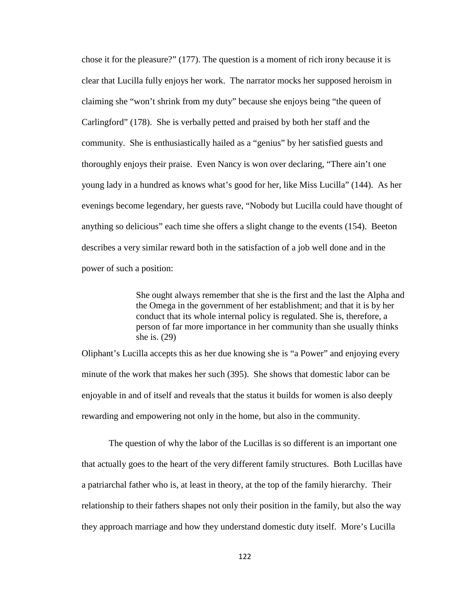chose it for the pleasure?" (177). The question is a moment of rich irony because it is clear that Lucilla fully enjoys her work. The narrator mocks her supposed heroism in claiming she "won't shrink from my duty" because she enjoys being "the queen of Carlingford" (178). She is verbally petted and praised by both her staff and the community. She is enthusiastically hailed as a "genius" by her satisfied guests and thoroughly enjoys their praise. Even Nancy is won over declaring, "There ain't one young lady in a hundred as knows what's good for her, like Miss Lucilla" (144). As her evenings become legendary, her guests rave, "Nobody but Lucilla could have thought of anything so delicious" each time she offers a slight change to the events (154). Beeton describes a very similar reward both in the satisfaction of a job well done and in the power of such a position:

> She ought always remember that she is the first and the last the Alpha and the Omega in the government of her establishment; and that it is by her conduct that its whole internal policy is regulated. She is, therefore, a person of far more importance in her community than she usually thinks she is. (29)

Oliphant's Lucilla accepts this as her due knowing she is "a Power" and enjoying every minute of the work that makes her such (395). She shows that domestic labor can be enjoyable in and of itself and reveals that the status it builds for women is also deeply rewarding and empowering not only in the home, but also in the community.

The question of why the labor of the Lucillas is so different is an important one that actually goes to the heart of the very different family structures. Both Lucillas have a patriarchal father who is, at least in theory, at the top of the family hierarchy. Their relationship to their fathers shapes not only their position in the family, but also the way they approach marriage and how they understand domestic duty itself. More's Lucilla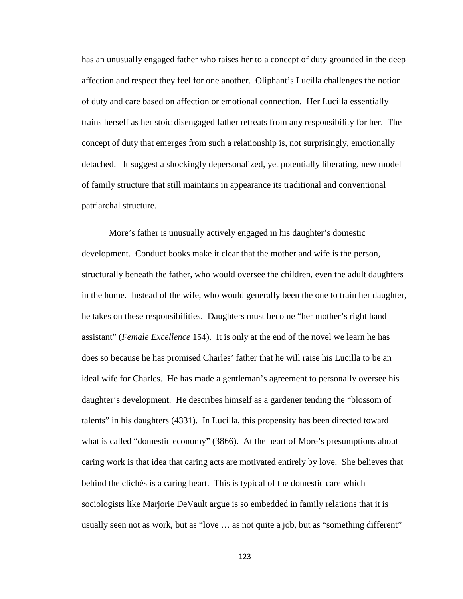has an unusually engaged father who raises her to a concept of duty grounded in the deep affection and respect they feel for one another. Oliphant's Lucilla challenges the notion of duty and care based on affection or emotional connection. Her Lucilla essentially trains herself as her stoic disengaged father retreats from any responsibility for her. The concept of duty that emerges from such a relationship is, not surprisingly, emotionally detached. It suggest a shockingly depersonalized, yet potentially liberating, new model of family structure that still maintains in appearance its traditional and conventional patriarchal structure.

More's father is unusually actively engaged in his daughter's domestic development. Conduct books make it clear that the mother and wife is the person, structurally beneath the father, who would oversee the children, even the adult daughters in the home. Instead of the wife, who would generally been the one to train her daughter, he takes on these responsibilities. Daughters must become "her mother's right hand assistant" (*Female Excellence* 154). It is only at the end of the novel we learn he has does so because he has promised Charles' father that he will raise his Lucilla to be an ideal wife for Charles. He has made a gentleman's agreement to personally oversee his daughter's development. He describes himself as a gardener tending the "blossom of talents" in his daughters (4331). In Lucilla, this propensity has been directed toward what is called "domestic economy" (3866). At the heart of More's presumptions about caring work is that idea that caring acts are motivated entirely by love. She believes that behind the clichés is a caring heart. This is typical of the domestic care which sociologists like Marjorie DeVault argue is so embedded in family relations that it is usually seen not as work, but as "love … as not quite a job, but as "something different"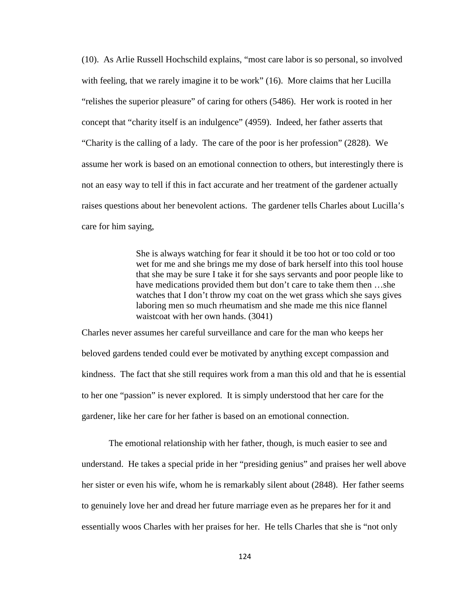(10). As Arlie Russell Hochschild explains, "most care labor is so personal, so involved with feeling, that we rarely imagine it to be work" (16). More claims that her Lucilla "relishes the superior pleasure" of caring for others (5486). Her work is rooted in her concept that "charity itself is an indulgence" (4959). Indeed, her father asserts that "Charity is the calling of a lady. The care of the poor is her profession" (2828). We assume her work is based on an emotional connection to others, but interestingly there is not an easy way to tell if this in fact accurate and her treatment of the gardener actually raises questions about her benevolent actions. The gardener tells Charles about Lucilla's care for him saying,

> She is always watching for fear it should it be too hot or too cold or too wet for me and she brings me my dose of bark herself into this tool house that she may be sure I take it for she says servants and poor people like to have medications provided them but don't care to take them then ...she watches that I don't throw my coat on the wet grass which she says gives laboring men so much rheumatism and she made me this nice flannel waistcoat with her own hands. (3041)

Charles never assumes her careful surveillance and care for the man who keeps her beloved gardens tended could ever be motivated by anything except compassion and kindness. The fact that she still requires work from a man this old and that he is essential to her one "passion" is never explored. It is simply understood that her care for the gardener, like her care for her father is based on an emotional connection.

The emotional relationship with her father, though, is much easier to see and understand. He takes a special pride in her "presiding genius" and praises her well above her sister or even his wife, whom he is remarkably silent about (2848). Her father seems to genuinely love her and dread her future marriage even as he prepares her for it and essentially woos Charles with her praises for her. He tells Charles that she is "not only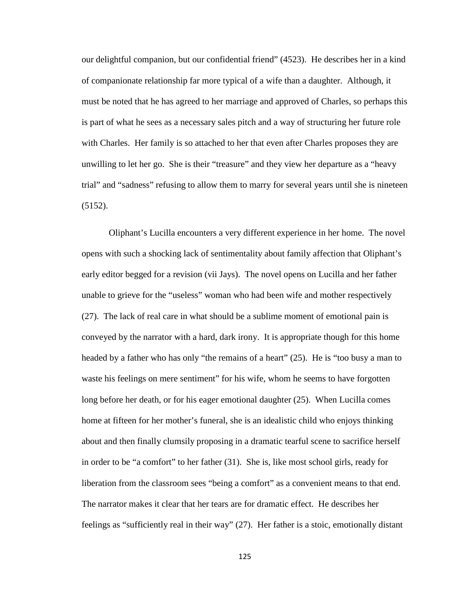our delightful companion, but our confidential friend" (4523). He describes her in a kind of companionate relationship far more typical of a wife than a daughter. Although, it must be noted that he has agreed to her marriage and approved of Charles, so perhaps this is part of what he sees as a necessary sales pitch and a way of structuring her future role with Charles. Her family is so attached to her that even after Charles proposes they are unwilling to let her go. She is their "treasure" and they view her departure as a "heavy trial" and "sadness" refusing to allow them to marry for several years until she is nineteen (5152).

Oliphant's Lucilla encounters a very different experience in her home. The novel opens with such a shocking lack of sentimentality about family affection that Oliphant's early editor begged for a revision (vii Jays). The novel opens on Lucilla and her father unable to grieve for the "useless" woman who had been wife and mother respectively (27). The lack of real care in what should be a sublime moment of emotional pain is conveyed by the narrator with a hard, dark irony. It is appropriate though for this home headed by a father who has only "the remains of a heart" (25). He is "too busy a man to waste his feelings on mere sentiment" for his wife, whom he seems to have forgotten long before her death, or for his eager emotional daughter (25). When Lucilla comes home at fifteen for her mother's funeral, she is an idealistic child who enjoys thinking about and then finally clumsily proposing in a dramatic tearful scene to sacrifice herself in order to be "a comfort" to her father (31). She is, like most school girls, ready for liberation from the classroom sees "being a comfort" as a convenient means to that end. The narrator makes it clear that her tears are for dramatic effect. He describes her feelings as "sufficiently real in their way" (27). Her father is a stoic, emotionally distant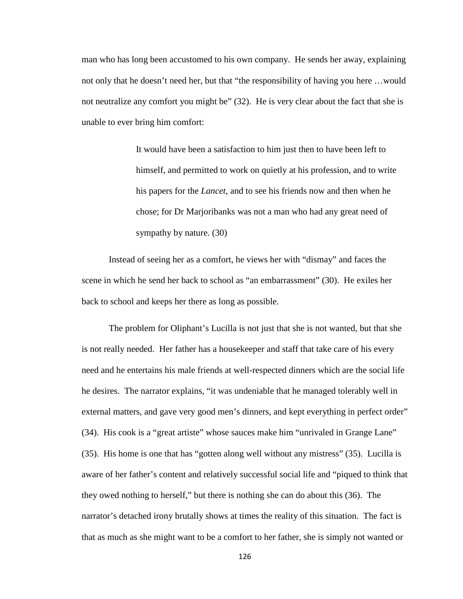man who has long been accustomed to his own company. He sends her away, explaining not only that he doesn't need her, but that "the responsibility of having you here …would not neutralize any comfort you might be" (32). He is very clear about the fact that she is unable to ever bring him comfort:

> It would have been a satisfaction to him just then to have been left to himself, and permitted to work on quietly at his profession, and to write his papers for the *Lancet,* and to see his friends now and then when he chose; for Dr Marjoribanks was not a man who had any great need of sympathy by nature. (30)

Instead of seeing her as a comfort, he views her with "dismay" and faces the scene in which he send her back to school as "an embarrassment" (30). He exiles her back to school and keeps her there as long as possible.

The problem for Oliphant's Lucilla is not just that she is not wanted, but that she is not really needed. Her father has a housekeeper and staff that take care of his every need and he entertains his male friends at well-respected dinners which are the social life he desires. The narrator explains, "it was undeniable that he managed tolerably well in external matters, and gave very good men's dinners, and kept everything in perfect order" (34). His cook is a "great artiste" whose sauces make him "unrivaled in Grange Lane" (35). His home is one that has "gotten along well without any mistress" (35). Lucilla is aware of her father's content and relatively successful social life and "piqued to think that they owed nothing to herself," but there is nothing she can do about this (36). The narrator's detached irony brutally shows at times the reality of this situation. The fact is that as much as she might want to be a comfort to her father, she is simply not wanted or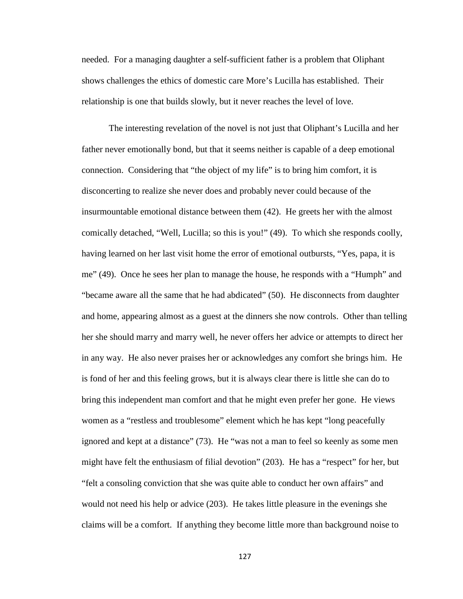needed. For a managing daughter a self-sufficient father is a problem that Oliphant shows challenges the ethics of domestic care More's Lucilla has established. Their relationship is one that builds slowly, but it never reaches the level of love.

The interesting revelation of the novel is not just that Oliphant's Lucilla and her father never emotionally bond, but that it seems neither is capable of a deep emotional connection. Considering that "the object of my life" is to bring him comfort, it is disconcerting to realize she never does and probably never could because of the insurmountable emotional distance between them (42). He greets her with the almost comically detached, "Well, Lucilla; so this is you!" (49). To which she responds coolly, having learned on her last visit home the error of emotional outbursts, "Yes, papa, it is me" (49). Once he sees her plan to manage the house, he responds with a "Humph" and "became aware all the same that he had abdicated" (50). He disconnects from daughter and home, appearing almost as a guest at the dinners she now controls. Other than telling her she should marry and marry well, he never offers her advice or attempts to direct her in any way. He also never praises her or acknowledges any comfort she brings him. He is fond of her and this feeling grows, but it is always clear there is little she can do to bring this independent man comfort and that he might even prefer her gone. He views women as a "restless and troublesome" element which he has kept "long peacefully ignored and kept at a distance" (73). He "was not a man to feel so keenly as some men might have felt the enthusiasm of filial devotion" (203). He has a "respect" for her, but "felt a consoling conviction that she was quite able to conduct her own affairs" and would not need his help or advice (203). He takes little pleasure in the evenings she claims will be a comfort. If anything they become little more than background noise to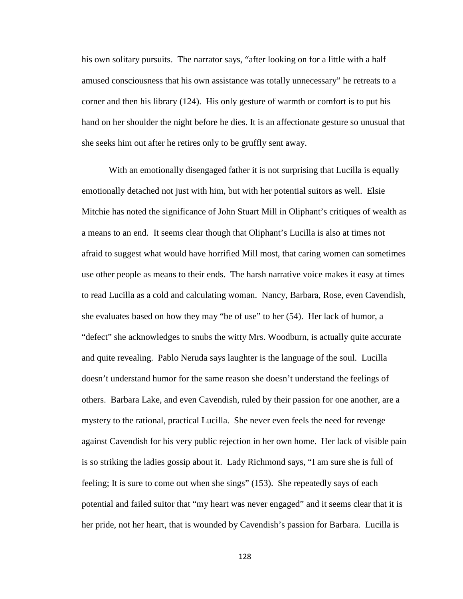his own solitary pursuits. The narrator says, "after looking on for a little with a half amused consciousness that his own assistance was totally unnecessary" he retreats to a corner and then his library (124). His only gesture of warmth or comfort is to put his hand on her shoulder the night before he dies. It is an affectionate gesture so unusual that she seeks him out after he retires only to be gruffly sent away.

With an emotionally disengaged father it is not surprising that Lucilla is equally emotionally detached not just with him, but with her potential suitors as well. Elsie Mitchie has noted the significance of John Stuart Mill in Oliphant's critiques of wealth as a means to an end. It seems clear though that Oliphant's Lucilla is also at times not afraid to suggest what would have horrified Mill most, that caring women can sometimes use other people as means to their ends. The harsh narrative voice makes it easy at times to read Lucilla as a cold and calculating woman. Nancy, Barbara, Rose, even Cavendish, she evaluates based on how they may "be of use" to her (54). Her lack of humor, a "defect" she acknowledges to snubs the witty Mrs. Woodburn, is actually quite accurate and quite revealing. Pablo Neruda says laughter is the language of the soul. Lucilla doesn't understand humor for the same reason she doesn't understand the feelings of others. Barbara Lake, and even Cavendish, ruled by their passion for one another, are a mystery to the rational, practical Lucilla. She never even feels the need for revenge against Cavendish for his very public rejection in her own home. Her lack of visible pain is so striking the ladies gossip about it. Lady Richmond says, "I am sure she is full of feeling; It is sure to come out when she sings" (153). She repeatedly says of each potential and failed suitor that "my heart was never engaged" and it seems clear that it is her pride, not her heart, that is wounded by Cavendish's passion for Barbara. Lucilla is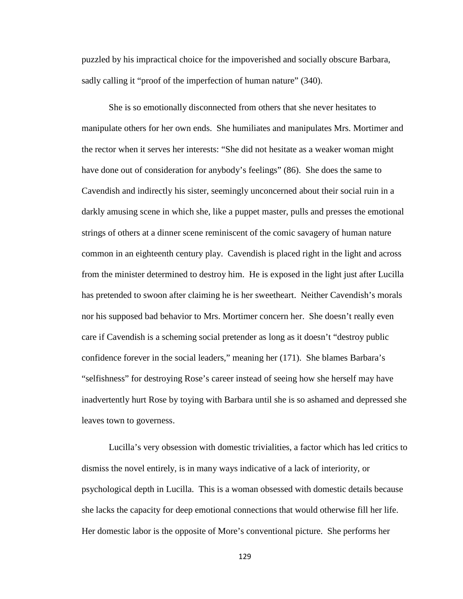puzzled by his impractical choice for the impoverished and socially obscure Barbara, sadly calling it "proof of the imperfection of human nature" (340).

She is so emotionally disconnected from others that she never hesitates to manipulate others for her own ends. She humiliates and manipulates Mrs. Mortimer and the rector when it serves her interests: "She did not hesitate as a weaker woman might have done out of consideration for anybody's feelings" (86). She does the same to Cavendish and indirectly his sister, seemingly unconcerned about their social ruin in a darkly amusing scene in which she, like a puppet master, pulls and presses the emotional strings of others at a dinner scene reminiscent of the comic savagery of human nature common in an eighteenth century play. Cavendish is placed right in the light and across from the minister determined to destroy him. He is exposed in the light just after Lucilla has pretended to swoon after claiming he is her sweetheart. Neither Cavendish's morals nor his supposed bad behavior to Mrs. Mortimer concern her. She doesn't really even care if Cavendish is a scheming social pretender as long as it doesn't "destroy public confidence forever in the social leaders," meaning her (171). She blames Barbara's "selfishness" for destroying Rose's career instead of seeing how she herself may have inadvertently hurt Rose by toying with Barbara until she is so ashamed and depressed she leaves town to governess.

Lucilla's very obsession with domestic trivialities, a factor which has led critics to dismiss the novel entirely, is in many ways indicative of a lack of interiority, or psychological depth in Lucilla. This is a woman obsessed with domestic details because she lacks the capacity for deep emotional connections that would otherwise fill her life. Her domestic labor is the opposite of More's conventional picture. She performs her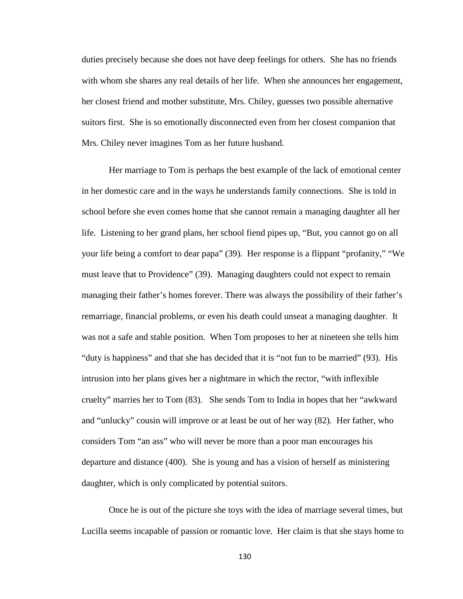duties precisely because she does not have deep feelings for others. She has no friends with whom she shares any real details of her life. When she announces her engagement, her closest friend and mother substitute, Mrs. Chiley, guesses two possible alternative suitors first. She is so emotionally disconnected even from her closest companion that Mrs. Chiley never imagines Tom as her future husband.

Her marriage to Tom is perhaps the best example of the lack of emotional center in her domestic care and in the ways he understands family connections. She is told in school before she even comes home that she cannot remain a managing daughter all her life. Listening to her grand plans, her school fiend pipes up, "But, you cannot go on all your life being a comfort to dear papa" (39). Her response is a flippant "profanity," "We must leave that to Providence" (39). Managing daughters could not expect to remain managing their father's homes forever. There was always the possibility of their father's remarriage, financial problems, or even his death could unseat a managing daughter. It was not a safe and stable position. When Tom proposes to her at nineteen she tells him "duty is happiness" and that she has decided that it is "not fun to be married" (93). His intrusion into her plans gives her a nightmare in which the rector, "with inflexible cruelty" marries her to Tom (83). She sends Tom to India in hopes that her "awkward and "unlucky" cousin will improve or at least be out of her way (82). Her father, who considers Tom "an ass" who will never be more than a poor man encourages his departure and distance (400). She is young and has a vision of herself as ministering daughter, which is only complicated by potential suitors.

Once he is out of the picture she toys with the idea of marriage several times, but Lucilla seems incapable of passion or romantic love. Her claim is that she stays home to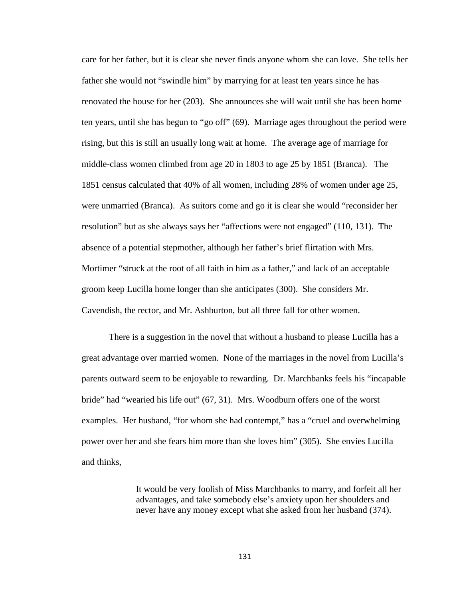care for her father, but it is clear she never finds anyone whom she can love. She tells her father she would not "swindle him" by marrying for at least ten years since he has renovated the house for her (203). She announces she will wait until she has been home ten years, until she has begun to "go off" (69). Marriage ages throughout the period were rising, but this is still an usually long wait at home. The average age of marriage for middle-class women climbed from age 20 in 1803 to age 25 by 1851 (Branca). The 1851 census calculated that 40% of all women, including 28% of women under age 25, were unmarried (Branca). As suitors come and go it is clear she would "reconsider her resolution" but as she always says her "affections were not engaged" (110, 131). The absence of a potential stepmother, although her father's brief flirtation with Mrs. Mortimer "struck at the root of all faith in him as a father," and lack of an acceptable groom keep Lucilla home longer than she anticipates (300). She considers Mr. Cavendish, the rector, and Mr. Ashburton, but all three fall for other women.

There is a suggestion in the novel that without a husband to please Lucilla has a great advantage over married women. None of the marriages in the novel from Lucilla's parents outward seem to be enjoyable to rewarding. Dr. Marchbanks feels his "incapable bride" had "wearied his life out" (67, 31). Mrs. Woodburn offers one of the worst examples. Her husband, "for whom she had contempt," has a "cruel and overwhelming power over her and she fears him more than she loves him" (305). She envies Lucilla and thinks,

> It would be very foolish of Miss Marchbanks to marry, and forfeit all her advantages, and take somebody else's anxiety upon her shoulders and never have any money except what she asked from her husband (374).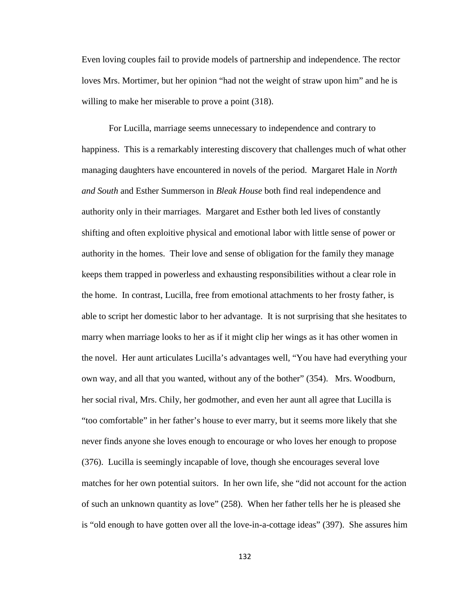Even loving couples fail to provide models of partnership and independence. The rector loves Mrs. Mortimer, but her opinion "had not the weight of straw upon him" and he is willing to make her miserable to prove a point (318).

For Lucilla, marriage seems unnecessary to independence and contrary to happiness. This is a remarkably interesting discovery that challenges much of what other managing daughters have encountered in novels of the period. Margaret Hale in *North and South* and Esther Summerson in *Bleak House* both find real independence and authority only in their marriages. Margaret and Esther both led lives of constantly shifting and often exploitive physical and emotional labor with little sense of power or authority in the homes. Their love and sense of obligation for the family they manage keeps them trapped in powerless and exhausting responsibilities without a clear role in the home. In contrast, Lucilla, free from emotional attachments to her frosty father, is able to script her domestic labor to her advantage. It is not surprising that she hesitates to marry when marriage looks to her as if it might clip her wings as it has other women in the novel. Her aunt articulates Lucilla's advantages well, "You have had everything your own way, and all that you wanted, without any of the bother" (354). Mrs. Woodburn, her social rival, Mrs. Chily, her godmother, and even her aunt all agree that Lucilla is "too comfortable" in her father's house to ever marry, but it seems more likely that she never finds anyone she loves enough to encourage or who loves her enough to propose (376). Lucilla is seemingly incapable of love, though she encourages several love matches for her own potential suitors. In her own life, she "did not account for the action of such an unknown quantity as love" (258). When her father tells her he is pleased she is "old enough to have gotten over all the love-in-a-cottage ideas" (397). She assures him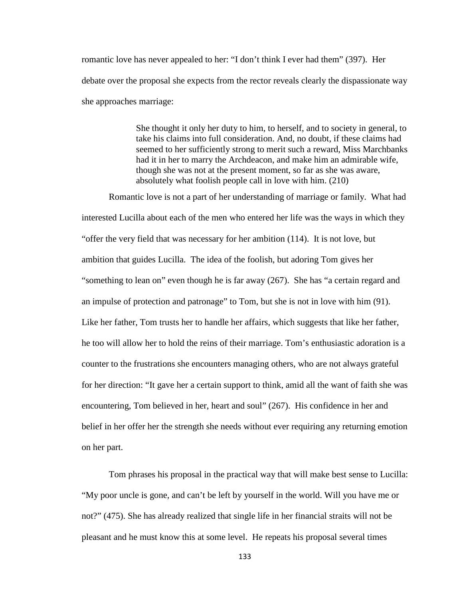romantic love has never appealed to her: "I don't think I ever had them" (397). Her debate over the proposal she expects from the rector reveals clearly the dispassionate way she approaches marriage:

> She thought it only her duty to him, to herself, and to society in general, to take his claims into full consideration. And, no doubt, if these claims had seemed to her sufficiently strong to merit such a reward, Miss Marchbanks had it in her to marry the Archdeacon, and make him an admirable wife, though she was not at the present moment, so far as she was aware, absolutely what foolish people call in love with him. (210)

Romantic love is not a part of her understanding of marriage or family. What had interested Lucilla about each of the men who entered her life was the ways in which they "offer the very field that was necessary for her ambition (114). It is not love, but ambition that guides Lucilla. The idea of the foolish, but adoring Tom gives her "something to lean on" even though he is far away (267). She has "a certain regard and an impulse of protection and patronage" to Tom, but she is not in love with him (91). Like her father, Tom trusts her to handle her affairs, which suggests that like her father, he too will allow her to hold the reins of their marriage. Tom's enthusiastic adoration is a counter to the frustrations she encounters managing others, who are not always grateful for her direction: "It gave her a certain support to think, amid all the want of faith she was encountering, Tom believed in her, heart and soul" (267). His confidence in her and belief in her offer her the strength she needs without ever requiring any returning emotion on her part.

Tom phrases his proposal in the practical way that will make best sense to Lucilla: "My poor uncle is gone, and can't be left by yourself in the world. Will you have me or not?" (475). She has already realized that single life in her financial straits will not be pleasant and he must know this at some level. He repeats his proposal several times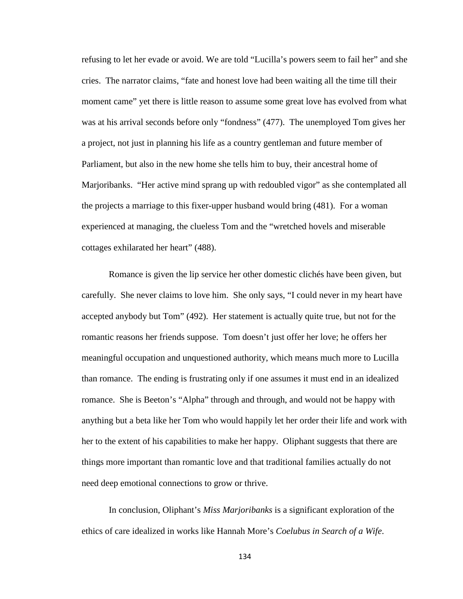refusing to let her evade or avoid. We are told "Lucilla's powers seem to fail her" and she cries. The narrator claims, "fate and honest love had been waiting all the time till their moment came" yet there is little reason to assume some great love has evolved from what was at his arrival seconds before only "fondness" (477). The unemployed Tom gives her a project, not just in planning his life as a country gentleman and future member of Parliament, but also in the new home she tells him to buy, their ancestral home of Marjoribanks. "Her active mind sprang up with redoubled vigor" as she contemplated all the projects a marriage to this fixer-upper husband would bring (481). For a woman experienced at managing, the clueless Tom and the "wretched hovels and miserable cottages exhilarated her heart" (488).

Romance is given the lip service her other domestic clichés have been given, but carefully. She never claims to love him. She only says, "I could never in my heart have accepted anybody but Tom" (492). Her statement is actually quite true, but not for the romantic reasons her friends suppose. Tom doesn't just offer her love; he offers her meaningful occupation and unquestioned authority, which means much more to Lucilla than romance. The ending is frustrating only if one assumes it must end in an idealized romance. She is Beeton's "Alpha" through and through, and would not be happy with anything but a beta like her Tom who would happily let her order their life and work with her to the extent of his capabilities to make her happy. Oliphant suggests that there are things more important than romantic love and that traditional families actually do not need deep emotional connections to grow or thrive.

In conclusion, Oliphant's *Miss Marjoribanks* is a significant exploration of the ethics of care idealized in works like Hannah More's *Coelubus in Search of a Wife*.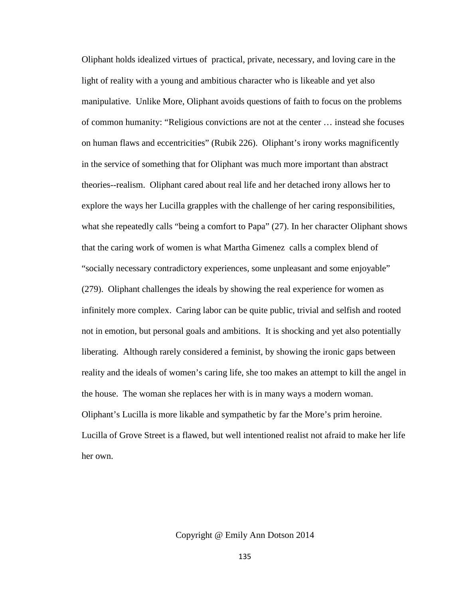Oliphant holds idealized virtues of practical, private, necessary, and loving care in the light of reality with a young and ambitious character who is likeable and yet also manipulative. Unlike More, Oliphant avoids questions of faith to focus on the problems of common humanity: "Religious convictions are not at the center … instead she focuses on human flaws and eccentricities" (Rubik 226). Oliphant's irony works magnificently in the service of something that for Oliphant was much more important than abstract theories--realism. Oliphant cared about real life and her detached irony allows her to explore the ways her Lucilla grapples with the challenge of her caring responsibilities, what she repeatedly calls "being a comfort to Papa" (27). In her character Oliphant shows that the caring work of women is what Martha Gimenez calls a complex blend of "socially necessary contradictory experiences, some unpleasant and some enjoyable" (279). Oliphant challenges the ideals by showing the real experience for women as infinitely more complex. Caring labor can be quite public, trivial and selfish and rooted not in emotion, but personal goals and ambitions. It is shocking and yet also potentially liberating. Although rarely considered a feminist, by showing the ironic gaps between reality and the ideals of women's caring life, she too makes an attempt to kill the angel in the house. The woman she replaces her with is in many ways a modern woman. Oliphant's Lucilla is more likable and sympathetic by far the More's prim heroine. Lucilla of Grove Street is a flawed, but well intentioned realist not afraid to make her life her own.

Copyright @ Emily Ann Dotson 2014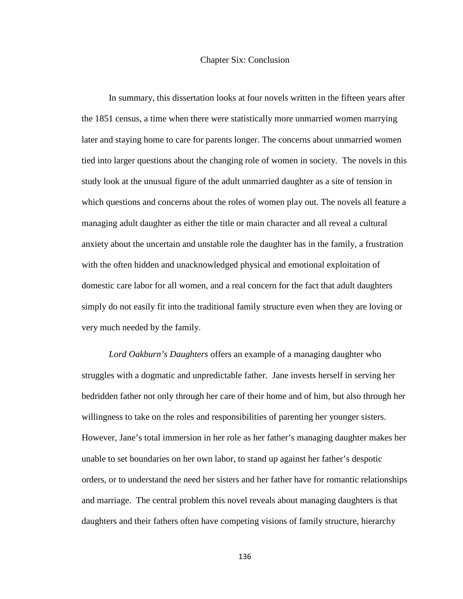#### Chapter Six: Conclusion

In summary, this dissertation looks at four novels written in the fifteen years after the 1851 census, a time when there were statistically more unmarried women marrying later and staying home to care for parents longer. The concerns about unmarried women tied into larger questions about the changing role of women in society. The novels in this study look at the unusual figure of the adult unmarried daughter as a site of tension in which questions and concerns about the roles of women play out. The novels all feature a managing adult daughter as either the title or main character and all reveal a cultural anxiety about the uncertain and unstable role the daughter has in the family, a frustration with the often hidden and unacknowledged physical and emotional exploitation of domestic care labor for all women, and a real concern for the fact that adult daughters simply do not easily fit into the traditional family structure even when they are loving or very much needed by the family.

*Lord Oakburn's Daughters* offers an example of a managing daughter who struggles with a dogmatic and unpredictable father. Jane invests herself in serving her bedridden father not only through her care of their home and of him, but also through her willingness to take on the roles and responsibilities of parenting her younger sisters. However, Jane's total immersion in her role as her father's managing daughter makes her unable to set boundaries on her own labor, to stand up against her father's despotic orders, or to understand the need her sisters and her father have for romantic relationships and marriage. The central problem this novel reveals about managing daughters is that daughters and their fathers often have competing visions of family structure, hierarchy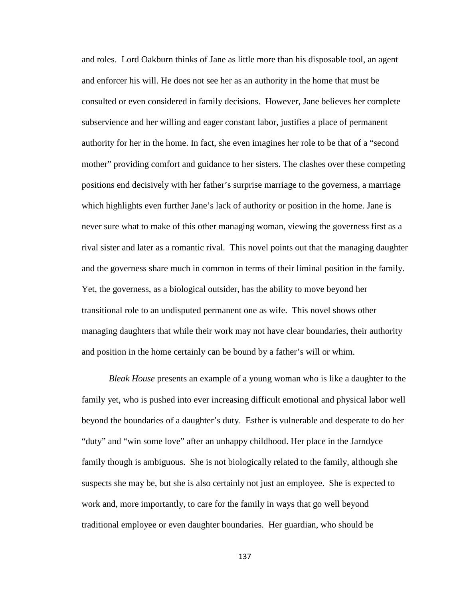and roles. Lord Oakburn thinks of Jane as little more than his disposable tool, an agent and enforcer his will. He does not see her as an authority in the home that must be consulted or even considered in family decisions. However, Jane believes her complete subservience and her willing and eager constant labor, justifies a place of permanent authority for her in the home. In fact, she even imagines her role to be that of a "second mother" providing comfort and guidance to her sisters. The clashes over these competing positions end decisively with her father's surprise marriage to the governess, a marriage which highlights even further Jane's lack of authority or position in the home. Jane is never sure what to make of this other managing woman, viewing the governess first as a rival sister and later as a romantic rival. This novel points out that the managing daughter and the governess share much in common in terms of their liminal position in the family. Yet, the governess, as a biological outsider, has the ability to move beyond her transitional role to an undisputed permanent one as wife. This novel shows other managing daughters that while their work may not have clear boundaries, their authority and position in the home certainly can be bound by a father's will or whim.

*Bleak House* presents an example of a young woman who is like a daughter to the family yet, who is pushed into ever increasing difficult emotional and physical labor well beyond the boundaries of a daughter's duty. Esther is vulnerable and desperate to do her "duty" and "win some love" after an unhappy childhood. Her place in the Jarndyce family though is ambiguous. She is not biologically related to the family, although she suspects she may be, but she is also certainly not just an employee. She is expected to work and, more importantly, to care for the family in ways that go well beyond traditional employee or even daughter boundaries. Her guardian, who should be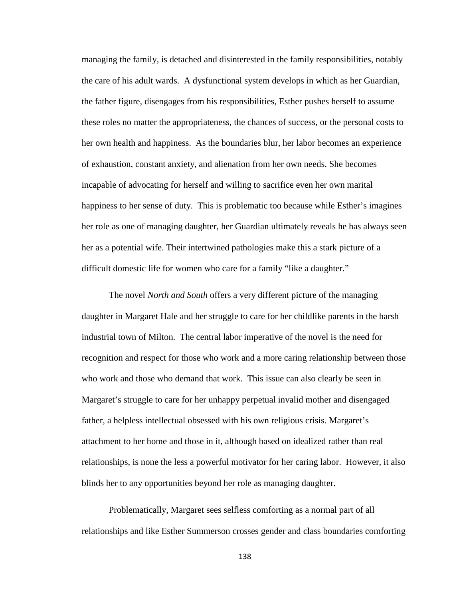managing the family, is detached and disinterested in the family responsibilities, notably the care of his adult wards. A dysfunctional system develops in which as her Guardian, the father figure, disengages from his responsibilities, Esther pushes herself to assume these roles no matter the appropriateness, the chances of success, or the personal costs to her own health and happiness. As the boundaries blur, her labor becomes an experience of exhaustion, constant anxiety, and alienation from her own needs. She becomes incapable of advocating for herself and willing to sacrifice even her own marital happiness to her sense of duty. This is problematic too because while Esther's imagines her role as one of managing daughter, her Guardian ultimately reveals he has always seen her as a potential wife. Their intertwined pathologies make this a stark picture of a difficult domestic life for women who care for a family "like a daughter."

The novel *North and South* offers a very different picture of the managing daughter in Margaret Hale and her struggle to care for her childlike parents in the harsh industrial town of Milton. The central labor imperative of the novel is the need for recognition and respect for those who work and a more caring relationship between those who work and those who demand that work. This issue can also clearly be seen in Margaret's struggle to care for her unhappy perpetual invalid mother and disengaged father, a helpless intellectual obsessed with his own religious crisis. Margaret's attachment to her home and those in it, although based on idealized rather than real relationships, is none the less a powerful motivator for her caring labor. However, it also blinds her to any opportunities beyond her role as managing daughter.

Problematically, Margaret sees selfless comforting as a normal part of all relationships and like Esther Summerson crosses gender and class boundaries comforting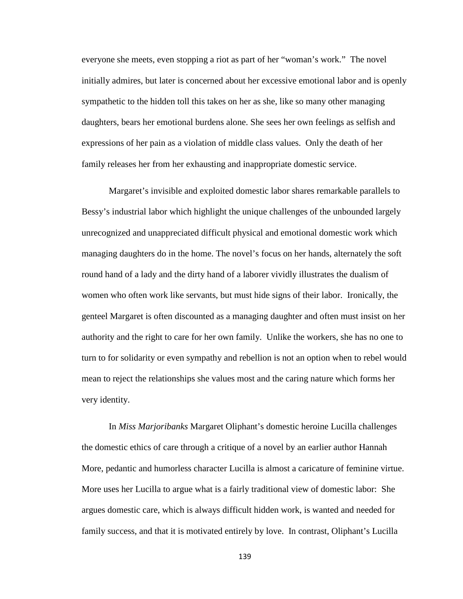everyone she meets, even stopping a riot as part of her "woman's work." The novel initially admires, but later is concerned about her excessive emotional labor and is openly sympathetic to the hidden toll this takes on her as she, like so many other managing daughters, bears her emotional burdens alone. She sees her own feelings as selfish and expressions of her pain as a violation of middle class values. Only the death of her family releases her from her exhausting and inappropriate domestic service.

Margaret's invisible and exploited domestic labor shares remarkable parallels to Bessy's industrial labor which highlight the unique challenges of the unbounded largely unrecognized and unappreciated difficult physical and emotional domestic work which managing daughters do in the home. The novel's focus on her hands, alternately the soft round hand of a lady and the dirty hand of a laborer vividly illustrates the dualism of women who often work like servants, but must hide signs of their labor. Ironically, the genteel Margaret is often discounted as a managing daughter and often must insist on her authority and the right to care for her own family. Unlike the workers, she has no one to turn to for solidarity or even sympathy and rebellion is not an option when to rebel would mean to reject the relationships she values most and the caring nature which forms her very identity.

In *Miss Marjoribanks* Margaret Oliphant's domestic heroine Lucilla challenges the domestic ethics of care through a critique of a novel by an earlier author Hannah More, pedantic and humorless character Lucilla is almost a caricature of feminine virtue. More uses her Lucilla to argue what is a fairly traditional view of domestic labor: She argues domestic care, which is always difficult hidden work, is wanted and needed for family success, and that it is motivated entirely by love. In contrast, Oliphant's Lucilla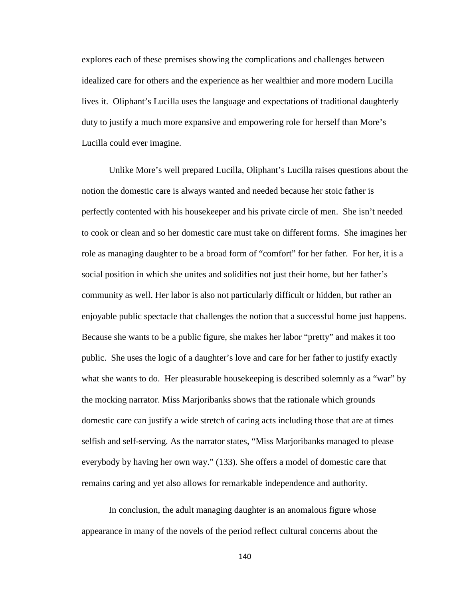explores each of these premises showing the complications and challenges between idealized care for others and the experience as her wealthier and more modern Lucilla lives it. Oliphant's Lucilla uses the language and expectations of traditional daughterly duty to justify a much more expansive and empowering role for herself than More's Lucilla could ever imagine.

Unlike More's well prepared Lucilla, Oliphant's Lucilla raises questions about the notion the domestic care is always wanted and needed because her stoic father is perfectly contented with his housekeeper and his private circle of men. She isn't needed to cook or clean and so her domestic care must take on different forms. She imagines her role as managing daughter to be a broad form of "comfort" for her father. For her, it is a social position in which she unites and solidifies not just their home, but her father's community as well. Her labor is also not particularly difficult or hidden, but rather an enjoyable public spectacle that challenges the notion that a successful home just happens. Because she wants to be a public figure, she makes her labor "pretty" and makes it too public. She uses the logic of a daughter's love and care for her father to justify exactly what she wants to do. Her pleasurable housekeeping is described solemnly as a "war" by the mocking narrator. Miss Marjoribanks shows that the rationale which grounds domestic care can justify a wide stretch of caring acts including those that are at times selfish and self-serving. As the narrator states, "Miss Marjoribanks managed to please everybody by having her own way." (133). She offers a model of domestic care that remains caring and yet also allows for remarkable independence and authority.

In conclusion, the adult managing daughter is an anomalous figure whose appearance in many of the novels of the period reflect cultural concerns about the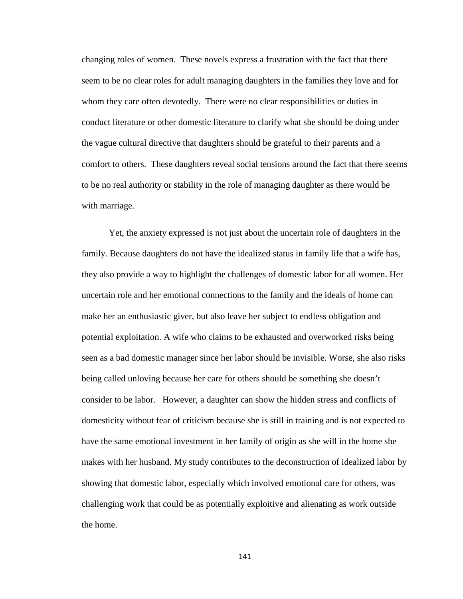changing roles of women. These novels express a frustration with the fact that there seem to be no clear roles for adult managing daughters in the families they love and for whom they care often devotedly. There were no clear responsibilities or duties in conduct literature or other domestic literature to clarify what she should be doing under the vague cultural directive that daughters should be grateful to their parents and a comfort to others. These daughters reveal social tensions around the fact that there seems to be no real authority or stability in the role of managing daughter as there would be with marriage.

Yet, the anxiety expressed is not just about the uncertain role of daughters in the family. Because daughters do not have the idealized status in family life that a wife has, they also provide a way to highlight the challenges of domestic labor for all women. Her uncertain role and her emotional connections to the family and the ideals of home can make her an enthusiastic giver, but also leave her subject to endless obligation and potential exploitation. A wife who claims to be exhausted and overworked risks being seen as a bad domestic manager since her labor should be invisible. Worse, she also risks being called unloving because her care for others should be something she doesn't consider to be labor. However, a daughter can show the hidden stress and conflicts of domesticity without fear of criticism because she is still in training and is not expected to have the same emotional investment in her family of origin as she will in the home she makes with her husband. My study contributes to the deconstruction of idealized labor by showing that domestic labor, especially which involved emotional care for others, was challenging work that could be as potentially exploitive and alienating as work outside the home.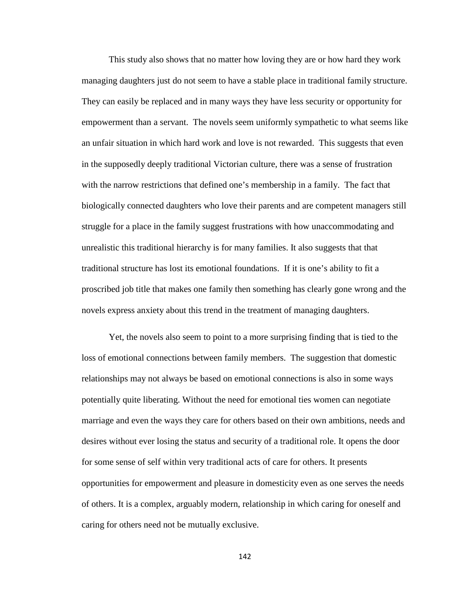This study also shows that no matter how loving they are or how hard they work managing daughters just do not seem to have a stable place in traditional family structure. They can easily be replaced and in many ways they have less security or opportunity for empowerment than a servant. The novels seem uniformly sympathetic to what seems like an unfair situation in which hard work and love is not rewarded. This suggests that even in the supposedly deeply traditional Victorian culture, there was a sense of frustration with the narrow restrictions that defined one's membership in a family. The fact that biologically connected daughters who love their parents and are competent managers still struggle for a place in the family suggest frustrations with how unaccommodating and unrealistic this traditional hierarchy is for many families. It also suggests that that traditional structure has lost its emotional foundations. If it is one's ability to fit a proscribed job title that makes one family then something has clearly gone wrong and the novels express anxiety about this trend in the treatment of managing daughters.

Yet, the novels also seem to point to a more surprising finding that is tied to the loss of emotional connections between family members. The suggestion that domestic relationships may not always be based on emotional connections is also in some ways potentially quite liberating. Without the need for emotional ties women can negotiate marriage and even the ways they care for others based on their own ambitions, needs and desires without ever losing the status and security of a traditional role. It opens the door for some sense of self within very traditional acts of care for others. It presents opportunities for empowerment and pleasure in domesticity even as one serves the needs of others. It is a complex, arguably modern, relationship in which caring for oneself and caring for others need not be mutually exclusive.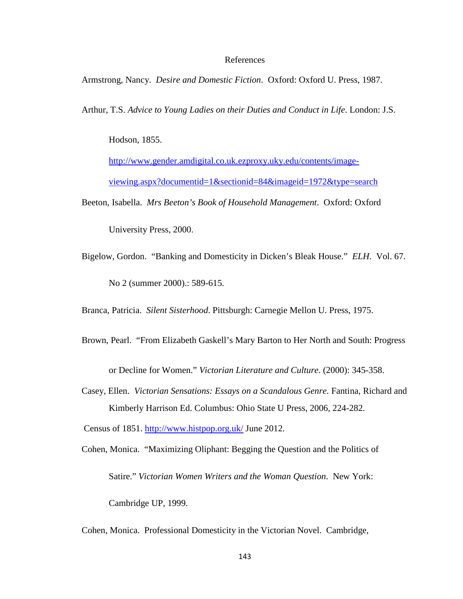#### References

Armstrong, Nancy. *Desire and Domestic Fiction*. Oxford: Oxford U. Press, 1987.

Arthur, T.S. *Advice to Young Ladies on their Duties and Conduct in Life*. London: J.S.

Hodson, 1855.

[http://www.gender.amdigital.co.uk.ezproxy.uky.edu/contents/image](http://www.gender.amdigital.co.uk.ezproxy.uky.edu/contents/image-viewing.aspx?documentid=1§ionid=84&imageid=1972&type=search)[viewing.aspx?documentid=1&sectionid=84&imageid=1972&type=search](http://www.gender.amdigital.co.uk.ezproxy.uky.edu/contents/image-viewing.aspx?documentid=1§ionid=84&imageid=1972&type=search)

Beeton, Isabella. *Mrs Beeton's Book of Household Management*. Oxford: Oxford

University Press, 2000.

Bigelow, Gordon. "Banking and Domesticity in Dicken's Bleak House." *ELH*. Vol. 67. No 2 (summer 2000).: 589-615.

Branca, Patricia. *Silent Sisterhood*. Pittsburgh: Carnegie Mellon U. Press, 1975.

Brown, Pearl. "From Elizabeth Gaskell's Mary Barton to Her North and South: Progress

or Decline for Women." *Victorian Literature and Culture*. (2000): 345-358.

Casey, Ellen. *Victorian Sensations: Essays on a Scandalous Genre*. Fantina, Richard and Kimberly Harrison Ed. Columbus: Ohio State U Press, 2006, 224-282.

Census of 1851.<http://www.histpop.org.uk/> June 2012.

Cohen, Monica. "Maximizing Oliphant: Begging the Question and the Politics of Satire." *Victorian Women Writers and the Woman Question*. New York: Cambridge UP, 1999.

Cohen, Monica. Professional Domesticity in the Victorian Novel. Cambridge,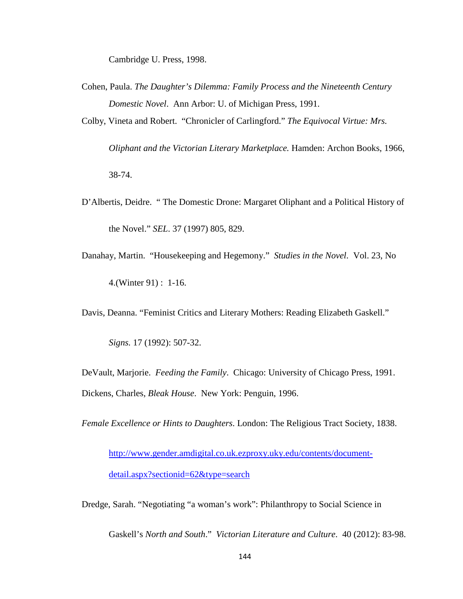Cambridge U. Press, 1998.

- Cohen, Paula. *The Daughter's Dilemma: Family Process and the Nineteenth Century Domestic Novel*. Ann Arbor: U. of Michigan Press, 1991.
- Colby, Vineta and Robert. "Chronicler of Carlingford." *The Equivocal Virtue: Mrs.*

*Oliphant and the Victorian Literary Marketplace.* Hamden: Archon Books, 1966, 38-74.

- D'Albertis, Deidre. " The Domestic Drone: Margaret Oliphant and a Political History of the Novel." *SEL*. 37 (1997) 805, 829.
- Danahay, Martin. "Housekeeping and Hegemony." *Studies in the Novel*. Vol. 23, No 4.(Winter 91) : 1-16.

Davis, Deanna. "Feminist Critics and Literary Mothers: Reading Elizabeth Gaskell."

*Signs.* 17 (1992): 507-32.

DeVault, Marjorie. *Feeding the Family*. Chicago: University of Chicago Press, 1991. Dickens, Charles, *Bleak House*. New York: Penguin, 1996.

*Female Excellence or Hints to Daughters*. London: The Religious Tract Society, 1838.

[http://www.gender.amdigital.co.uk.ezproxy.uky.edu/contents/document](http://www.gender.amdigital.co.uk.ezproxy.uky.edu/contents/document-detail.aspx?sectionid=62&type=search)[detail.aspx?sectionid=62&type=search](http://www.gender.amdigital.co.uk.ezproxy.uky.edu/contents/document-detail.aspx?sectionid=62&type=search)

Dredge, Sarah. "Negotiating "a woman's work": Philanthropy to Social Science in

Gaskell's *North and South*." *Victorian Literature and Culture*. 40 (2012): 83-98.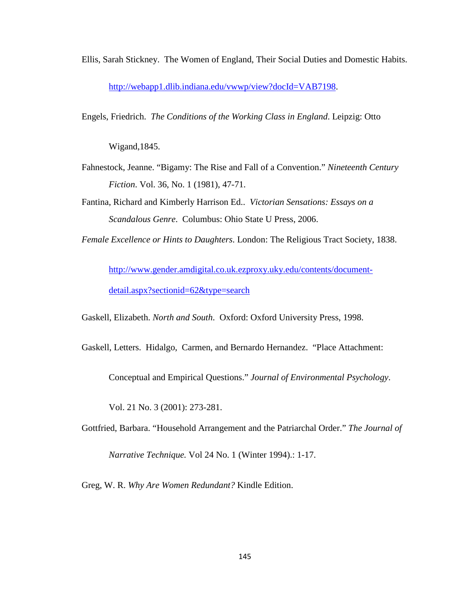Ellis, Sarah Stickney. The Women of England, Their Social Duties and Domestic Habits. [http://webapp1.dlib.indiana.edu/vwwp/view?docId=VAB7198.](http://webapp1.dlib.indiana.edu/vwwp/view?docId=VAB7198)

Engels, Friedrich. *The Conditions of the Working Class in England*. Leipzig: Otto

Wigand,1845.

- Fahnestock, Jeanne. "Bigamy: The Rise and Fall of a Convention." *Nineteenth Century Fiction*. Vol. 36, No. 1 (1981), 47-71.
- Fantina, Richard and Kimberly Harrison Ed.. *Victorian Sensations: Essays on a Scandalous Genre*. Columbus: Ohio State U Press, 2006.
- *Female Excellence or Hints to Daughters*. London: The Religious Tract Society, 1838.

[http://www.gender.amdigital.co.uk.ezproxy.uky.edu/contents/document](http://www.gender.amdigital.co.uk.ezproxy.uky.edu/contents/document-detail.aspx?sectionid=62&type=search)[detail.aspx?sectionid=62&type=search](http://www.gender.amdigital.co.uk.ezproxy.uky.edu/contents/document-detail.aspx?sectionid=62&type=search)

Gaskell, Elizabeth. *North and South*. Oxford: Oxford University Press, 1998.

Gaskell, Letters. Hidalgo, Carmen, and Bernardo Hernandez. "Place Attachment:

Conceptual and Empirical Questions." *Journal of Environmental Psychology*.

Vol. 21 No. 3 (2001): 273-281.

Gottfried, Barbara. "Household Arrangement and the Patriarchal Order." *The Journal of* 

*Narrative Technique.* Vol 24 No. 1 (Winter 1994).: 1-17.

Greg, W. R. *Why Are Women Redundant?* Kindle Edition.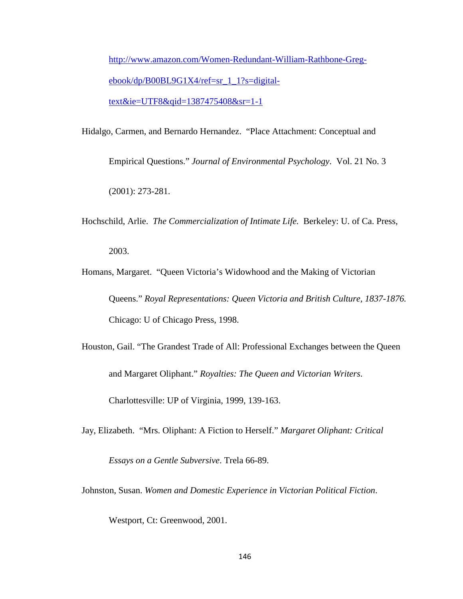[http://www.amazon.com/Women-Redundant-William-Rathbone-Greg](http://www.amazon.com/Women-Redundant-William-Rathbone-Greg-ebook/dp/B00BL9G1X4/ref=sr_1_1?s=digital-text&ie=UTF8&qid=1387475408&sr=1-1)[ebook/dp/B00BL9G1X4/ref=sr\\_1\\_1?s=digital](http://www.amazon.com/Women-Redundant-William-Rathbone-Greg-ebook/dp/B00BL9G1X4/ref=sr_1_1?s=digital-text&ie=UTF8&qid=1387475408&sr=1-1)[text&ie=UTF8&qid=1387475408&sr=1-1](http://www.amazon.com/Women-Redundant-William-Rathbone-Greg-ebook/dp/B00BL9G1X4/ref=sr_1_1?s=digital-text&ie=UTF8&qid=1387475408&sr=1-1)

- Hidalgo, Carmen, and Bernardo Hernandez. "Place Attachment: Conceptual and Empirical Questions." *Journal of Environmental Psychology*. Vol. 21 No. 3 (2001): 273-281.
- Hochschild, Arlie. *The Commercialization of Intimate Life.* Berkeley: U. of Ca. Press,

2003.

- Homans, Margaret. "Queen Victoria's Widowhood and the Making of Victorian Queens." *Royal Representations: Queen Victoria and British Culture, 1837-1876.* Chicago: U of Chicago Press, 1998.
- Houston, Gail. "The Grandest Trade of All: Professional Exchanges between the Queen and Margaret Oliphant." *Royalties: The Queen and Victorian Writers*. Charlottesville: UP of Virginia, 1999, 139-163.
- Jay, Elizabeth. "Mrs. Oliphant: A Fiction to Herself." *Margaret Oliphant: Critical*

*Essays on a Gentle Subversive*. Trela 66-89.

Johnston, Susan. *Women and Domestic Experience in Victorian Political Fiction*.

Westport, Ct: Greenwood, 2001.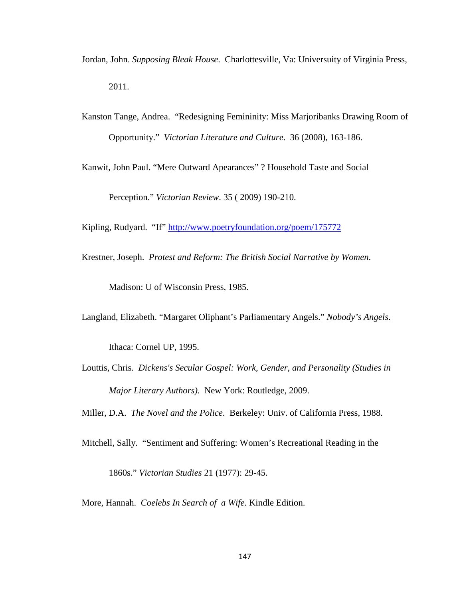- Jordan, John. *Supposing Bleak House*. Charlottesville, Va: Universuity of Virginia Press, 2011.
- Kanston Tange, Andrea. "Redesigning Femininity: Miss Marjoribanks Drawing Room of Opportunity." *Victorian Literature and Culture*. 36 (2008), 163-186.

Kanwit, John Paul. "Mere Outward Apearances" ? Household Taste and Social

Perception." *Victorian Review*. 35 ( 2009) 190-210.

Kipling, Rudyard. "If"<http://www.poetryfoundation.org/poem/175772>

Krestner, Joseph. *Protest and Reform: The British Social Narrative by Women*.

Madison: U of Wisconsin Press, 1985.

Langland, Elizabeth. "Margaret Oliphant's Parliamentary Angels." *Nobody's Angels*.

Ithaca: Cornel UP, 1995.

Louttis, Chris. *Dickens's Secular Gospel: Work, Gender, and Personality (Studies in Major Literary Authors).* New York: Routledge, 2009.

Miller, D.A. *The Novel and the Police*. Berkeley: Univ. of California Press, 1988.

Mitchell, Sally. "Sentiment and Suffering: Women's Recreational Reading in the

1860s." *Victorian Studies* 21 (1977): 29-45.

More, Hannah. *Coelebs In Search of a Wife*. Kindle Edition.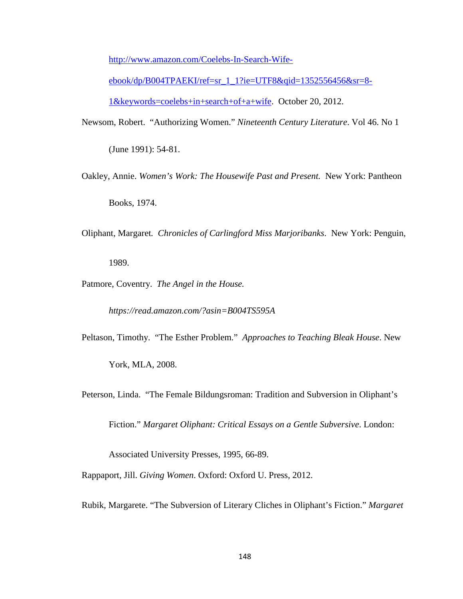[http://www.amazon.com/Coelebs-In-Search-Wife-](http://www.amazon.com/Coelebs-In-Search-Wife-ebook/dp/B004TPAEKI/ref=sr_1_1?ie=UTF8&qid=1352556456&sr=8-1&keywords=coelebs+in+search+of+a+wife)

[ebook/dp/B004TPAEKI/ref=sr\\_1\\_1?ie=UTF8&qid=1352556456&sr=8-](http://www.amazon.com/Coelebs-In-Search-Wife-ebook/dp/B004TPAEKI/ref=sr_1_1?ie=UTF8&qid=1352556456&sr=8-1&keywords=coelebs+in+search+of+a+wife) [1&keywords=coelebs+in+search+of+a+wife.](http://www.amazon.com/Coelebs-In-Search-Wife-ebook/dp/B004TPAEKI/ref=sr_1_1?ie=UTF8&qid=1352556456&sr=8-1&keywords=coelebs+in+search+of+a+wife) October 20, 2012.

- Newsom, Robert. "Authorizing Women." *Nineteenth Century Literature*. Vol 46. No 1 (June 1991): 54-81.
- Oakley, Annie. *Women's Work: The Housewife Past and Present.* New York: Pantheon Books, 1974.
- Oliphant, Margaret*. Chronicles of Carlingford Miss Marjoribanks*. New York: Penguin,

1989.

Patmore, Coventry. *The Angel in the House.* 

*https://read.amazon.com/?asin=B004TS595A*

Peltason, Timothy. "The Esther Problem." *Approaches to Teaching Bleak House*. New

York, MLA, 2008.

Peterson, Linda. "The Female Bildungsroman: Tradition and Subversion in Oliphant's

Fiction." *Margaret Oliphant: Critical Essays on a Gentle Subversive*. London:

Associated University Presses, 1995, 66-89.

Rappaport, Jill. *Giving Women*. Oxford: Oxford U. Press, 2012.

Rubik, Margarete. "The Subversion of Literary Cliches in Oliphant's Fiction." *Margaret*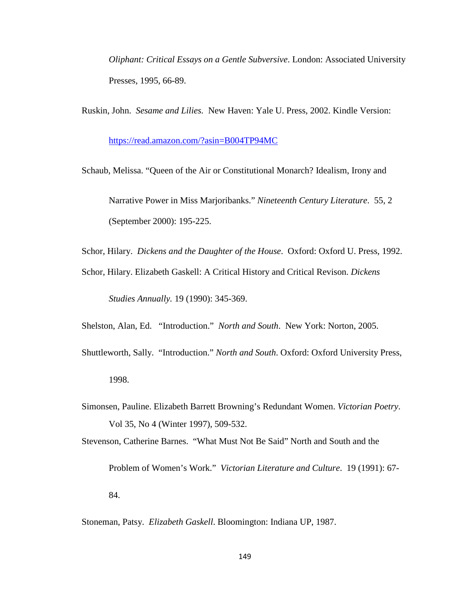*Oliphant: Critical Essays on a Gentle Subversive*. London: Associated University Presses, 1995, 66-89.

Ruskin, John. *Sesame and Lilies.* New Haven: Yale U. Press, 2002. Kindle Version:

<https://read.amazon.com/?asin=B004TP94MC>

Schaub, Melissa. "Queen of the Air or Constitutional Monarch? Idealism, Irony and Narrative Power in Miss Marjoribanks." *Nineteenth Century Literature*. 55, 2 (September 2000): 195-225.

Schor, Hilary. *Dickens and the Daughter of the House*. Oxford: Oxford U. Press, 1992.

Schor, Hilary. Elizabeth Gaskell: A Critical History and Critical Revison. *Dickens* 

*Studies Annually.* 19 (1990): 345-369.

Shelston, Alan, Ed. "Introduction." *North and South*. New York: Norton, 2005.

- Shuttleworth, Sally. "Introduction." *North and South*. Oxford: Oxford University Press, 1998.
- Simonsen, Pauline. Elizabeth Barrett Browning's Redundant Women. *Victorian Poetry*. Vol 35, No 4 (Winter 1997), 509-532.

Stevenson, Catherine Barnes. "What Must Not Be Said" North and South and the

Problem of Women's Work." *Victorian Literature and Culture*. 19 (1991): 67-

84.

Stoneman, Patsy. *Elizabeth Gaskell*. Bloomington: Indiana UP, 1987.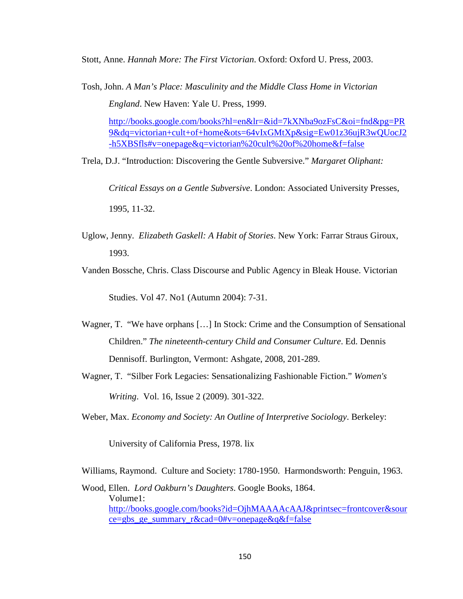Stott, Anne. *Hannah More: The First Victorian*. Oxford: Oxford U. Press, 2003.

Tosh, John. *A Man's Place: Masculinity and the Middle Class Home in Victorian England*. New Haven: Yale U. Press, 1999.

[http://books.google.com/books?hl=en&lr=&id=7kXNba9ozFsC&oi=fnd&pg=PR](http://books.google.com/books?hl=en&lr=&id=7kXNba9ozFsC&oi=fnd&pg=PR9&dq=victorian+cult+of+home&ots=64vIxGMtXp&sig=Ew01z36ujR3wQUocJ2-h5XBSfls%23v=onepage&q=victorian%20cult%20of%20home&f=false) [9&dq=victorian+cult+of+home&ots=64vIxGMtXp&sig=Ew01z36ujR3wQUocJ2](http://books.google.com/books?hl=en&lr=&id=7kXNba9ozFsC&oi=fnd&pg=PR9&dq=victorian+cult+of+home&ots=64vIxGMtXp&sig=Ew01z36ujR3wQUocJ2-h5XBSfls%23v=onepage&q=victorian%20cult%20of%20home&f=false) [-h5XBSfls#v=onepage&q=victorian%20cult%20of%20home&f=false](http://books.google.com/books?hl=en&lr=&id=7kXNba9ozFsC&oi=fnd&pg=PR9&dq=victorian+cult+of+home&ots=64vIxGMtXp&sig=Ew01z36ujR3wQUocJ2-h5XBSfls%23v=onepage&q=victorian%20cult%20of%20home&f=false)

Trela, D.J. "Introduction: Discovering the Gentle Subversive." *Margaret Oliphant:* 

*Critical Essays on a Gentle Subversive*. London: Associated University Presses, 1995, 11-32.

Uglow, Jenny. *Elizabeth Gaskell: A Habit of Stories*. New York: Farrar Straus Giroux, 1993.

Vanden Bossche, Chris. Class Discourse and Public Agency in Bleak House. Victorian

Studies. Vol 47. No1 (Autumn 2004): 7-31.

- Wagner, T. "We have orphans […] In Stock: Crime and the Consumption of Sensational Children." *The nineteenth-century Child and Consumer Culture*. Ed. Dennis Dennisoff. Burlington, Vermont: Ashgate, 2008, 201-289.
- Wagner, T. "Silber Fork Legacies: Sensationalizing Fashionable Fiction." *Women's Writing*. Vol. 16, Issue 2 (2009). 301-322.

Weber, Max. *Economy and Society: An Outline of Interpretive Sociology*. Berkeley:

University of California Press, 1978. lix

Williams, Raymond. Culture and Society: 1780-1950. Harmondsworth: Penguin, 1963.

Wood, Ellen. *Lord Oakburn's Daughters*. Google Books, 1864. Volume1: [http://books.google.com/books?id=OjhMAAAAcAAJ&printsec=frontcover&sour](https://exchange.uky.edu/owa/redir.aspx?C=fQKYfjBDrUSybtWLBv9OmeJ2pzSuMdAIiI0CQHakg8yM_69NBKF7jjejhOevAAoOOLxtPw_4rSg.&URL=http%3a%2f%2fbooks.google.com%2fbooks%3fid%3dOjhMAAAAcAAJ%26printsec%3dfrontcover%26source%3dgbs_ge_summary_r%26cad%3d0%23v%3donepage%26q%26f%3dfalse) [ce=gbs\\_ge\\_summary\\_r&cad=0#v=onepage&q&f=false](https://exchange.uky.edu/owa/redir.aspx?C=fQKYfjBDrUSybtWLBv9OmeJ2pzSuMdAIiI0CQHakg8yM_69NBKF7jjejhOevAAoOOLxtPw_4rSg.&URL=http%3a%2f%2fbooks.google.com%2fbooks%3fid%3dOjhMAAAAcAAJ%26printsec%3dfrontcover%26source%3dgbs_ge_summary_r%26cad%3d0%23v%3donepage%26q%26f%3dfalse)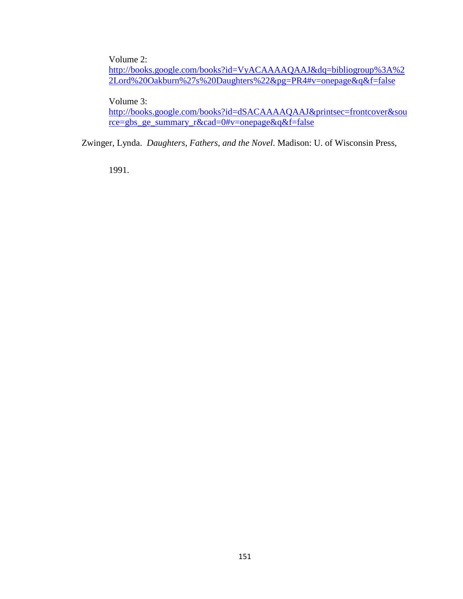Volume 2:

[http://books.google.com/books?id=VyACAAAAQAAJ&dq=bibliogroup%3A%2](http://books.google.com/books?id=VyACAAAAQAAJ&dq=bibliogroup%3A%22Lord%20Oakburn%27s%20Daughters%22&pg=PR4%23v=onepage&q&f=false) [2Lord%20Oakburn%27s%20Daughters%22&pg=PR4#v=onepage&q&f=false](http://books.google.com/books?id=VyACAAAAQAAJ&dq=bibliogroup%3A%22Lord%20Oakburn%27s%20Daughters%22&pg=PR4%23v=onepage&q&f=false)

Volume 3:

[http://books.google.com/books?id=dSACAAAAQAAJ&printsec=frontcover&sou](https://exchange.uky.edu/owa/redir.aspx?C=fQKYfjBDrUSybtWLBv9OmeJ2pzSuMdAIiI0CQHakg8yM_69NBKF7jjejhOevAAoOOLxtPw_4rSg.&URL=http%3a%2f%2fbooks.google.com%2fbooks%3fid%3ddSACAAAAQAAJ%26printsec%3dfrontcover%26source%3dgbs_ge_summary_r%26cad%3d0%23v%3donepage%26q%26f%3dfalse) [rce=gbs\\_ge\\_summary\\_r&cad=0#v=onepage&q&f=false](https://exchange.uky.edu/owa/redir.aspx?C=fQKYfjBDrUSybtWLBv9OmeJ2pzSuMdAIiI0CQHakg8yM_69NBKF7jjejhOevAAoOOLxtPw_4rSg.&URL=http%3a%2f%2fbooks.google.com%2fbooks%3fid%3ddSACAAAAQAAJ%26printsec%3dfrontcover%26source%3dgbs_ge_summary_r%26cad%3d0%23v%3donepage%26q%26f%3dfalse)

Zwinger, Lynda. *Daughters, Fathers, and the Novel*. Madison: U. of Wisconsin Press,

1991.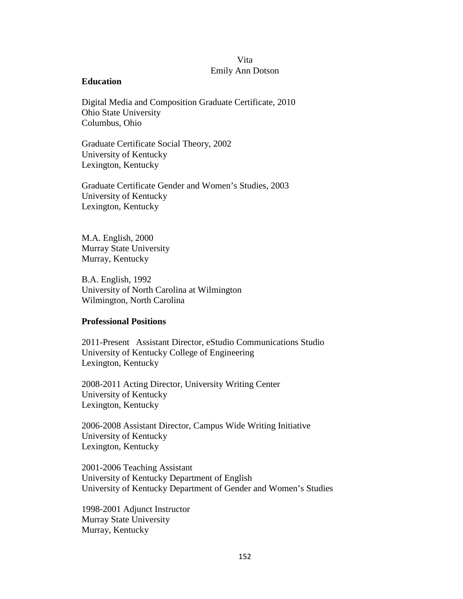# Vita Emily Ann Dotson

### **Education**

Digital Media and Composition Graduate Certificate, 2010 Ohio State University Columbus, Ohio

Graduate Certificate Social Theory, 2002 University of Kentucky Lexington, Kentucky

Graduate Certificate Gender and Women's Studies, 2003 University of Kentucky Lexington, Kentucky

M.A. English, 2000 Murray State University Murray, Kentucky

B.A. English, 1992 University of North Carolina at Wilmington Wilmington, North Carolina

### **Professional Positions**

2011-Present Assistant Director, eStudio Communications Studio University of Kentucky College of Engineering Lexington, Kentucky

2008-2011 Acting Director, University Writing Center University of Kentucky Lexington, Kentucky

2006-2008 Assistant Director, Campus Wide Writing Initiative University of Kentucky Lexington, Kentucky

2001-2006 Teaching Assistant University of Kentucky Department of English University of Kentucky Department of Gender and Women's Studies

1998-2001 Adjunct Instructor Murray State University Murray, Kentucky